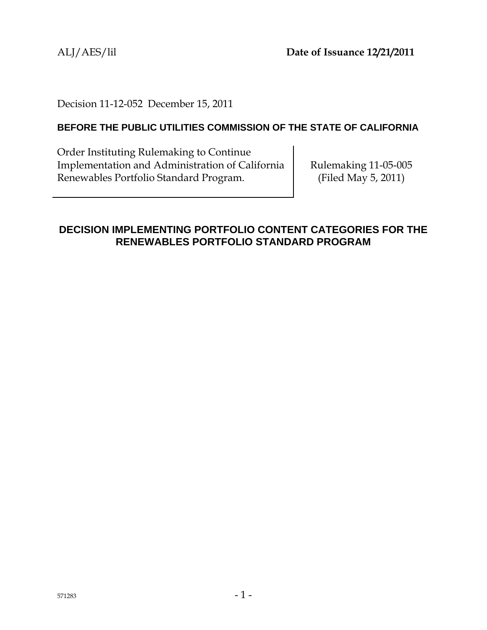ALJ/AES/lil **Date of Issuance 12/21/2011**

Decision 11-12-052 December 15, 2011

#### **BEFORE THE PUBLIC UTILITIES COMMISSION OF THE STATE OF CALIFORNIA**

Order Instituting Rulemaking to Continue Implementation and Administration of California Renewables Portfolio Standard Program.

Rulemaking 11-05-005 (Filed May 5, 2011)

## **DECISION IMPLEMENTING PORTFOLIO CONTENT CATEGORIES FOR THE RENEWABLES PORTFOLIO STANDARD PROGRAM**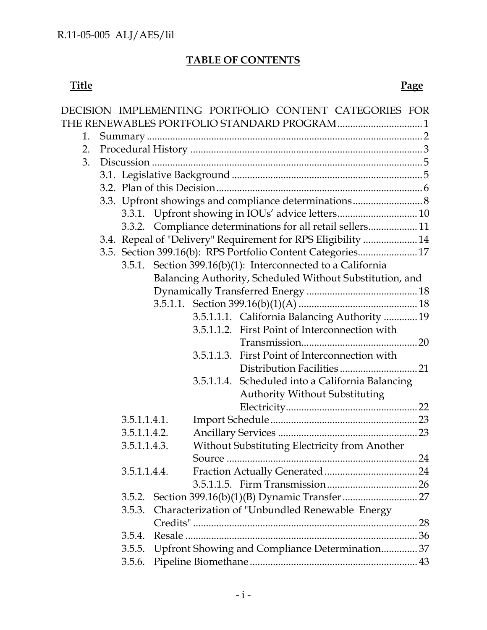# **TABLE OF CONTENTS**

#### *<u>Title</u>* Page

|    |                                                          |                                                                |                                                               |  | DECISION IMPLEMENTING PORTFOLIO CONTENT CATEGORIES FOR     |    |  |  |
|----|----------------------------------------------------------|----------------------------------------------------------------|---------------------------------------------------------------|--|------------------------------------------------------------|----|--|--|
|    |                                                          |                                                                |                                                               |  |                                                            |    |  |  |
| 1. |                                                          |                                                                |                                                               |  |                                                            |    |  |  |
| 2. |                                                          |                                                                |                                                               |  |                                                            |    |  |  |
| 3. |                                                          |                                                                |                                                               |  |                                                            |    |  |  |
|    |                                                          |                                                                |                                                               |  |                                                            |    |  |  |
|    |                                                          |                                                                |                                                               |  |                                                            |    |  |  |
|    |                                                          |                                                                |                                                               |  |                                                            |    |  |  |
|    |                                                          |                                                                |                                                               |  |                                                            |    |  |  |
|    |                                                          |                                                                |                                                               |  | 3.3.2. Compliance determinations for all retail sellers 11 |    |  |  |
|    |                                                          |                                                                | 3.4. Repeal of "Delivery" Requirement for RPS Eligibility  14 |  |                                                            |    |  |  |
|    |                                                          |                                                                | 3.5. Section 399.16(b): RPS Portfolio Content Categories17    |  |                                                            |    |  |  |
|    |                                                          | 3.5.1. Section $399.16(b)(1)$ : Interconnected to a California |                                                               |  |                                                            |    |  |  |
|    | Balancing Authority, Scheduled Without Substitution, and |                                                                |                                                               |  |                                                            |    |  |  |
|    |                                                          |                                                                |                                                               |  |                                                            |    |  |  |
|    |                                                          |                                                                |                                                               |  |                                                            |    |  |  |
|    |                                                          |                                                                |                                                               |  | 3.5.1.1.1. California Balancing Authority  19              |    |  |  |
|    |                                                          |                                                                |                                                               |  | 3.5.1.1.2. First Point of Interconnection with             |    |  |  |
|    |                                                          |                                                                |                                                               |  |                                                            |    |  |  |
|    |                                                          |                                                                |                                                               |  | 3.5.1.1.3. First Point of Interconnection with             |    |  |  |
|    |                                                          |                                                                |                                                               |  |                                                            | 21 |  |  |
|    |                                                          |                                                                |                                                               |  | 3.5.1.1.4. Scheduled into a California Balancing           |    |  |  |
|    |                                                          |                                                                |                                                               |  | <b>Authority Without Substituting</b>                      |    |  |  |
|    |                                                          |                                                                |                                                               |  |                                                            |    |  |  |
|    |                                                          | 3.5.1.1.4.1.                                                   |                                                               |  |                                                            |    |  |  |
|    |                                                          | 3.5.1.1.4.2.                                                   |                                                               |  |                                                            |    |  |  |
|    |                                                          | 3.5.1.1.4.3.                                                   |                                                               |  | Without Substituting Electricity from Another              |    |  |  |
|    |                                                          |                                                                |                                                               |  |                                                            |    |  |  |
|    |                                                          | 3.5.1.1.4.4.                                                   |                                                               |  |                                                            |    |  |  |
|    |                                                          |                                                                |                                                               |  |                                                            |    |  |  |
|    |                                                          | 3.5.2.                                                         |                                                               |  |                                                            |    |  |  |
|    |                                                          | 3.5.3.                                                         |                                                               |  | Characterization of "Unbundled Renewable Energy            |    |  |  |
|    |                                                          |                                                                |                                                               |  |                                                            |    |  |  |
|    |                                                          | 3.5.4.                                                         |                                                               |  |                                                            |    |  |  |
|    |                                                          | 3.5.5.                                                         |                                                               |  | Upfront Showing and Compliance Determination37             |    |  |  |
|    |                                                          | 3.5.6.                                                         |                                                               |  |                                                            |    |  |  |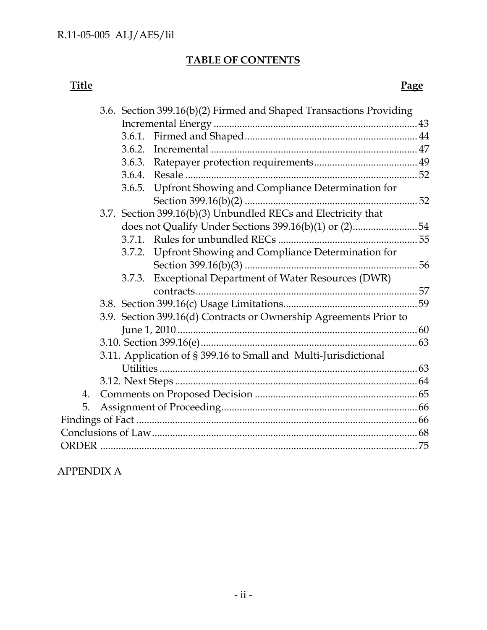# **TABLE OF CONTENTS**

#### *<u>Title</u>* Page

|    |  | 3.6. Section 399.16(b)(2) Firmed and Shaped Transactions Providing |                                                                   |  |  |  |  |
|----|--|--------------------------------------------------------------------|-------------------------------------------------------------------|--|--|--|--|
|    |  |                                                                    |                                                                   |  |  |  |  |
|    |  |                                                                    |                                                                   |  |  |  |  |
|    |  |                                                                    |                                                                   |  |  |  |  |
|    |  |                                                                    |                                                                   |  |  |  |  |
|    |  | 3.6.4.                                                             |                                                                   |  |  |  |  |
|    |  |                                                                    | 3.6.5. Upfront Showing and Compliance Determination for           |  |  |  |  |
|    |  |                                                                    |                                                                   |  |  |  |  |
|    |  |                                                                    | 3.7. Section 399.16(b)(3) Unbundled RECs and Electricity that     |  |  |  |  |
|    |  |                                                                    | does not Qualify Under Sections 399.16(b)(1) or (2)54             |  |  |  |  |
|    |  |                                                                    |                                                                   |  |  |  |  |
|    |  |                                                                    | 3.7.2. Upfront Showing and Compliance Determination for           |  |  |  |  |
|    |  |                                                                    |                                                                   |  |  |  |  |
|    |  | 3.7.3.                                                             | <b>Exceptional Department of Water Resources (DWR)</b>            |  |  |  |  |
|    |  |                                                                    |                                                                   |  |  |  |  |
|    |  |                                                                    |                                                                   |  |  |  |  |
|    |  |                                                                    | 3.9. Section 399.16(d) Contracts or Ownership Agreements Prior to |  |  |  |  |
|    |  |                                                                    |                                                                   |  |  |  |  |
|    |  |                                                                    |                                                                   |  |  |  |  |
|    |  |                                                                    | 3.11. Application of § 399.16 to Small and Multi-Jurisdictional   |  |  |  |  |
|    |  |                                                                    |                                                                   |  |  |  |  |
|    |  |                                                                    |                                                                   |  |  |  |  |
| 4. |  |                                                                    |                                                                   |  |  |  |  |
| 5. |  |                                                                    |                                                                   |  |  |  |  |
|    |  |                                                                    |                                                                   |  |  |  |  |
|    |  |                                                                    |                                                                   |  |  |  |  |
|    |  |                                                                    |                                                                   |  |  |  |  |
|    |  |                                                                    |                                                                   |  |  |  |  |

## APPENDIX A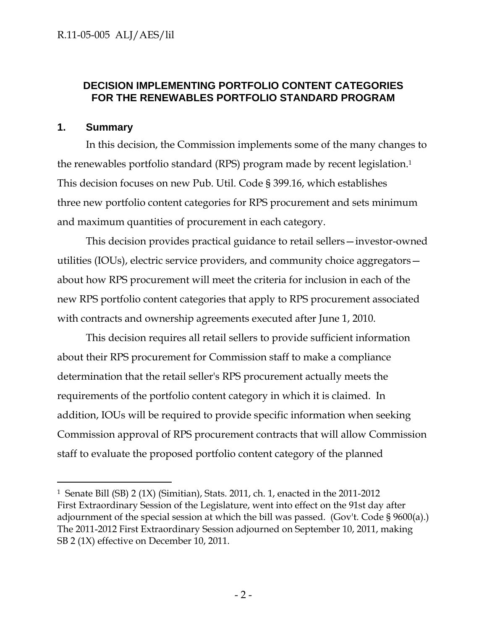#### **DECISION IMPLEMENTING PORTFOLIO CONTENT CATEGORIES FOR THE RENEWABLES PORTFOLIO STANDARD PROGRAM**

#### **1. Summary**

 $\overline{a}$ 

In this decision, the Commission implements some of the many changes to the renewables portfolio standard (RPS) program made by recent legislation.1 This decision focuses on new Pub. Util. Code § 399.16, which establishes three new portfolio content categories for RPS procurement and sets minimum and maximum quantities of procurement in each category.

This decision provides practical guidance to retail sellers—investor-owned utilities (IOUs), electric service providers, and community choice aggregators about how RPS procurement will meet the criteria for inclusion in each of the new RPS portfolio content categories that apply to RPS procurement associated with contracts and ownership agreements executed after June 1, 2010.

This decision requires all retail sellers to provide sufficient information about their RPS procurement for Commission staff to make a compliance determination that the retail seller's RPS procurement actually meets the requirements of the portfolio content category in which it is claimed. In addition, IOUs will be required to provide specific information when seeking Commission approval of RPS procurement contracts that will allow Commission staff to evaluate the proposed portfolio content category of the planned

<sup>1</sup> Senate Bill (SB) 2 (1X) (Simitian), Stats. 2011, ch. 1, enacted in the 2011-2012 First Extraordinary Session of the Legislature, went into effect on the 91st day after adjournment of the special session at which the bill was passed. (Gov't. Code § 9600(a).) The 2011-2012 First Extraordinary Session adjourned on September 10, 2011, making SB 2 (1X) effective on December 10, 2011.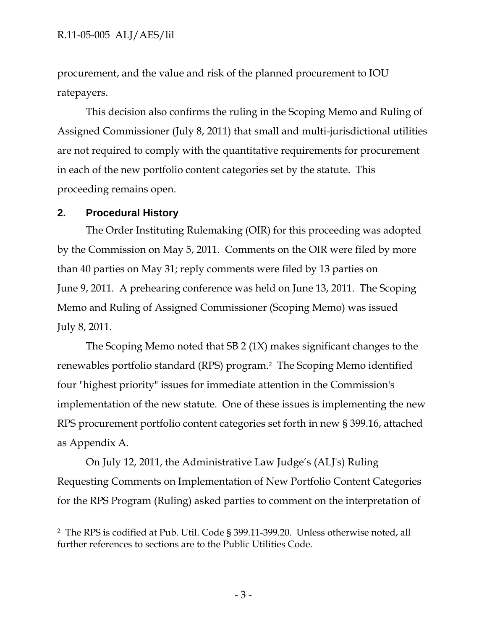#### R.11-05-005 ALJ/AES/lil

procurement, and the value and risk of the planned procurement to IOU ratepayers.

This decision also confirms the ruling in the Scoping Memo and Ruling of Assigned Commissioner (July 8, 2011) that small and multi-jurisdictional utilities are not required to comply with the quantitative requirements for procurement in each of the new portfolio content categories set by the statute. This proceeding remains open.

#### **2. Procedural History**

 $\overline{a}$ 

The Order Instituting Rulemaking (OIR) for this proceeding was adopted by the Commission on May 5, 2011. Comments on the OIR were filed by more than 40 parties on May 31; reply comments were filed by 13 parties on June 9, 2011. A prehearing conference was held on June 13, 2011. The Scoping Memo and Ruling of Assigned Commissioner (Scoping Memo) was issued July 8, 2011.

The Scoping Memo noted that SB 2 (1X) makes significant changes to the renewables portfolio standard (RPS) program.2 The Scoping Memo identified four "highest priority" issues for immediate attention in the Commission's implementation of the new statute. One of these issues is implementing the new RPS procurement portfolio content categories set forth in new § 399.16, attached as Appendix A.

On July 12, 2011, the Administrative Law Judge's (ALJ's) Ruling Requesting Comments on Implementation of New Portfolio Content Categories for the RPS Program (Ruling) asked parties to comment on the interpretation of

<sup>2</sup> The RPS is codified at Pub. Util. Code § 399.11-399.20. Unless otherwise noted, all further references to sections are to the Public Utilities Code.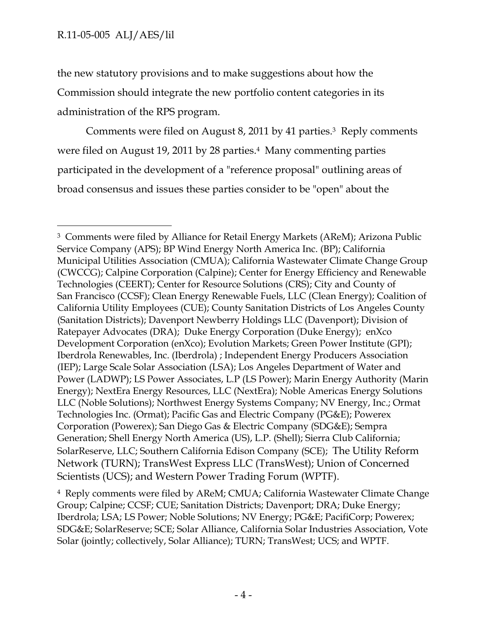$\overline{a}$ 

the new statutory provisions and to make suggestions about how the Commission should integrate the new portfolio content categories in its administration of the RPS program.

Comments were filed on August 8, 2011 by 41 parties.3 Reply comments were filed on August 19, 2011 by 28 parties.<sup>4</sup> Many commenting parties participated in the development of a "reference proposal" outlining areas of broad consensus and issues these parties consider to be "open" about the

<sup>3</sup> Comments were filed by Alliance for Retail Energy Markets (AReM); Arizona Public Service Company (APS); BP Wind Energy North America Inc. (BP); California Municipal Utilities Association (CMUA); California Wastewater Climate Change Group (CWCCG); Calpine Corporation (Calpine); Center for Energy Efficiency and Renewable Technologies (CEERT); Center for Resource Solutions (CRS); City and County of San Francisco (CCSF); Clean Energy Renewable Fuels, LLC (Clean Energy); Coalition of California Utility Employees (CUE); County Sanitation Districts of Los Angeles County (Sanitation Districts); Davenport Newberry Holdings LLC (Davenport); Division of Ratepayer Advocates (DRA); Duke Energy Corporation (Duke Energy); enXco Development Corporation (enXco); Evolution Markets; Green Power Institute (GPI); Iberdrola Renewables, Inc. (Iberdrola) ; Independent Energy Producers Association (IEP); Large Scale Solar Association (LSA); Los Angeles Department of Water and Power (LADWP); LS Power Associates, L.P (LS Power); Marin Energy Authority (Marin Energy); NextEra Energy Resources, LLC (NextEra); Noble Americas Energy Solutions LLC (Noble Solutions); Northwest Energy Systems Company; NV Energy, Inc.; Ormat Technologies Inc. (Ormat); Pacific Gas and Electric Company (PG&E); Powerex Corporation (Powerex); San Diego Gas & Electric Company (SDG&E); Sempra Generation; Shell Energy North America (US), L.P. (Shell); Sierra Club California; SolarReserve, LLC; Southern California Edison Company (SCE); The Utility Reform Network (TURN); TransWest Express LLC (TransWest); Union of Concerned Scientists (UCS); and Western Power Trading Forum (WPTF).

<sup>4</sup> Reply comments were filed by AReM; CMUA; California Wastewater Climate Change Group; Calpine; CCSF; CUE; Sanitation Districts; Davenport; DRA; Duke Energy; Iberdrola; LSA; LS Power; Noble Solutions; NV Energy; PG&E; PacifiCorp; Powerex; SDG&E; SolarReserve; SCE; Solar Alliance, California Solar Industries Association, Vote Solar (jointly; collectively, Solar Alliance); TURN; TransWest; UCS; and WPTF.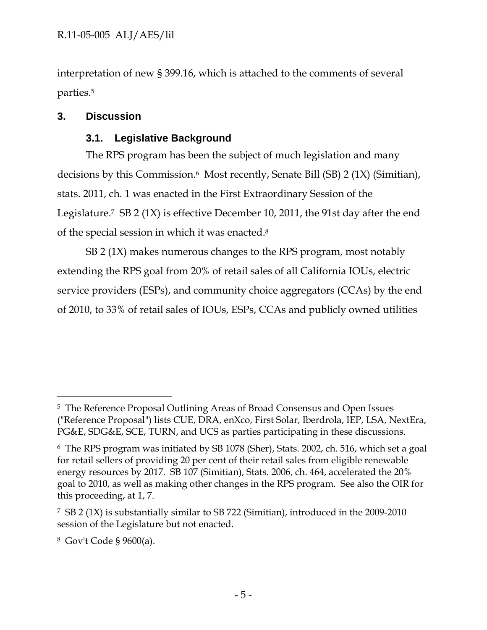interpretation of new § 399.16, which is attached to the comments of several parties.5

#### **3. Discussion**

### **3.1. Legislative Background**

The RPS program has been the subject of much legislation and many decisions by this Commission.6 Most recently, Senate Bill (SB) 2 (1X) (Simitian), stats. 2011, ch. 1 was enacted in the First Extraordinary Session of the Legislature.7 SB 2 (1X) is effective December 10, 2011, the 91st day after the end of the special session in which it was enacted.8

SB 2 (1X) makes numerous changes to the RPS program, most notably extending the RPS goal from 20% of retail sales of all California IOUs, electric service providers (ESPs), and community choice aggregators (CCAs) by the end of 2010, to 33% of retail sales of IOUs, ESPs, CCAs and publicly owned utilities

-

<sup>5</sup> The Reference Proposal Outlining Areas of Broad Consensus and Open Issues ("Reference Proposal") lists CUE, DRA, enXco, First Solar, Iberdrola, IEP, LSA, NextEra, PG&E, SDG&E, SCE, TURN, and UCS as parties participating in these discussions.

<sup>6</sup> The RPS program was initiated by SB 1078 (Sher), Stats. 2002, ch. 516, which set a goal for retail sellers of providing 20 per cent of their retail sales from eligible renewable energy resources by 2017. SB 107 (Simitian), Stats. 2006, ch. 464, accelerated the 20% goal to 2010, as well as making other changes in the RPS program. See also the OIR for this proceeding, at 1, 7.

<sup>7</sup> SB 2 (1X) is substantially similar to SB 722 (Simitian), introduced in the 2009-2010 session of the Legislature but not enacted.

<sup>8</sup> Gov't Code § 9600(a).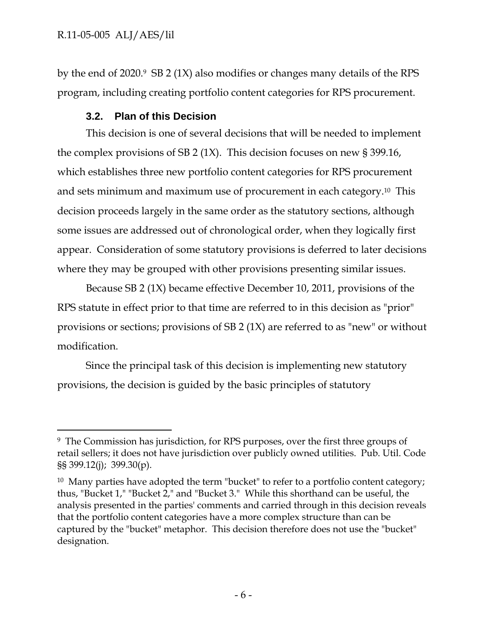by the end of 2020.9 SB 2 (1X) also modifies or changes many details of the RPS program, including creating portfolio content categories for RPS procurement.

## **3.2. Plan of this Decision**

This decision is one of several decisions that will be needed to implement the complex provisions of SB 2 (1X). This decision focuses on new § 399.16, which establishes three new portfolio content categories for RPS procurement and sets minimum and maximum use of procurement in each category.10 This decision proceeds largely in the same order as the statutory sections, although some issues are addressed out of chronological order, when they logically first appear. Consideration of some statutory provisions is deferred to later decisions where they may be grouped with other provisions presenting similar issues.

Because SB 2 (1X) became effective December 10, 2011, provisions of the RPS statute in effect prior to that time are referred to in this decision as "prior" provisions or sections; provisions of SB 2 (1X) are referred to as "new" or without modification.

Since the principal task of this decision is implementing new statutory provisions, the decision is guided by the basic principles of statutory

<sup>9</sup> The Commission has jurisdiction, for RPS purposes, over the first three groups of retail sellers; it does not have jurisdiction over publicly owned utilities. Pub. Util. Code §§ 399.12(j); 399.30(p).

<sup>&</sup>lt;sup>10</sup> Many parties have adopted the term "bucket" to refer to a portfolio content category; thus, "Bucket 1," "Bucket 2," and "Bucket 3." While this shorthand can be useful, the analysis presented in the parties' comments and carried through in this decision reveals that the portfolio content categories have a more complex structure than can be captured by the "bucket" metaphor. This decision therefore does not use the "bucket" designation.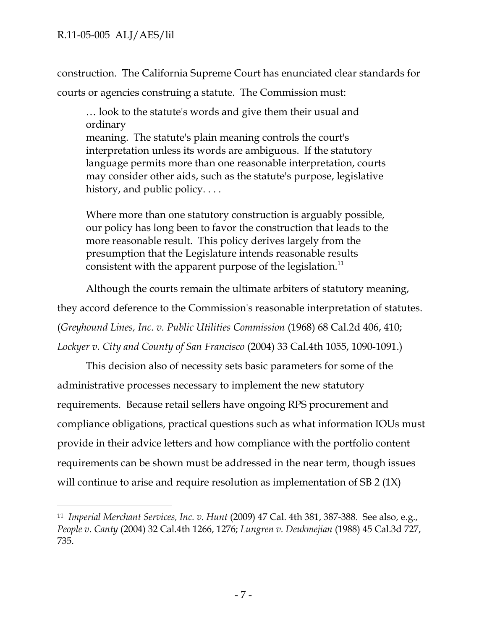$\overline{a}$ 

construction. The California Supreme Court has enunciated clear standards for courts or agencies construing a statute. The Commission must:

… look to the statute's words and give them their usual and ordinary meaning. The statute's plain meaning controls the court's

interpretation unless its words are ambiguous. If the statutory language permits more than one reasonable interpretation, courts may consider other aids, such as the statute's purpose, legislative history, and public policy. . . .

Where more than one statutory construction is arguably possible, our policy has long been to favor the construction that leads to the more reasonable result. This policy derives largely from the presumption that the Legislature intends reasonable results consistent with the apparent purpose of the legislation.<sup>11</sup>

Although the courts remain the ultimate arbiters of statutory meaning, they accord deference to the Commission's reasonable interpretation of statutes. (*Greyhound Lines, Inc. v. Public Utilities Commission* (1968) 68 Cal.2d 406, 410; *Lockyer v. City and County of San Francisco* (2004) 33 Cal.4th 1055, 1090-1091.)

This decision also of necessity sets basic parameters for some of the administrative processes necessary to implement the new statutory requirements. Because retail sellers have ongoing RPS procurement and compliance obligations, practical questions such as what information IOUs must provide in their advice letters and how compliance with the portfolio content requirements can be shown must be addressed in the near term, though issues will continue to arise and require resolution as implementation of SB 2 (1X)

<sup>11</sup> *Imperial Merchant Services, Inc. v. Hunt* (2009) 47 Cal. 4th 381, 387-388. See also, e.g., *People v. Canty* (2004) 32 Cal.4th 1266, 1276; *Lungren v. Deukmejian* (1988) 45 Cal.3d 727, 735.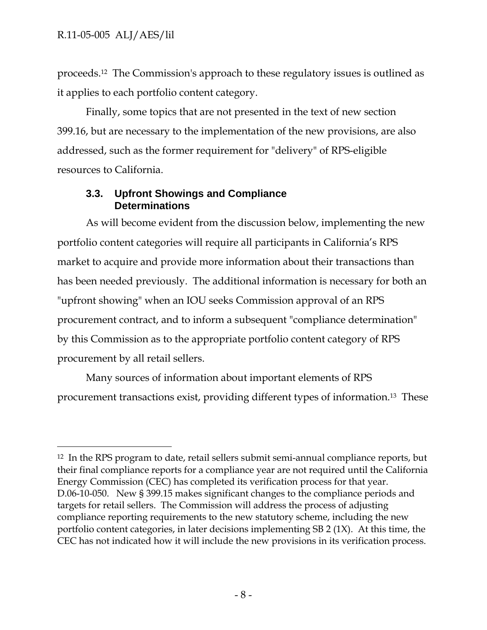proceeds.12 The Commission's approach to these regulatory issues is outlined as it applies to each portfolio content category.

Finally, some topics that are not presented in the text of new section 399.16, but are necessary to the implementation of the new provisions, are also addressed, such as the former requirement for "delivery" of RPS-eligible resources to California.

## **3.3. Upfront Showings and Compliance Determinations**

As will become evident from the discussion below, implementing the new portfolio content categories will require all participants in California's RPS market to acquire and provide more information about their transactions than has been needed previously. The additional information is necessary for both an "upfront showing" when an IOU seeks Commission approval of an RPS procurement contract, and to inform a subsequent "compliance determination" by this Commission as to the appropriate portfolio content category of RPS procurement by all retail sellers.

Many sources of information about important elements of RPS procurement transactions exist, providing different types of information.13 These

<sup>12</sup> In the RPS program to date, retail sellers submit semi-annual compliance reports, but their final compliance reports for a compliance year are not required until the California Energy Commission (CEC) has completed its verification process for that year. D.06-10-050. New § 399.15 makes significant changes to the compliance periods and targets for retail sellers. The Commission will address the process of adjusting compliance reporting requirements to the new statutory scheme, including the new portfolio content categories, in later decisions implementing SB 2 (1X). At this time, the CEC has not indicated how it will include the new provisions in its verification process.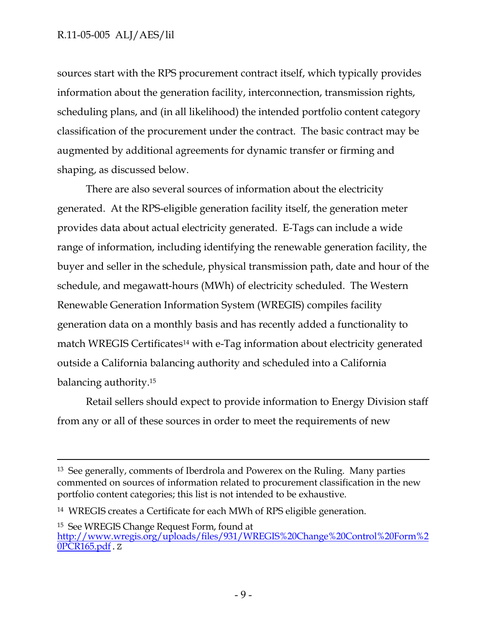### R.11-05-005 ALJ/AES/lil

sources start with the RPS procurement contract itself, which typically provides information about the generation facility, interconnection, transmission rights, scheduling plans, and (in all likelihood) the intended portfolio content category classification of the procurement under the contract. The basic contract may be augmented by additional agreements for dynamic transfer or firming and shaping, as discussed below.

There are also several sources of information about the electricity generated. At the RPS-eligible generation facility itself, the generation meter provides data about actual electricity generated. E-Tags can include a wide range of information, including identifying the renewable generation facility, the buyer and seller in the schedule, physical transmission path, date and hour of the schedule, and megawatt-hours (MWh) of electricity scheduled. The Western Renewable Generation Information System (WREGIS) compiles facility generation data on a monthly basis and has recently added a functionality to match WREGIS Certificates<sup>14</sup> with e-Tag information about electricity generated outside a California balancing authority and scheduled into a California balancing authority.15

Retail sellers should expect to provide information to Energy Division staff from any or all of these sources in order to meet the requirements of new

 <sup>13</sup> See generally, comments of Iberdrola and Powerex on the Ruling. Many parties commented on sources of information related to procurement classification in the new portfolio content categories; this list is not intended to be exhaustive.

<sup>14</sup> WREGIS creates a Certificate for each MWh of RPS eligible generation.

<sup>15</sup> See WREGIS Change Request Form, found at http://www.wregis.org/uploads/files/931/WREGIS%20Change%20Control%20Form%2  $0P\bar{C}R165.pdf.$  Z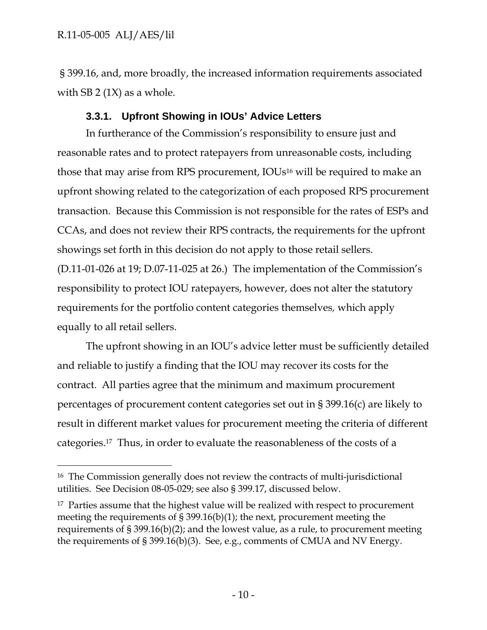§ 399.16, and, more broadly, the increased information requirements associated with SB 2  $(1X)$  as a whole.

## **3.3.1. Upfront Showing in IOUs' Advice Letters**

In furtherance of the Commission's responsibility to ensure just and reasonable rates and to protect ratepayers from unreasonable costs, including those that may arise from RPS procurement, IOUs<sup>16</sup> will be required to make an upfront showing related to the categorization of each proposed RPS procurement transaction. Because this Commission is not responsible for the rates of ESPs and CCAs, and does not review their RPS contracts, the requirements for the upfront showings set forth in this decision do not apply to those retail sellers. (D.11-01-026 at 19; D.07-11-025 at 26.) The implementation of the Commission's responsibility to protect IOU ratepayers, however, does not alter the statutory

requirements for the portfolio content categories themselves*,* which apply equally to all retail sellers.

The upfront showing in an IOU's advice letter must be sufficiently detailed and reliable to justify a finding that the IOU may recover its costs for the contract. All parties agree that the minimum and maximum procurement percentages of procurement content categories set out in § 399.16(c) are likely to result in different market values for procurement meeting the criteria of different categories.17 Thus, in order to evaluate the reasonableness of the costs of a

<sup>&</sup>lt;sup>16</sup> The Commission generally does not review the contracts of multi-jurisdictional utilities. See Decision 08-05-029; see also § 399.17, discussed below.

<sup>&</sup>lt;sup>17</sup> Parties assume that the highest value will be realized with respect to procurement meeting the requirements of § 399.16(b)(1); the next, procurement meeting the requirements of § 399.16(b)(2); and the lowest value, as a rule, to procurement meeting the requirements of § 399.16(b)(3). See, e.g., comments of CMUA and NV Energy.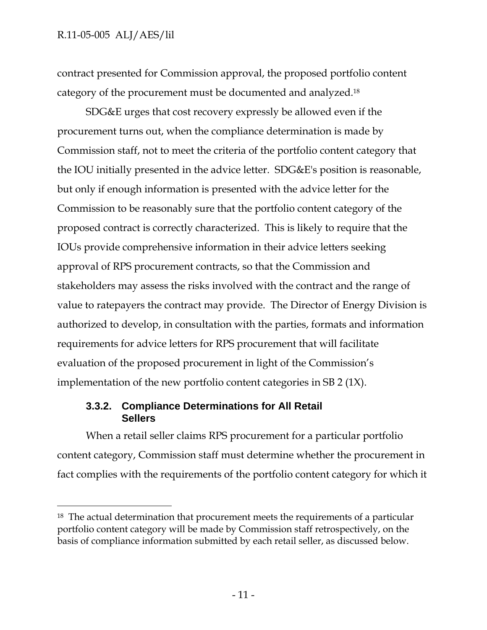contract presented for Commission approval, the proposed portfolio content category of the procurement must be documented and analyzed.18

SDG&E urges that cost recovery expressly be allowed even if the procurement turns out, when the compliance determination is made by Commission staff, not to meet the criteria of the portfolio content category that the IOU initially presented in the advice letter. SDG&E's position is reasonable, but only if enough information is presented with the advice letter for the Commission to be reasonably sure that the portfolio content category of the proposed contract is correctly characterized. This is likely to require that the IOUs provide comprehensive information in their advice letters seeking approval of RPS procurement contracts, so that the Commission and stakeholders may assess the risks involved with the contract and the range of value to ratepayers the contract may provide. The Director of Energy Division is authorized to develop, in consultation with the parties, formats and information requirements for advice letters for RPS procurement that will facilitate evaluation of the proposed procurement in light of the Commission's implementation of the new portfolio content categories in SB 2 (1X).

## **3.3.2. Compliance Determinations for All Retail Sellers**

When a retail seller claims RPS procurement for a particular portfolio content category, Commission staff must determine whether the procurement in fact complies with the requirements of the portfolio content category for which it

<sup>&</sup>lt;sup>18</sup> The actual determination that procurement meets the requirements of a particular portfolio content category will be made by Commission staff retrospectively, on the basis of compliance information submitted by each retail seller, as discussed below.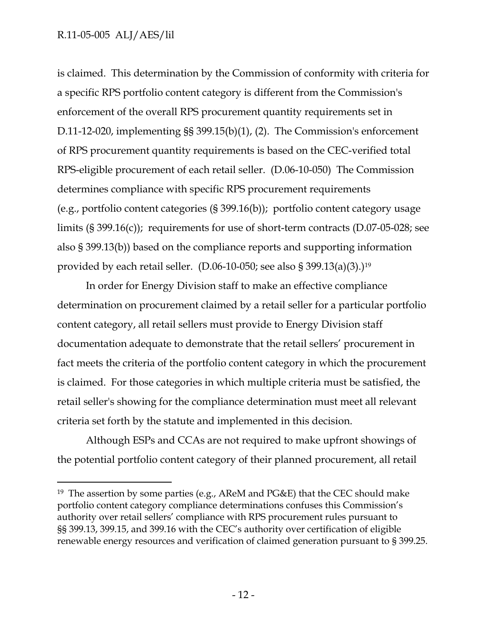#### R.11-05-005 ALJ/AES/lil

-

is claimed. This determination by the Commission of conformity with criteria for a specific RPS portfolio content category is different from the Commission's enforcement of the overall RPS procurement quantity requirements set in D.11-12-020, implementing §§ 399.15(b)(1), (2). The Commission's enforcement of RPS procurement quantity requirements is based on the CEC-verified total RPS-eligible procurement of each retail seller. (D.06-10-050) The Commission determines compliance with specific RPS procurement requirements (e.g., portfolio content categories (§ 399.16(b)); portfolio content category usage limits (§ 399.16(c)); requirements for use of short-term contracts (D.07-05-028; see also § 399.13(b)) based on the compliance reports and supporting information provided by each retail seller. (D.06-10-050; see also § 399.13(a)(3).)<sup>19</sup>

In order for Energy Division staff to make an effective compliance determination on procurement claimed by a retail seller for a particular portfolio content category, all retail sellers must provide to Energy Division staff documentation adequate to demonstrate that the retail sellers' procurement in fact meets the criteria of the portfolio content category in which the procurement is claimed. For those categories in which multiple criteria must be satisfied, the retail seller's showing for the compliance determination must meet all relevant criteria set forth by the statute and implemented in this decision.

Although ESPs and CCAs are not required to make upfront showings of the potential portfolio content category of their planned procurement, all retail

<sup>&</sup>lt;sup>19</sup> The assertion by some parties (e.g., AReM and PG&E) that the CEC should make portfolio content category compliance determinations confuses this Commission's authority over retail sellers' compliance with RPS procurement rules pursuant to §§ 399.13, 399.15, and 399.16 with the CEC's authority over certification of eligible renewable energy resources and verification of claimed generation pursuant to § 399.25.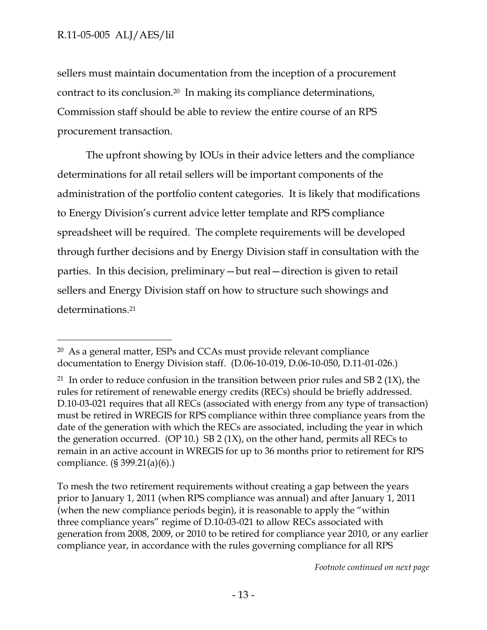sellers must maintain documentation from the inception of a procurement contract to its conclusion.20 In making its compliance determinations, Commission staff should be able to review the entire course of an RPS procurement transaction.

The upfront showing by IOUs in their advice letters and the compliance determinations for all retail sellers will be important components of the administration of the portfolio content categories. It is likely that modifications to Energy Division's current advice letter template and RPS compliance spreadsheet will be required. The complete requirements will be developed through further decisions and by Energy Division staff in consultation with the parties. In this decision, preliminary—but real—direction is given to retail sellers and Energy Division staff on how to structure such showings and determinations.21

To mesh the two retirement requirements without creating a gap between the years prior to January 1, 2011 (when RPS compliance was annual) and after January 1, 2011 (when the new compliance periods begin), it is reasonable to apply the "within three compliance years" regime of D.10-03-021 to allow RECs associated with generation from 2008, 2009, or 2010 to be retired for compliance year 2010, or any earlier compliance year, in accordance with the rules governing compliance for all RPS

*Footnote continued on next page*

<sup>20</sup> As a general matter, ESPs and CCAs must provide relevant compliance documentation to Energy Division staff. (D.06-10-019, D.06-10-050, D.11-01-026.)

<sup>&</sup>lt;sup>21</sup> In order to reduce confusion in the transition between prior rules and SB 2 (1X), the rules for retirement of renewable energy credits (RECs) should be briefly addressed. D.10-03-021 requires that all RECs (associated with energy from any type of transaction) must be retired in WREGIS for RPS compliance within three compliance years from the date of the generation with which the RECs are associated, including the year in which the generation occurred. (OP 10.) SB 2 (1X), on the other hand, permits all RECs to remain in an active account in WREGIS for up to 36 months prior to retirement for RPS compliance. (§ 399.21(a)(6).)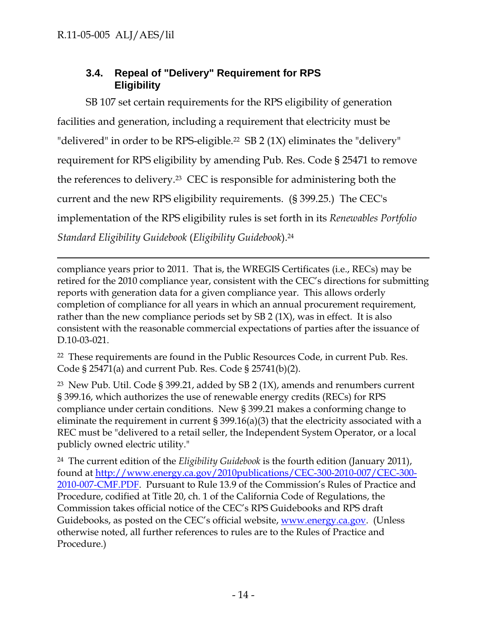$\overline{a}$ 

## **3.4. Repeal of "Delivery" Requirement for RPS Eligibility**

SB 107 set certain requirements for the RPS eligibility of generation facilities and generation, including a requirement that electricity must be "delivered" in order to be RPS-eligible.<sup>22</sup> SB 2 (1X) eliminates the "delivery" requirement for RPS eligibility by amending Pub. Res. Code § 25471 to remove the references to delivery.23 CEC is responsible for administering both the current and the new RPS eligibility requirements. (§ 399.25.) The CEC's implementation of the RPS eligibility rules is set forth in its *Renewables Portfolio Standard Eligibility Guidebook* (*Eligibility Guidebook*).24

compliance years prior to 2011. That is, the WREGIS Certificates (i.e., RECs) may be retired for the 2010 compliance year, consistent with the CEC's directions for submitting reports with generation data for a given compliance year. This allows orderly completion of compliance for all years in which an annual procurement requirement, rather than the new compliance periods set by SB 2 (1X), was in effect. It is also consistent with the reasonable commercial expectations of parties after the issuance of D.10-03-021.

22 These requirements are found in the Public Resources Code, in current Pub. Res. Code § 25471(a) and current Pub. Res. Code § 25741(b)(2).

23 New Pub. Util. Code § 399.21, added by SB 2 (1X), amends and renumbers current § 399.16, which authorizes the use of renewable energy credits (RECs) for RPS compliance under certain conditions. New § 399.21 makes a conforming change to eliminate the requirement in current § 399.16(a)(3) that the electricity associated with a REC must be "delivered to a retail seller, the Independent System Operator, or a local publicly owned electric utility."

24 The current edition of the *Eligibility Guidebook* is the fourth edition (January 2011), found at http://www.energy.ca.gov/2010publications/CEC-300-2010-007/CEC-300- 2010-007-CMF.PDF. Pursuant to Rule 13.9 of the Commission's Rules of Practice and Procedure, codified at Title 20, ch. 1 of the California Code of Regulations, the Commission takes official notice of the CEC's RPS Guidebooks and RPS draft Guidebooks, as posted on the CEC's official website, www.energy.ca.gov. (Unless otherwise noted, all further references to rules are to the Rules of Practice and Procedure.)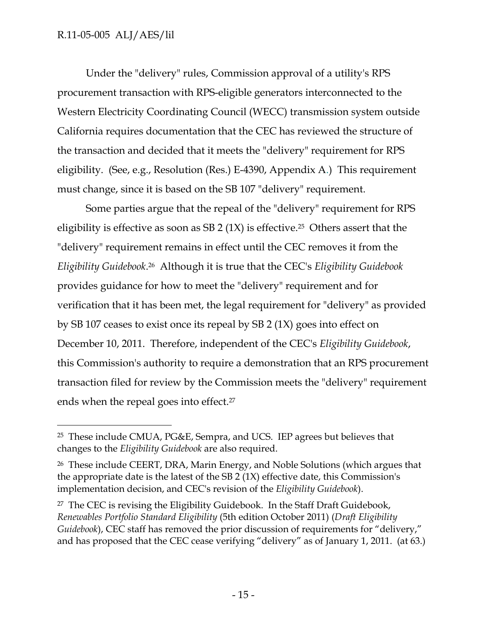Under the "delivery" rules, Commission approval of a utility's RPS procurement transaction with RPS-eligible generators interconnected to the Western Electricity Coordinating Council (WECC) transmission system outside California requires documentation that the CEC has reviewed the structure of the transaction and decided that it meets the "delivery" requirement for RPS eligibility. (See, e.g., Resolution (Res.) E-4390, Appendix A.) This requirement must change, since it is based on the SB 107 "delivery" requirement.

Some parties argue that the repeal of the "delivery" requirement for RPS eligibility is effective as soon as SB 2  $(1X)$  is effective.<sup>25</sup> Others assert that the "delivery" requirement remains in effect until the CEC removes it from the *Eligibility Guidebook*.26 Although it is true that the CEC's *Eligibility Guidebook* provides guidance for how to meet the "delivery" requirement and for verification that it has been met, the legal requirement for "delivery" as provided by SB 107 ceases to exist once its repeal by SB 2 (1X) goes into effect on December 10, 2011. Therefore, independent of the CEC's *Eligibility Guidebook*, this Commission's authority to require a demonstration that an RPS procurement transaction filed for review by the Commission meets the "delivery" requirement ends when the repeal goes into effect.<sup>27</sup>

<sup>-</sup>25 These include CMUA, PG&E, Sempra, and UCS. IEP agrees but believes that changes to the *Eligibility Guidebook* are also required.

<sup>26</sup> These include CEERT, DRA, Marin Energy, and Noble Solutions (which argues that the appropriate date is the latest of the SB 2 (1X) effective date, this Commission's implementation decision, and CEC's revision of the *Eligibility Guidebook*).

<sup>27</sup> The CEC is revising the Eligibility Guidebook. In the Staff Draft Guidebook, *Renewables Portfolio Standard Eligibility* (5th edition October 2011) (*Draft Eligibility Guidebook*), CEC staff has removed the prior discussion of requirements for "delivery," and has proposed that the CEC cease verifying "delivery" as of January 1, 2011. (at 63.)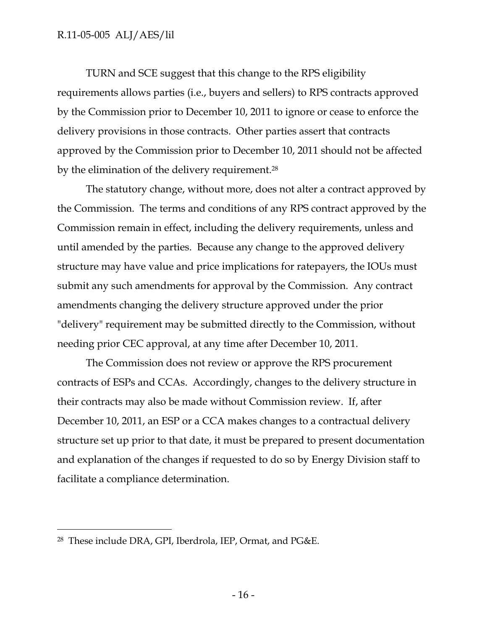TURN and SCE suggest that this change to the RPS eligibility requirements allows parties (i.e., buyers and sellers) to RPS contracts approved by the Commission prior to December 10, 2011 to ignore or cease to enforce the delivery provisions in those contracts. Other parties assert that contracts approved by the Commission prior to December 10, 2011 should not be affected by the elimination of the delivery requirement.<sup>28</sup>

The statutory change, without more, does not alter a contract approved by the Commission. The terms and conditions of any RPS contract approved by the Commission remain in effect, including the delivery requirements, unless and until amended by the parties. Because any change to the approved delivery structure may have value and price implications for ratepayers, the IOUs must submit any such amendments for approval by the Commission. Any contract amendments changing the delivery structure approved under the prior "delivery" requirement may be submitted directly to the Commission, without needing prior CEC approval, at any time after December 10, 2011.

The Commission does not review or approve the RPS procurement contracts of ESPs and CCAs. Accordingly, changes to the delivery structure in their contracts may also be made without Commission review. If, after December 10, 2011, an ESP or a CCA makes changes to a contractual delivery structure set up prior to that date, it must be prepared to present documentation and explanation of the changes if requested to do so by Energy Division staff to facilitate a compliance determination.

 $\overline{a}$ 

<sup>28</sup> These include DRA, GPI, Iberdrola, IEP, Ormat, and PG&E.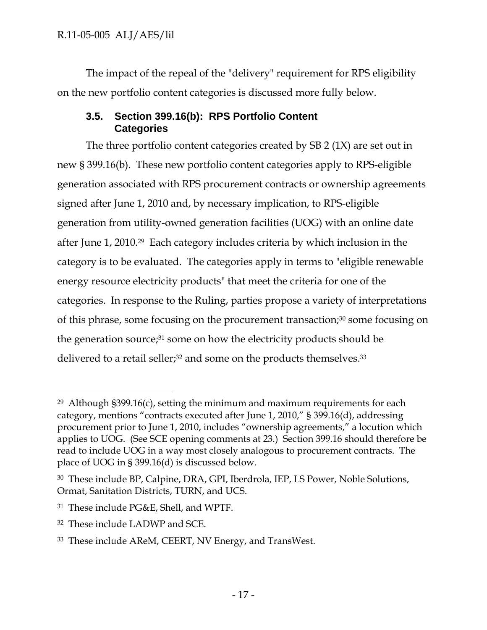The impact of the repeal of the "delivery" requirement for RPS eligibility on the new portfolio content categories is discussed more fully below.

## **3.5. Section 399.16(b): RPS Portfolio Content Categories**

The three portfolio content categories created by SB 2 (1X) are set out in new § 399.16(b). These new portfolio content categories apply to RPS-eligible generation associated with RPS procurement contracts or ownership agreements signed after June 1, 2010 and, by necessary implication, to RPS-eligible generation from utility-owned generation facilities (UOG) with an online date after June 1, 2010.29 Each category includes criteria by which inclusion in the category is to be evaluated. The categories apply in terms to "eligible renewable energy resource electricity products" that meet the criteria for one of the categories. In response to the Ruling, parties propose a variety of interpretations of this phrase, some focusing on the procurement transaction;<sup>30</sup> some focusing on the generation source;<sup>31</sup> some on how the electricity products should be delivered to a retail seller;<sup>32</sup> and some on the products themselves.<sup>33</sup>

-

<sup>&</sup>lt;sup>29</sup> Although §399.16(c), setting the minimum and maximum requirements for each category, mentions "contracts executed after June 1, 2010," § 399.16(d), addressing procurement prior to June 1, 2010, includes "ownership agreements," a locution which applies to UOG. (See SCE opening comments at 23.) Section 399.16 should therefore be read to include UOG in a way most closely analogous to procurement contracts. The place of UOG in § 399.16(d) is discussed below.

<sup>30</sup> These include BP, Calpine, DRA, GPI, Iberdrola, IEP, LS Power, Noble Solutions, Ormat, Sanitation Districts, TURN, and UCS.

<sup>31</sup> These include PG&E, Shell, and WPTF.

<sup>32</sup> These include LADWP and SCE.

<sup>33</sup> These include AReM, CEERT, NV Energy, and TransWest.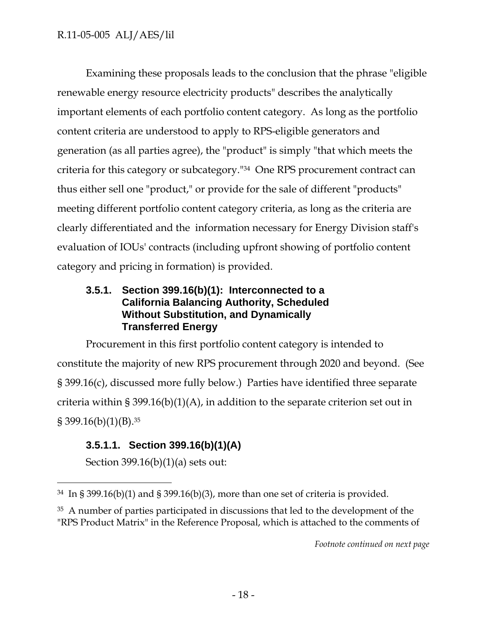Examining these proposals leads to the conclusion that the phrase "eligible renewable energy resource electricity products" describes the analytically important elements of each portfolio content category. As long as the portfolio content criteria are understood to apply to RPS-eligible generators and generation (as all parties agree), the "product" is simply "that which meets the criteria for this category or subcategory."34 One RPS procurement contract can thus either sell one "product," or provide for the sale of different "products" meeting different portfolio content category criteria, as long as the criteria are clearly differentiated and the information necessary for Energy Division staff's evaluation of IOUs' contracts (including upfront showing of portfolio content category and pricing in formation) is provided.

## **3.5.1. Section 399.16(b)(1): Interconnected to a California Balancing Authority, Scheduled Without Substitution, and Dynamically Transferred Energy**

Procurement in this first portfolio content category is intended to constitute the majority of new RPS procurement through 2020 and beyond. (See § 399.16(c), discussed more fully below.) Parties have identified three separate criteria within § 399.16(b)(1)(A), in addition to the separate criterion set out in  $\S 399.16(b)(1)(B).^{35}$ 

# **3.5.1.1. Section 399.16(b)(1)(A)**

Section  $399.16(b)(1)(a)$  sets out:

-

*Footnote continued on next page*

 $34$  In § 399.16(b)(1) and § 399.16(b)(3), more than one set of criteria is provided.

<sup>35</sup> A number of parties participated in discussions that led to the development of the "RPS Product Matrix" in the Reference Proposal, which is attached to the comments of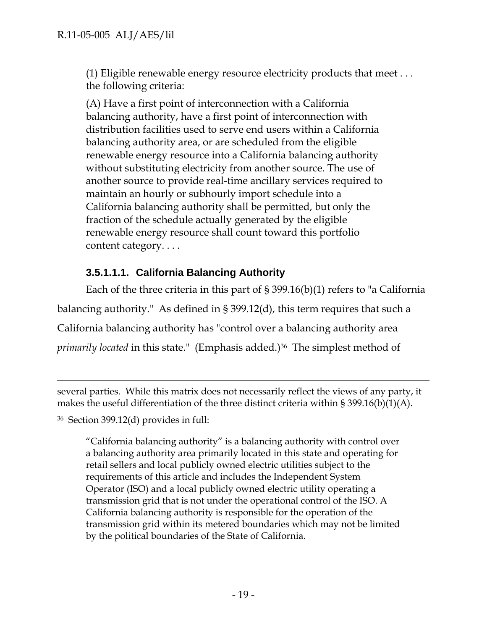(1) Eligible renewable energy resource electricity products that meet . . . the following criteria:

(A) Have a first point of interconnection with a California balancing authority, have a first point of interconnection with distribution facilities used to serve end users within a California balancing authority area, or are scheduled from the eligible renewable energy resource into a California balancing authority without substituting electricity from another source. The use of another source to provide real-time ancillary services required to maintain an hourly or subhourly import schedule into a California balancing authority shall be permitted, but only the fraction of the schedule actually generated by the eligible renewable energy resource shall count toward this portfolio content category. . . .

## **3.5.1.1.1. California Balancing Authority**

Each of the three criteria in this part of § 399.16(b)(1) refers to "a California balancing authority." As defined in § 399.12(d), this term requires that such a California balancing authority has "control over a balancing authority area *primarily located* in this state." (Emphasis added.)<sup>36</sup> The simplest method of

several parties. While this matrix does not necessarily reflect the views of any party, it makes the useful differentiation of the three distinct criteria within § 399.16(b)(1)(A).

36 Section 399.12(d) provides in full:

-

"California balancing authority" is a balancing authority with control over a balancing authority area primarily located in this state and operating for retail sellers and local publicly owned electric utilities subject to the requirements of this article and includes the Independent System Operator (ISO) and a local publicly owned electric utility operating a transmission grid that is not under the operational control of the ISO. A California balancing authority is responsible for the operation of the transmission grid within its metered boundaries which may not be limited by the political boundaries of the State of California.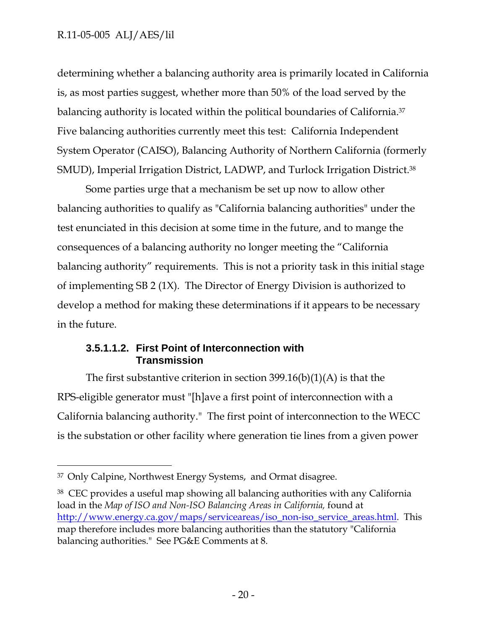### R.11-05-005 ALJ/AES/lil

determining whether a balancing authority area is primarily located in California is, as most parties suggest, whether more than 50% of the load served by the balancing authority is located within the political boundaries of California.37 Five balancing authorities currently meet this test: California Independent System Operator (CAISO), Balancing Authority of Northern California (formerly SMUD), Imperial Irrigation District, LADWP, and Turlock Irrigation District.38

Some parties urge that a mechanism be set up now to allow other balancing authorities to qualify as "California balancing authorities" under the test enunciated in this decision at some time in the future, and to mange the consequences of a balancing authority no longer meeting the "California balancing authority" requirements. This is not a priority task in this initial stage of implementing SB 2 (1X). The Director of Energy Division is authorized to develop a method for making these determinations if it appears to be necessary in the future.

## **3.5.1.1.2. First Point of Interconnection with Transmission**

The first substantive criterion in section 399.16(b)(1)(A) is that the RPS-eligible generator must "[h]ave a first point of interconnection with a California balancing authority." The first point of interconnection to the WECC is the substation or other facility where generation tie lines from a given power

-

<sup>37</sup> Only Calpine, Northwest Energy Systems, and Ormat disagree.

<sup>38</sup> CEC provides a useful map showing all balancing authorities with any California load in the *Map of ISO and Non-ISO Balancing Areas in California,* found at http://www.energy.ca.gov/maps/serviceareas/iso\_non-iso\_service\_areas.html. This map therefore includes more balancing authorities than the statutory "California balancing authorities." See PG&E Comments at 8.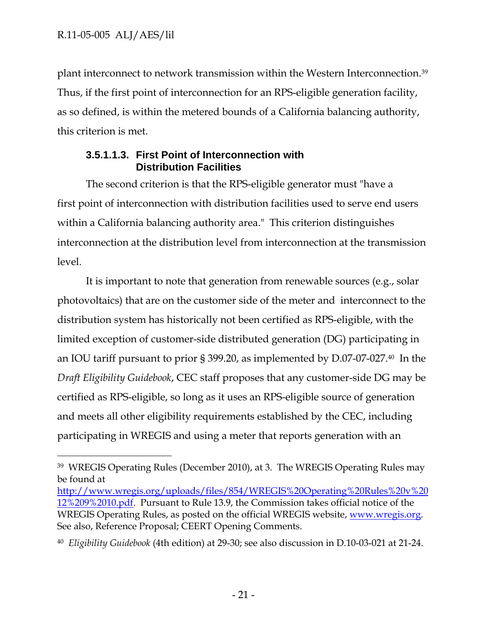$\overline{a}$ 

plant interconnect to network transmission within the Western Interconnection.39 Thus, if the first point of interconnection for an RPS-eligible generation facility, as so defined, is within the metered bounds of a California balancing authority, this criterion is met.

#### **3.5.1.1.3. First Point of Interconnection with Distribution Facilities**

The second criterion is that the RPS-eligible generator must "have a first point of interconnection with distribution facilities used to serve end users within a California balancing authority area." This criterion distinguishes interconnection at the distribution level from interconnection at the transmission level.

It is important to note that generation from renewable sources (e.g., solar photovoltaics) that are on the customer side of the meter and interconnect to the distribution system has historically not been certified as RPS-eligible, with the limited exception of customer-side distributed generation (DG) participating in an IOU tariff pursuant to prior § 399.20, as implemented by D.07-07-027.40 In the *Draft Eligibility Guidebook*, CEC staff proposes that any customer-side DG may be certified as RPS-eligible, so long as it uses an RPS-eligible source of generation and meets all other eligibility requirements established by the CEC, including participating in WREGIS and using a meter that reports generation with an

http://www.wregis.org/uploads/files/854/WREGIS%20Operating%20Rules%20v%20 12%209%2010.pdf. Pursuant to Rule 13.9, the Commission takes official notice of the WREGIS Operating Rules, as posted on the official WREGIS website, www.wregis.org. See also, Reference Proposal; CEERT Opening Comments.

<sup>39</sup> WREGIS Operating Rules (December 2010), at 3. The WREGIS Operating Rules may be found at

<sup>40</sup> *Eligibility Guidebook* (4th edition) at 29-30; see also discussion in D.10-03-021 at 21-24.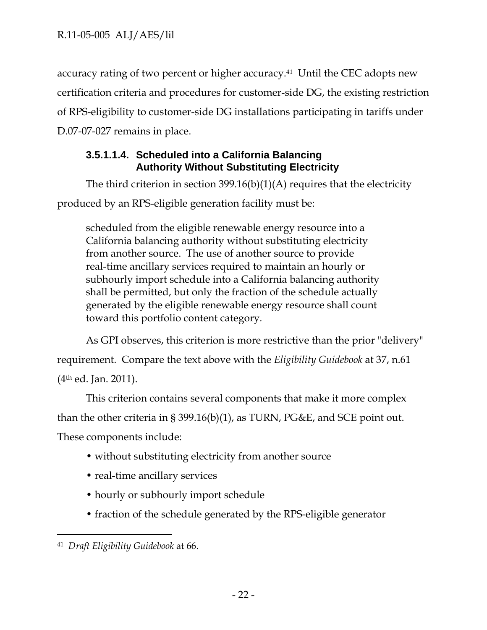accuracy rating of two percent or higher accuracy.41 Until the CEC adopts new certification criteria and procedures for customer-side DG, the existing restriction of RPS-eligibility to customer-side DG installations participating in tariffs under D.07-07-027 remains in place.

## **3.5.1.1.4. Scheduled into a California Balancing Authority Without Substituting Electricity**

The third criterion in section 399.16(b)(1)(A) requires that the electricity produced by an RPS-eligible generation facility must be:

scheduled from the eligible renewable energy resource into a California balancing authority without substituting electricity from another source. The use of another source to provide real-time ancillary services required to maintain an hourly or subhourly import schedule into a California balancing authority shall be permitted, but only the fraction of the schedule actually generated by the eligible renewable energy resource shall count toward this portfolio content category.

As GPI observes, this criterion is more restrictive than the prior "delivery" requirement. Compare the text above with the *Eligibility Guidebook* at 37, n.61 (4th ed. Jan. 2011).

This criterion contains several components that make it more complex than the other criteria in § 399.16(b)(1), as TURN, PG&E, and SCE point out. These components include:

- without substituting electricity from another source
- real-time ancillary services
- hourly or subhourly import schedule
- fraction of the schedule generated by the RPS-eligible generator

<sup>-</sup>41 *Draft Eligibility Guidebook* at 66.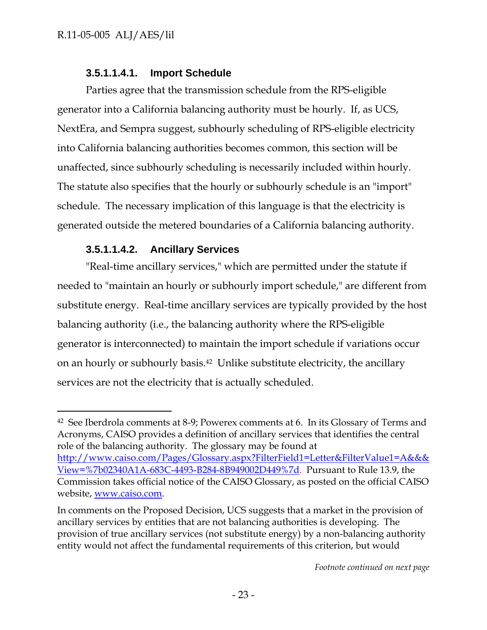#### **3.5.1.1.4.1. Import Schedule**

Parties agree that the transmission schedule from the RPS-eligible generator into a California balancing authority must be hourly. If, as UCS, NextEra, and Sempra suggest, subhourly scheduling of RPS-eligible electricity into California balancing authorities becomes common, this section will be unaffected, since subhourly scheduling is necessarily included within hourly. The statute also specifies that the hourly or subhourly schedule is an "import" schedule. The necessary implication of this language is that the electricity is generated outside the metered boundaries of a California balancing authority.

#### **3.5.1.1.4.2. Ancillary Services**

"Real-time ancillary services," which are permitted under the statute if needed to "maintain an hourly or subhourly import schedule," are different from substitute energy. Real-time ancillary services are typically provided by the host balancing authority (i.e., the balancing authority where the RPS-eligible generator is interconnected) to maintain the import schedule if variations occur on an hourly or subhourly basis.42 Unlike substitute electricity, the ancillary services are not the electricity that is actually scheduled.

<sup>42</sup> See Iberdrola comments at 8-9; Powerex comments at 6. In its Glossary of Terms and Acronyms, CAISO provides a definition of ancillary services that identifies the central role of the balancing authority. The glossary may be found at http://www.caiso.com/Pages/Glossary.aspx?FilterField1=Letter&FilterValue1=A&&& View=%7b02340A1A-683C-4493-B284-8B949002D449%7d. Pursuant to Rule 13.9, the Commission takes official notice of the CAISO Glossary, as posted on the official CAISO website, www.caiso.com.

In comments on the Proposed Decision, UCS suggests that a market in the provision of ancillary services by entities that are not balancing authorities is developing. The provision of true ancillary services (not substitute energy) by a non-balancing authority entity would not affect the fundamental requirements of this criterion, but would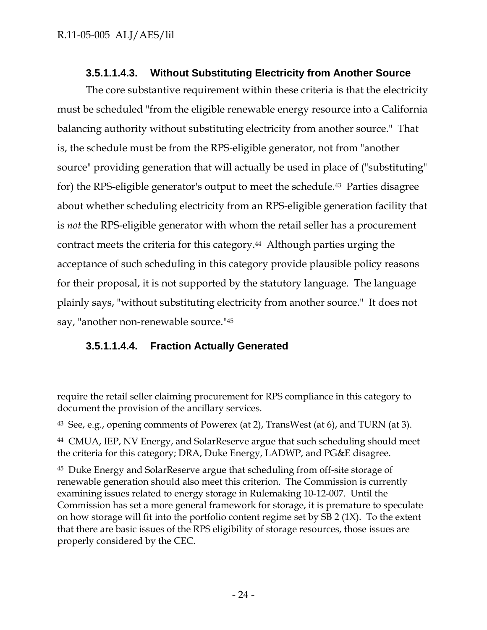## **3.5.1.1.4.3. Without Substituting Electricity from Another Source**

The core substantive requirement within these criteria is that the electricity must be scheduled "from the eligible renewable energy resource into a California balancing authority without substituting electricity from another source." That is, the schedule must be from the RPS-eligible generator, not from "another source" providing generation that will actually be used in place of ("substituting" for) the RPS-eligible generator's output to meet the schedule.43 Parties disagree about whether scheduling electricity from an RPS-eligible generation facility that is *not* the RPS-eligible generator with whom the retail seller has a procurement contract meets the criteria for this category.44 Although parties urging the acceptance of such scheduling in this category provide plausible policy reasons for their proposal, it is not supported by the statutory language. The language plainly says, "without substituting electricity from another source." It does not say, "another non-renewable source."45

#### **3.5.1.1.4.4. Fraction Actually Generated**

44 CMUA, IEP, NV Energy, and SolarReserve argue that such scheduling should meet the criteria for this category; DRA, Duke Energy, LADWP, and PG&E disagree.

45 Duke Energy and SolarReserve argue that scheduling from off-site storage of renewable generation should also meet this criterion. The Commission is currently examining issues related to energy storage in Rulemaking 10-12-007. Until the Commission has set a more general framework for storage, it is premature to speculate on how storage will fit into the portfolio content regime set by SB 2 (1X). To the extent that there are basic issues of the RPS eligibility of storage resources, those issues are properly considered by the CEC.

require the retail seller claiming procurement for RPS compliance in this category to document the provision of the ancillary services.

<sup>43</sup> See, e.g., opening comments of Powerex (at 2), TransWest (at 6), and TURN (at 3).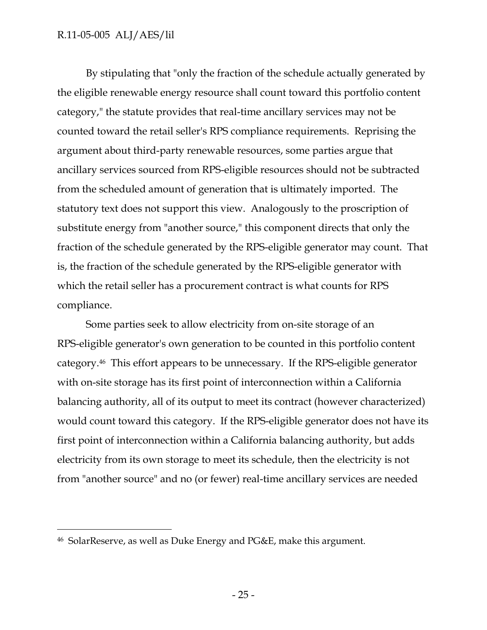#### R.11-05-005 ALJ/AES/lil

By stipulating that "only the fraction of the schedule actually generated by the eligible renewable energy resource shall count toward this portfolio content category," the statute provides that real-time ancillary services may not be counted toward the retail seller's RPS compliance requirements. Reprising the argument about third-party renewable resources, some parties argue that ancillary services sourced from RPS-eligible resources should not be subtracted from the scheduled amount of generation that is ultimately imported. The statutory text does not support this view. Analogously to the proscription of substitute energy from "another source," this component directs that only the fraction of the schedule generated by the RPS-eligible generator may count. That is, the fraction of the schedule generated by the RPS-eligible generator with which the retail seller has a procurement contract is what counts for RPS compliance.

Some parties seek to allow electricity from on-site storage of an RPS-eligible generator's own generation to be counted in this portfolio content category.46 This effort appears to be unnecessary. If the RPS-eligible generator with on-site storage has its first point of interconnection within a California balancing authority, all of its output to meet its contract (however characterized) would count toward this category. If the RPS-eligible generator does not have its first point of interconnection within a California balancing authority, but adds electricity from its own storage to meet its schedule, then the electricity is not from "another source" and no (or fewer) real-time ancillary services are needed

 $\overline{a}$ 

<sup>46</sup> SolarReserve, as well as Duke Energy and PG&E, make this argument.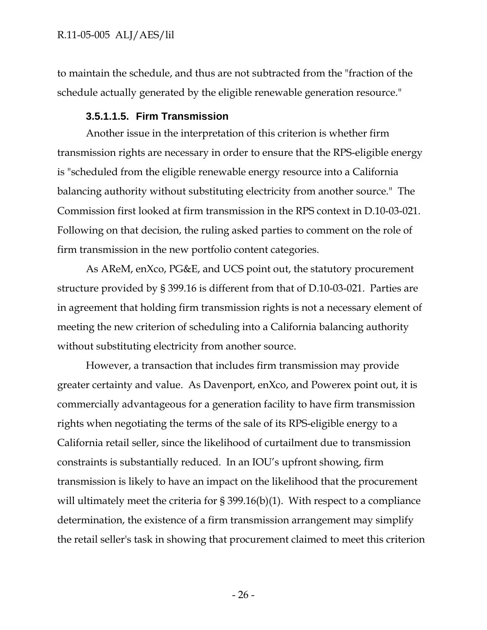to maintain the schedule, and thus are not subtracted from the "fraction of the schedule actually generated by the eligible renewable generation resource."

#### **3.5.1.1.5. Firm Transmission**

Another issue in the interpretation of this criterion is whether firm transmission rights are necessary in order to ensure that the RPS-eligible energy is "scheduled from the eligible renewable energy resource into a California balancing authority without substituting electricity from another source." The Commission first looked at firm transmission in the RPS context in D.10-03-021. Following on that decision, the ruling asked parties to comment on the role of firm transmission in the new portfolio content categories.

As AReM, enXco, PG&E, and UCS point out, the statutory procurement structure provided by § 399.16 is different from that of D.10-03-021. Parties are in agreement that holding firm transmission rights is not a necessary element of meeting the new criterion of scheduling into a California balancing authority without substituting electricity from another source.

However, a transaction that includes firm transmission may provide greater certainty and value. As Davenport, enXco, and Powerex point out, it is commercially advantageous for a generation facility to have firm transmission rights when negotiating the terms of the sale of its RPS-eligible energy to a California retail seller, since the likelihood of curtailment due to transmission constraints is substantially reduced. In an IOU's upfront showing, firm transmission is likely to have an impact on the likelihood that the procurement will ultimately meet the criteria for § 399.16(b)(1). With respect to a compliance determination, the existence of a firm transmission arrangement may simplify the retail seller's task in showing that procurement claimed to meet this criterion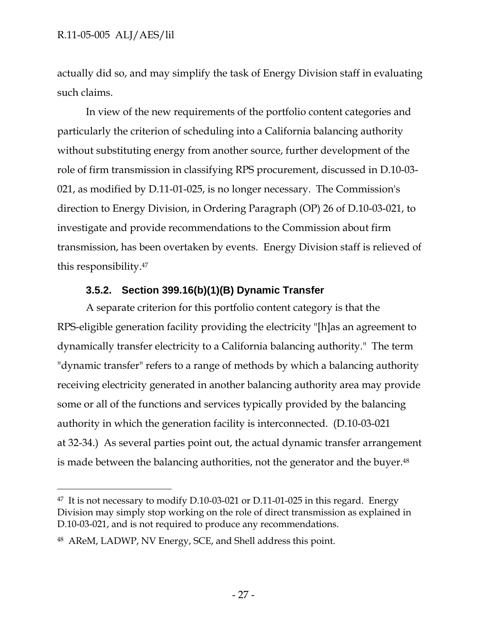actually did so, and may simplify the task of Energy Division staff in evaluating such claims.

In view of the new requirements of the portfolio content categories and particularly the criterion of scheduling into a California balancing authority without substituting energy from another source, further development of the role of firm transmission in classifying RPS procurement, discussed in D.10-03- 021, as modified by D.11-01-025, is no longer necessary. The Commission's direction to Energy Division, in Ordering Paragraph (OP) 26 of D.10-03-021, to investigate and provide recommendations to the Commission about firm transmission, has been overtaken by events. Energy Division staff is relieved of this responsibility.47

#### **3.5.2. Section 399.16(b)(1)(B) Dynamic Transfer**

A separate criterion for this portfolio content category is that the RPS-eligible generation facility providing the electricity "[h]as an agreement to dynamically transfer electricity to a California balancing authority." The term "dynamic transfer" refers to a range of methods by which a balancing authority receiving electricity generated in another balancing authority area may provide some or all of the functions and services typically provided by the balancing authority in which the generation facility is interconnected. (D.10-03-021 at 32-34.) As several parties point out, the actual dynamic transfer arrangement is made between the balancing authorities, not the generator and the buyer.<sup>48</sup>

 $\overline{a}$ 

<sup>47</sup> It is not necessary to modify D.10-03-021 or D.11-01-025 in this regard. Energy Division may simply stop working on the role of direct transmission as explained in D.10-03-021, and is not required to produce any recommendations.

<sup>48</sup> AReM, LADWP, NV Energy, SCE, and Shell address this point.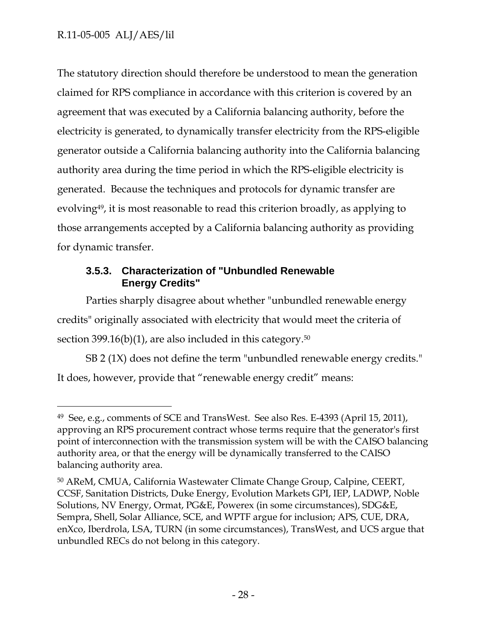The statutory direction should therefore be understood to mean the generation claimed for RPS compliance in accordance with this criterion is covered by an agreement that was executed by a California balancing authority, before the electricity is generated, to dynamically transfer electricity from the RPS-eligible generator outside a California balancing authority into the California balancing authority area during the time period in which the RPS-eligible electricity is generated. Because the techniques and protocols for dynamic transfer are evolving49, it is most reasonable to read this criterion broadly, as applying to those arrangements accepted by a California balancing authority as providing for dynamic transfer.

## **3.5.3. Characterization of "Unbundled Renewable Energy Credits"**

Parties sharply disagree about whether "unbundled renewable energy credits" originally associated with electricity that would meet the criteria of section 399.16(b)(1), are also included in this category.<sup>50</sup>

SB 2 (1X) does not define the term "unbundled renewable energy credits." It does, however, provide that "renewable energy credit" means:

<sup>49</sup> See, e.g., comments of SCE and TransWest. See also Res. E-4393 (April 15, 2011), approving an RPS procurement contract whose terms require that the generator's first point of interconnection with the transmission system will be with the CAISO balancing authority area, or that the energy will be dynamically transferred to the CAISO balancing authority area.

<sup>50</sup> AReM, CMUA, California Wastewater Climate Change Group, Calpine, CEERT, CCSF, Sanitation Districts, Duke Energy, Evolution Markets GPI, IEP, LADWP, Noble Solutions, NV Energy, Ormat, PG&E, Powerex (in some circumstances), SDG&E, Sempra, Shell, Solar Alliance, SCE, and WPTF argue for inclusion; APS, CUE, DRA, enXco, Iberdrola, LSA, TURN (in some circumstances), TransWest, and UCS argue that unbundled RECs do not belong in this category.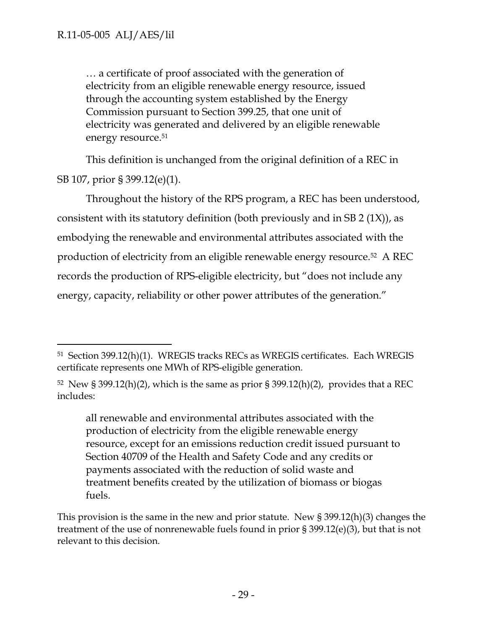… a certificate of proof associated with the generation of electricity from an eligible renewable energy resource, issued through the accounting system established by the Energy Commission pursuant to Section 399.25, that one unit of electricity was generated and delivered by an eligible renewable energy resource.<sup>51</sup>

This definition is unchanged from the original definition of a REC in SB 107, prior § 399.12(e)(1).

Throughout the history of the RPS program, a REC has been understood, consistent with its statutory definition (both previously and in SB 2 (1X)), as embodying the renewable and environmental attributes associated with the production of electricity from an eligible renewable energy resource.52 A REC records the production of RPS-eligible electricity, but "does not include any energy, capacity, reliability or other power attributes of the generation."

all renewable and environmental attributes associated with the production of electricity from the eligible renewable energy resource, except for an emissions reduction credit issued pursuant to Section 40709 of the Health and Safety Code and any credits or payments associated with the reduction of solid waste and treatment benefits created by the utilization of biomass or biogas fuels.

This provision is the same in the new and prior statute. New § 399.12(h)(3) changes the treatment of the use of nonrenewable fuels found in prior § 399.12(e)(3), but that is not relevant to this decision.

<sup>51</sup> Section 399.12(h)(1). WREGIS tracks RECs as WREGIS certificates. Each WREGIS certificate represents one MWh of RPS-eligible generation.

 $52$  New § 399.12(h)(2), which is the same as prior § 399.12(h)(2), provides that a REC includes: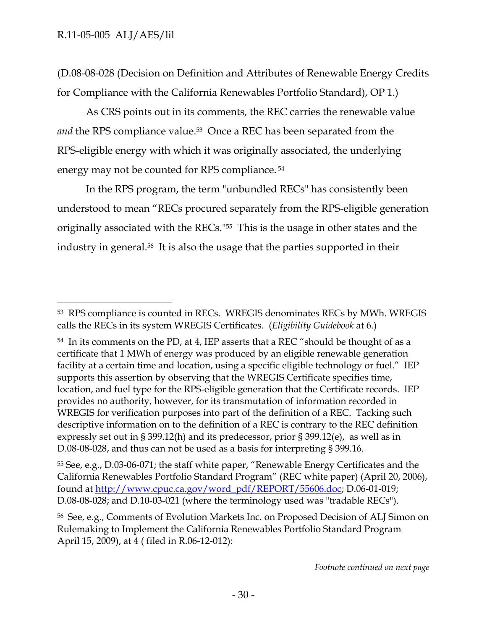(D.08-08-028 (Decision on Definition and Attributes of Renewable Energy Credits for Compliance with the California Renewables Portfolio Standard), OP 1.)

As CRS points out in its comments, the REC carries the renewable value and the RPS compliance value.<sup>53</sup> Once a REC has been separated from the RPS-eligible energy with which it was originally associated, the underlying energy may not be counted for RPS compliance. 54

In the RPS program, the term "unbundled RECs" has consistently been understood to mean "RECs procured separately from the RPS-eligible generation originally associated with the RECs."55 This is the usage in other states and the industry in general.56 It is also the usage that the parties supported in their

<sup>53</sup> RPS compliance is counted in RECs. WREGIS denominates RECs by MWh. WREGIS calls the RECs in its system WREGIS Certificates. (*Eligibility Guidebook* at 6.)

<sup>54</sup> In its comments on the PD, at 4, IEP asserts that a REC "should be thought of as a certificate that 1 MWh of energy was produced by an eligible renewable generation facility at a certain time and location, using a specific eligible technology or fuel." IEP supports this assertion by observing that the WREGIS Certificate specifies time, location, and fuel type for the RPS-eligible generation that the Certificate records. IEP provides no authority, however, for its transmutation of information recorded in WREGIS for verification purposes into part of the definition of a REC. Tacking such descriptive information on to the definition of a REC is contrary to the REC definition expressly set out in § 399.12(h) and its predecessor, prior § 399.12(e), as well as in D.08-08-028, and thus can not be used as a basis for interpreting § 399.16.

<sup>55</sup> See, e.g., D.03-06-071; the staff white paper, "Renewable Energy Certificates and the California Renewables Portfolio Standard Program" (REC white paper) (April 20, 2006), found at http://www.cpuc.ca.gov/word\_pdf/REPORT/55606.doc; D.06-01-019; D.08-08-028; and D.10-03-021 (where the terminology used was "tradable RECs").

<sup>56</sup> See, e.g., Comments of Evolution Markets Inc. on Proposed Decision of ALJ Simon on Rulemaking to Implement the California Renewables Portfolio Standard Program April 15, 2009), at 4 ( filed in R.06-12-012):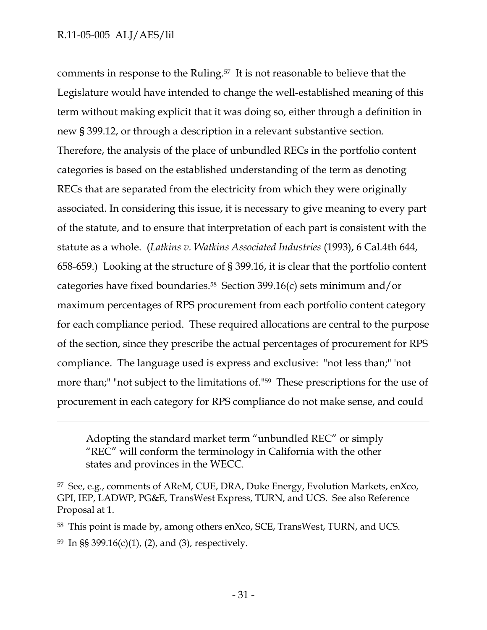#### R.11-05-005 ALJ/AES/lil

comments in response to the Ruling.57 It is not reasonable to believe that the Legislature would have intended to change the well-established meaning of this term without making explicit that it was doing so, either through a definition in new § 399.12, or through a description in a relevant substantive section. Therefore, the analysis of the place of unbundled RECs in the portfolio content categories is based on the established understanding of the term as denoting RECs that are separated from the electricity from which they were originally associated. In considering this issue, it is necessary to give meaning to every part of the statute, and to ensure that interpretation of each part is consistent with the statute as a whole. (*Latkins v. Watkins Associated Industries* (1993), 6 Cal.4th 644, 658-659.) Looking at the structure of § 399.16, it is clear that the portfolio content categories have fixed boundaries.<sup>58</sup> Section 399.16(c) sets minimum and/or maximum percentages of RPS procurement from each portfolio content category for each compliance period. These required allocations are central to the purpose of the section, since they prescribe the actual percentages of procurement for RPS compliance. The language used is express and exclusive: "not less than;" 'not more than;" "not subject to the limitations of."59 These prescriptions for the use of procurement in each category for RPS compliance do not make sense, and could

 $\overline{a}$ 

Adopting the standard market term "unbundled REC" or simply "REC" will conform the terminology in California with the other states and provinces in the WECC.

<sup>57</sup> See, e.g., comments of AReM, CUE, DRA, Duke Energy, Evolution Markets, enXco, GPI, IEP, LADWP, PG&E, TransWest Express, TURN, and UCS. See also Reference Proposal at 1.

<sup>58</sup> This point is made by, among others enXco, SCE, TransWest, TURN, and UCS.

<sup>59</sup> In §§ 399.16(c)(1), (2), and (3), respectively.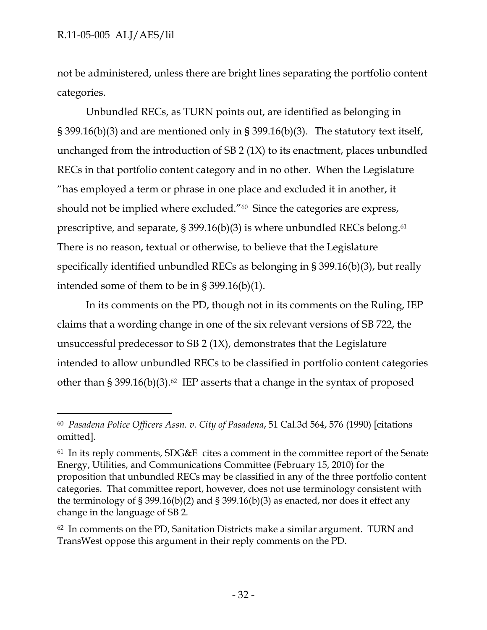$\overline{a}$ 

not be administered, unless there are bright lines separating the portfolio content categories.

Unbundled RECs, as TURN points out, are identified as belonging in § 399.16(b)(3) and are mentioned only in § 399.16(b)(3). The statutory text itself, unchanged from the introduction of SB 2 (1X) to its enactment, places unbundled RECs in that portfolio content category and in no other. When the Legislature "has employed a term or phrase in one place and excluded it in another, it should not be implied where excluded."<sup>60</sup> Since the categories are express, prescriptive, and separate, § 399.16(b)(3) is where unbundled RECs belong.<sup>61</sup> There is no reason, textual or otherwise, to believe that the Legislature specifically identified unbundled RECs as belonging in § 399.16(b)(3), but really intended some of them to be in § 399.16(b)(1).

In its comments on the PD, though not in its comments on the Ruling, IEP claims that a wording change in one of the six relevant versions of SB 722, the unsuccessful predecessor to SB 2 (1X), demonstrates that the Legislature intended to allow unbundled RECs to be classified in portfolio content categories other than § 399.16(b)(3). $62$  IEP asserts that a change in the syntax of proposed

<sup>60</sup> *Pasadena Police Officers Assn. v. City of Pasadena*, 51 Cal.3d 564, 576 (1990) [citations omitted].

 $61$  In its reply comments, SDG&E cites a comment in the committee report of the Senate Energy, Utilities, and Communications Committee (February 15, 2010) for the proposition that unbundled RECs may be classified in any of the three portfolio content categories. That committee report, however, does not use terminology consistent with the terminology of § 399.16(b)(2) and § 399.16(b)(3) as enacted, nor does it effect any change in the language of SB 2.

<sup>62</sup> In comments on the PD, Sanitation Districts make a similar argument. TURN and TransWest oppose this argument in their reply comments on the PD.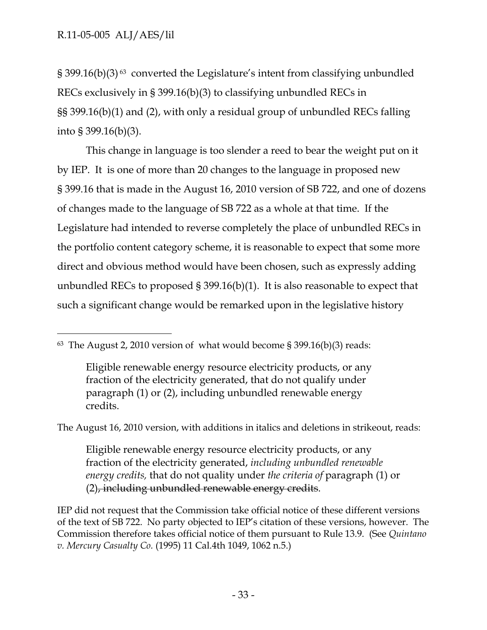§ 399.16(b)(3)<sup>63</sup> converted the Legislature's intent from classifying unbundled RECs exclusively in § 399.16(b)(3) to classifying unbundled RECs in §§ 399.16(b)(1) and (2), with only a residual group of unbundled RECs falling into § 399.16(b)(3).

This change in language is too slender a reed to bear the weight put on it by IEP. It is one of more than 20 changes to the language in proposed new § 399.16 that is made in the August 16, 2010 version of SB 722, and one of dozens of changes made to the language of SB 722 as a whole at that time. If the Legislature had intended to reverse completely the place of unbundled RECs in the portfolio content category scheme, it is reasonable to expect that some more direct and obvious method would have been chosen, such as expressly adding unbundled RECs to proposed § 399.16(b)(1). It is also reasonable to expect that such a significant change would be remarked upon in the legislative history

The August 16, 2010 version, with additions in italics and deletions in strikeout, reads:

Eligible renewable energy resource electricity products, or any fraction of the electricity generated, *including unbundled renewable energy credits,* that do not quality under *the criteria of* paragraph (1) or  $(2)$ , including unbundled renewable energy credits.

IEP did not request that the Commission take official notice of these different versions of the text of SB 722. No party objected to IEP's citation of these versions, however. The Commission therefore takes official notice of them pursuant to Rule 13.9. (See *Quintano v. Mercury Casualty Co.* (1995) 11 Cal.4th 1049, 1062 n.5.)

 $63$  The August 2, 2010 version of what would become § 399.16(b)(3) reads:

Eligible renewable energy resource electricity products, or any fraction of the electricity generated, that do not qualify under paragraph (1) or (2), including unbundled renewable energy credits.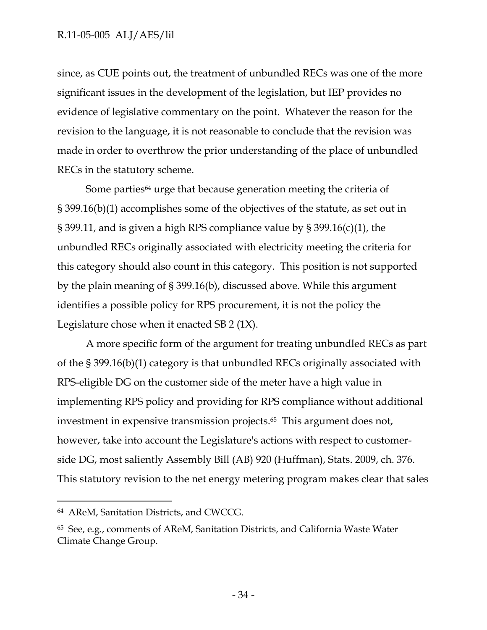#### R.11-05-005 ALJ/AES/lil

since, as CUE points out, the treatment of unbundled RECs was one of the more significant issues in the development of the legislation, but IEP provides no evidence of legislative commentary on the point. Whatever the reason for the revision to the language, it is not reasonable to conclude that the revision was made in order to overthrow the prior understanding of the place of unbundled RECs in the statutory scheme.

Some parties<sup>64</sup> urge that because generation meeting the criteria of § 399.16(b)(1) accomplishes some of the objectives of the statute, as set out in § 399.11, and is given a high RPS compliance value by § 399.16(c)(1), the unbundled RECs originally associated with electricity meeting the criteria for this category should also count in this category. This position is not supported by the plain meaning of § 399.16(b), discussed above. While this argument identifies a possible policy for RPS procurement, it is not the policy the Legislature chose when it enacted SB 2 (1X).

A more specific form of the argument for treating unbundled RECs as part of the § 399.16(b)(1) category is that unbundled RECs originally associated with RPS-eligible DG on the customer side of the meter have a high value in implementing RPS policy and providing for RPS compliance without additional investment in expensive transmission projects.65 This argument does not, however, take into account the Legislature's actions with respect to customerside DG, most saliently Assembly Bill (AB) 920 (Huffman), Stats. 2009, ch. 376. This statutory revision to the net energy metering program makes clear that sales

-

<sup>64</sup> AReM, Sanitation Districts, and CWCCG.

<sup>65</sup> See, e.g., comments of AReM, Sanitation Districts, and California Waste Water Climate Change Group.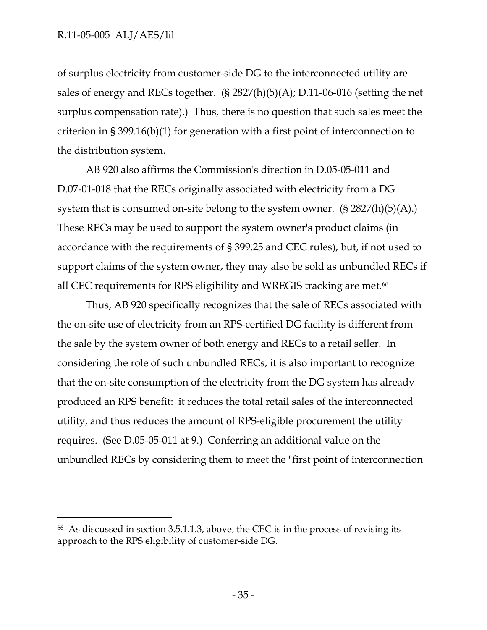-

of surplus electricity from customer-side DG to the interconnected utility are sales of energy and RECs together. (§ 2827(h)(5)(A); D.11-06-016 (setting the net surplus compensation rate).) Thus, there is no question that such sales meet the criterion in § 399.16(b)(1) for generation with a first point of interconnection to the distribution system.

AB 920 also affirms the Commission's direction in D.05-05-011 and D.07-01-018 that the RECs originally associated with electricity from a DG system that is consumed on-site belong to the system owner. (§ 2827(h)(5)(A).) These RECs may be used to support the system owner's product claims (in accordance with the requirements of § 399.25 and CEC rules), but, if not used to support claims of the system owner, they may also be sold as unbundled RECs if all CEC requirements for RPS eligibility and WREGIS tracking are met.<sup>66</sup>

Thus, AB 920 specifically recognizes that the sale of RECs associated with the on-site use of electricity from an RPS-certified DG facility is different from the sale by the system owner of both energy and RECs to a retail seller. In considering the role of such unbundled RECs, it is also important to recognize that the on-site consumption of the electricity from the DG system has already produced an RPS benefit: it reduces the total retail sales of the interconnected utility, and thus reduces the amount of RPS-eligible procurement the utility requires. (See D.05-05-011 at 9.) Conferring an additional value on the unbundled RECs by considering them to meet the "first point of interconnection

<sup>66</sup> As discussed in section 3.5.1.1.3, above, the CEC is in the process of revising its approach to the RPS eligibility of customer-side DG.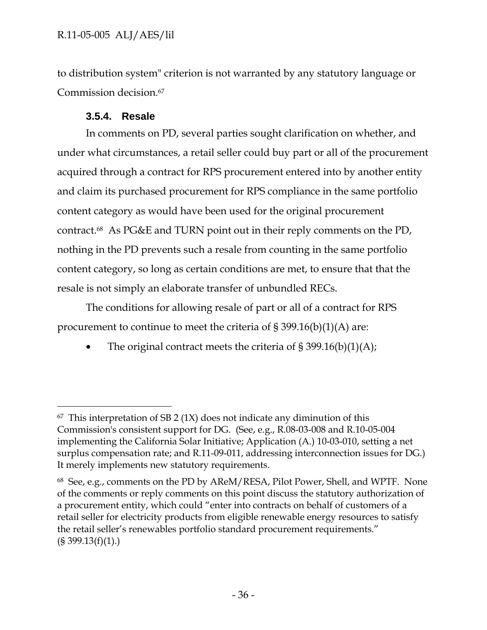to distribution system" criterion is not warranted by any statutory language or Commission decision.67

## **3.5.4. Resale**

-

In comments on PD, several parties sought clarification on whether, and under what circumstances, a retail seller could buy part or all of the procurement acquired through a contract for RPS procurement entered into by another entity and claim its purchased procurement for RPS compliance in the same portfolio content category as would have been used for the original procurement contract.68 As PG&E and TURN point out in their reply comments on the PD, nothing in the PD prevents such a resale from counting in the same portfolio content category, so long as certain conditions are met, to ensure that that the resale is not simply an elaborate transfer of unbundled RECs.

The conditions for allowing resale of part or all of a contract for RPS procurement to continue to meet the criteria of  $\S 399.16(b)(1)(A)$  are:

The original contract meets the criteria of  $\S 399.16(b)(1)(A);$ 

 $67$  This interpretation of SB 2 (1X) does not indicate any diminution of this Commission's consistent support for DG. (See, e.g., R.08-03-008 and R.10-05-004 implementing the California Solar Initiative; Application (A.) 10-03-010, setting a net surplus compensation rate; and R.11-09-011, addressing interconnection issues for DG.) It merely implements new statutory requirements.

<sup>68</sup> See, e.g., comments on the PD by AReM/RESA, Pilot Power, Shell, and WPTF. None of the comments or reply comments on this point discuss the statutory authorization of a procurement entity, which could "enter into contracts on behalf of customers of a retail seller for electricity products from eligible renewable energy resources to satisfy the retail seller's renewables portfolio standard procurement requirements."  $(S\ 399.13(f)(1))$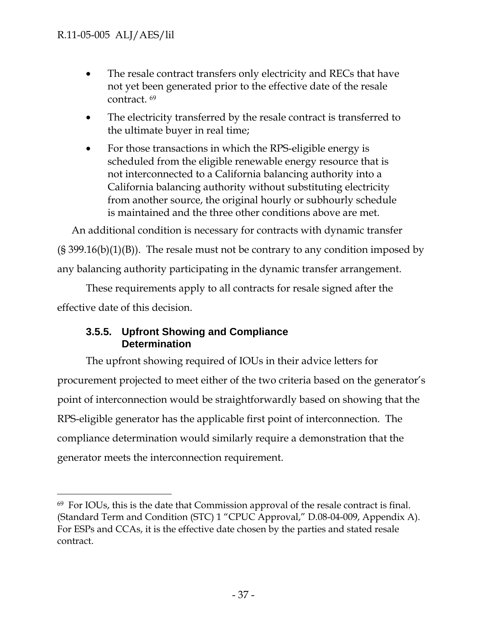- The resale contract transfers only electricity and RECs that have not yet been generated prior to the effective date of the resale contract. 69
- The electricity transferred by the resale contract is transferred to the ultimate buyer in real time;
- For those transactions in which the RPS-eligible energy is scheduled from the eligible renewable energy resource that is not interconnected to a California balancing authority into a California balancing authority without substituting electricity from another source, the original hourly or subhourly schedule is maintained and the three other conditions above are met.

An additional condition is necessary for contracts with dynamic transfer  $(S 399.16(b)(1)(B))$ . The resale must not be contrary to any condition imposed by any balancing authority participating in the dynamic transfer arrangement.

These requirements apply to all contracts for resale signed after the effective date of this decision.

# **3.5.5. Upfront Showing and Compliance Determination**

The upfront showing required of IOUs in their advice letters for procurement projected to meet either of the two criteria based on the generator's point of interconnection would be straightforwardly based on showing that the RPS-eligible generator has the applicable first point of interconnection. The compliance determination would similarly require a demonstration that the generator meets the interconnection requirement.

<sup>-</sup>69 For IOUs, this is the date that Commission approval of the resale contract is final. (Standard Term and Condition (STC) 1 "CPUC Approval," D.08-04-009, Appendix A). For ESPs and CCAs, it is the effective date chosen by the parties and stated resale contract.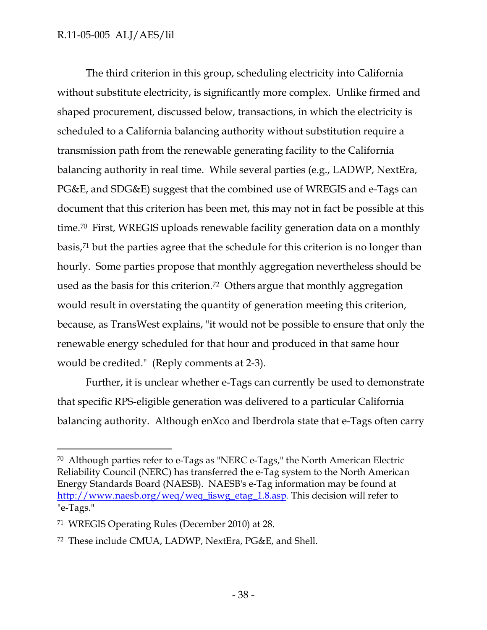The third criterion in this group, scheduling electricity into California without substitute electricity, is significantly more complex. Unlike firmed and shaped procurement, discussed below, transactions, in which the electricity is scheduled to a California balancing authority without substitution require a transmission path from the renewable generating facility to the California balancing authority in real time. While several parties (e.g., LADWP, NextEra, PG&E, and SDG&E) suggest that the combined use of WREGIS and e-Tags can document that this criterion has been met, this may not in fact be possible at this time.70 First, WREGIS uploads renewable facility generation data on a monthly basis,71 but the parties agree that the schedule for this criterion is no longer than hourly. Some parties propose that monthly aggregation nevertheless should be used as the basis for this criterion.72 Others argue that monthly aggregation would result in overstating the quantity of generation meeting this criterion, because, as TransWest explains, "it would not be possible to ensure that only the renewable energy scheduled for that hour and produced in that same hour would be credited." (Reply comments at 2-3).

Further, it is unclear whether e-Tags can currently be used to demonstrate that specific RPS-eligible generation was delivered to a particular California balancing authority. Although enXco and Iberdrola state that e-Tags often carry

<sup>70</sup> Although parties refer to e-Tags as "NERC e-Tags," the North American Electric Reliability Council (NERC) has transferred the e-Tag system to the North American Energy Standards Board (NAESB). NAESB's e-Tag information may be found at http://www.naesb.org/weq/weq\_jiswg\_etag\_1.8.asp. This decision will refer to "e-Tags."

<sup>71</sup> WREGIS Operating Rules (December 2010) at 28.

<sup>72</sup> These include CMUA, LADWP, NextEra, PG&E, and Shell.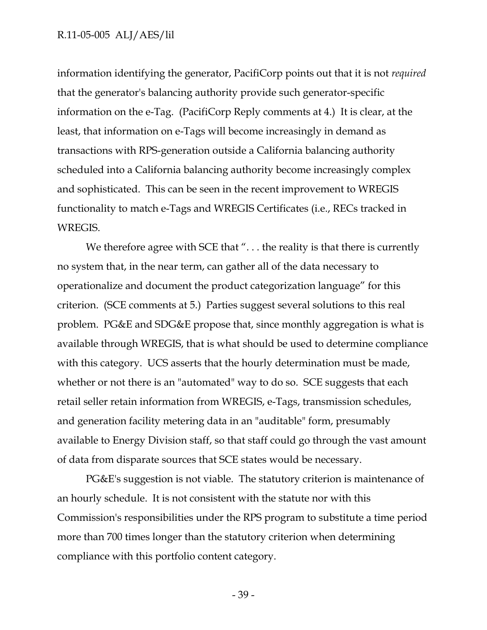information identifying the generator, PacifiCorp points out that it is not *required* that the generator's balancing authority provide such generator-specific information on the e-Tag. (PacifiCorp Reply comments at 4.) It is clear, at the least, that information on e-Tags will become increasingly in demand as transactions with RPS-generation outside a California balancing authority scheduled into a California balancing authority become increasingly complex and sophisticated. This can be seen in the recent improvement to WREGIS functionality to match e-Tags and WREGIS Certificates (i.e., RECs tracked in WREGIS.

We therefore agree with SCE that "... the reality is that there is currently no system that, in the near term, can gather all of the data necessary to operationalize and document the product categorization language" for this criterion. (SCE comments at 5.) Parties suggest several solutions to this real problem. PG&E and SDG&E propose that, since monthly aggregation is what is available through WREGIS, that is what should be used to determine compliance with this category. UCS asserts that the hourly determination must be made, whether or not there is an "automated" way to do so. SCE suggests that each retail seller retain information from WREGIS, e-Tags, transmission schedules, and generation facility metering data in an "auditable" form, presumably available to Energy Division staff, so that staff could go through the vast amount of data from disparate sources that SCE states would be necessary.

PG&E's suggestion is not viable. The statutory criterion is maintenance of an hourly schedule. It is not consistent with the statute nor with this Commission's responsibilities under the RPS program to substitute a time period more than 700 times longer than the statutory criterion when determining compliance with this portfolio content category.

- 39 -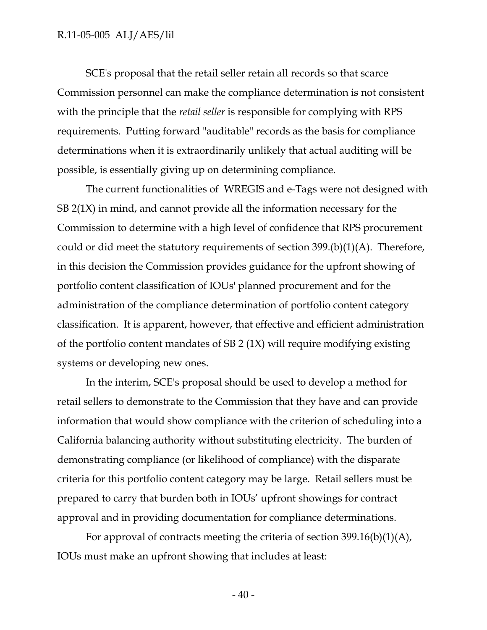SCE's proposal that the retail seller retain all records so that scarce Commission personnel can make the compliance determination is not consistent with the principle that the *retail seller* is responsible for complying with RPS requirements. Putting forward "auditable" records as the basis for compliance determinations when it is extraordinarily unlikely that actual auditing will be possible, is essentially giving up on determining compliance.

The current functionalities of WREGIS and e-Tags were not designed with SB 2(1X) in mind, and cannot provide all the information necessary for the Commission to determine with a high level of confidence that RPS procurement could or did meet the statutory requirements of section  $399.(b)(1)(A)$ . Therefore, in this decision the Commission provides guidance for the upfront showing of portfolio content classification of IOUs' planned procurement and for the administration of the compliance determination of portfolio content category classification. It is apparent, however, that effective and efficient administration of the portfolio content mandates of SB 2 (1X) will require modifying existing systems or developing new ones.

In the interim, SCE's proposal should be used to develop a method for retail sellers to demonstrate to the Commission that they have and can provide information that would show compliance with the criterion of scheduling into a California balancing authority without substituting electricity. The burden of demonstrating compliance (or likelihood of compliance) with the disparate criteria for this portfolio content category may be large. Retail sellers must be prepared to carry that burden both in IOUs' upfront showings for contract approval and in providing documentation for compliance determinations.

For approval of contracts meeting the criteria of section 399.16(b)(1)(A), IOUs must make an upfront showing that includes at least: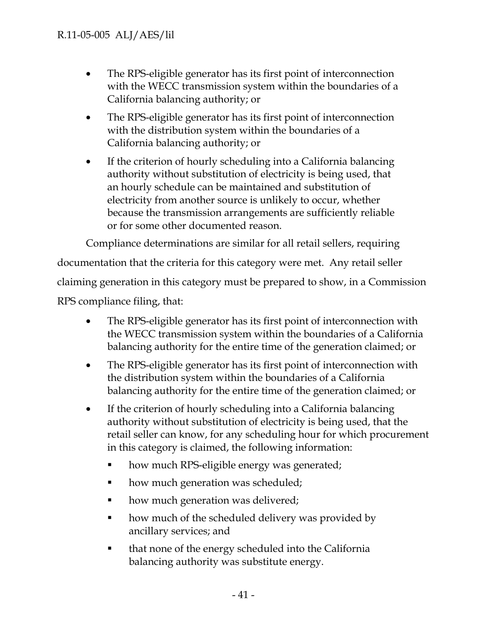- The RPS-eligible generator has its first point of interconnection with the WECC transmission system within the boundaries of a California balancing authority; or
- The RPS-eligible generator has its first point of interconnection with the distribution system within the boundaries of a California balancing authority; or
- If the criterion of hourly scheduling into a California balancing authority without substitution of electricity is being used, that an hourly schedule can be maintained and substitution of electricity from another source is unlikely to occur, whether because the transmission arrangements are sufficiently reliable or for some other documented reason.

Compliance determinations are similar for all retail sellers, requiring documentation that the criteria for this category were met. Any retail seller claiming generation in this category must be prepared to show, in a Commission RPS compliance filing, that:

- The RPS-eligible generator has its first point of interconnection with the WECC transmission system within the boundaries of a California balancing authority for the entire time of the generation claimed; or
- The RPS-eligible generator has its first point of interconnection with the distribution system within the boundaries of a California balancing authority for the entire time of the generation claimed; or
- If the criterion of hourly scheduling into a California balancing authority without substitution of electricity is being used, that the retail seller can know, for any scheduling hour for which procurement in this category is claimed, the following information:
	- how much RPS-eligible energy was generated;
	- how much generation was scheduled;
	- how much generation was delivered;
	- how much of the scheduled delivery was provided by ancillary services; and
	- that none of the energy scheduled into the California balancing authority was substitute energy.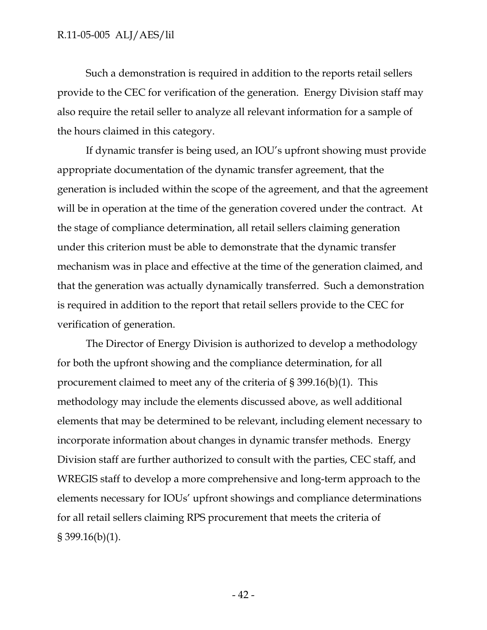Such a demonstration is required in addition to the reports retail sellers provide to the CEC for verification of the generation. Energy Division staff may also require the retail seller to analyze all relevant information for a sample of the hours claimed in this category.

If dynamic transfer is being used, an IOU's upfront showing must provide appropriate documentation of the dynamic transfer agreement, that the generation is included within the scope of the agreement, and that the agreement will be in operation at the time of the generation covered under the contract. At the stage of compliance determination, all retail sellers claiming generation under this criterion must be able to demonstrate that the dynamic transfer mechanism was in place and effective at the time of the generation claimed, and that the generation was actually dynamically transferred. Such a demonstration is required in addition to the report that retail sellers provide to the CEC for verification of generation.

The Director of Energy Division is authorized to develop a methodology for both the upfront showing and the compliance determination, for all procurement claimed to meet any of the criteria of § 399.16(b)(1). This methodology may include the elements discussed above, as well additional elements that may be determined to be relevant, including element necessary to incorporate information about changes in dynamic transfer methods. Energy Division staff are further authorized to consult with the parties, CEC staff, and WREGIS staff to develop a more comprehensive and long-term approach to the elements necessary for IOUs' upfront showings and compliance determinations for all retail sellers claiming RPS procurement that meets the criteria of  $\S 399.16(b)(1)$ .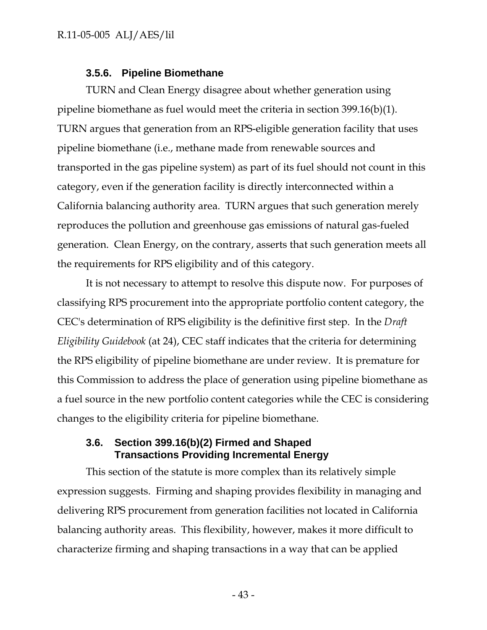#### **3.5.6. Pipeline Biomethane**

TURN and Clean Energy disagree about whether generation using pipeline biomethane as fuel would meet the criteria in section 399.16(b)(1). TURN argues that generation from an RPS-eligible generation facility that uses pipeline biomethane (i.e., methane made from renewable sources and transported in the gas pipeline system) as part of its fuel should not count in this category, even if the generation facility is directly interconnected within a California balancing authority area. TURN argues that such generation merely reproduces the pollution and greenhouse gas emissions of natural gas-fueled generation. Clean Energy, on the contrary, asserts that such generation meets all the requirements for RPS eligibility and of this category.

It is not necessary to attempt to resolve this dispute now. For purposes of classifying RPS procurement into the appropriate portfolio content category, the CEC's determination of RPS eligibility is the definitive first step. In the *Draft Eligibility Guidebook* (at 24), CEC staff indicates that the criteria for determining the RPS eligibility of pipeline biomethane are under review. It is premature for this Commission to address the place of generation using pipeline biomethane as a fuel source in the new portfolio content categories while the CEC is considering changes to the eligibility criteria for pipeline biomethane.

## **3.6. Section 399.16(b)(2) Firmed and Shaped Transactions Providing Incremental Energy**

This section of the statute is more complex than its relatively simple expression suggests. Firming and shaping provides flexibility in managing and delivering RPS procurement from generation facilities not located in California balancing authority areas. This flexibility, however, makes it more difficult to characterize firming and shaping transactions in a way that can be applied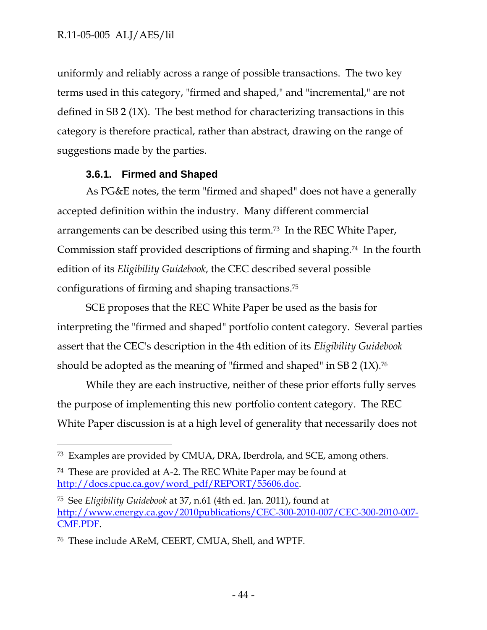$\overline{a}$ 

uniformly and reliably across a range of possible transactions. The two key terms used in this category, "firmed and shaped," and "incremental," are not defined in SB 2 (1X). The best method for characterizing transactions in this category is therefore practical, rather than abstract, drawing on the range of suggestions made by the parties.

## **3.6.1. Firmed and Shaped**

As PG&E notes, the term "firmed and shaped" does not have a generally accepted definition within the industry. Many different commercial arrangements can be described using this term.73 In the REC White Paper, Commission staff provided descriptions of firming and shaping.74 In the fourth edition of its *Eligibility Guidebook*, the CEC described several possible configurations of firming and shaping transactions.75

SCE proposes that the REC White Paper be used as the basis for interpreting the "firmed and shaped" portfolio content category. Several parties assert that the CEC's description in the 4th edition of its *Eligibility Guidebook* should be adopted as the meaning of "firmed and shaped" in SB 2  $(1X)$ .<sup>76</sup>

While they are each instructive, neither of these prior efforts fully serves the purpose of implementing this new portfolio content category. The REC White Paper discussion is at a high level of generality that necessarily does not

<sup>73</sup> Examples are provided by CMUA, DRA, Iberdrola, and SCE, among others.

<sup>74</sup> These are provided at A-2. The REC White Paper may be found at http://docs.cpuc.ca.gov/word\_pdf/REPORT/55606.doc.

<sup>75</sup> See *Eligibility Guidebook* at 37, n.61 (4th ed. Jan. 2011), found at http://www.energy.ca.gov/2010publications/CEC-300-2010-007/CEC-300-2010-007- CMF.PDF.

<sup>76</sup> These include AReM, CEERT, CMUA, Shell, and WPTF.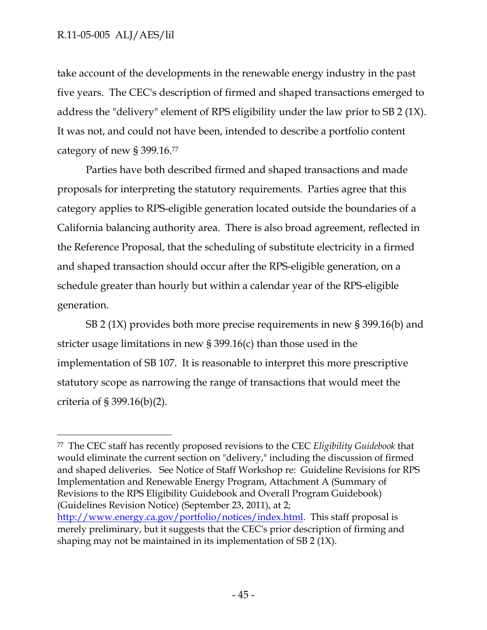-

take account of the developments in the renewable energy industry in the past five years. The CEC's description of firmed and shaped transactions emerged to address the "delivery" element of RPS eligibility under the law prior to SB 2 (1X). It was not, and could not have been, intended to describe a portfolio content category of new § 399.16.77

Parties have both described firmed and shaped transactions and made proposals for interpreting the statutory requirements. Parties agree that this category applies to RPS-eligible generation located outside the boundaries of a California balancing authority area. There is also broad agreement, reflected in the Reference Proposal, that the scheduling of substitute electricity in a firmed and shaped transaction should occur after the RPS-eligible generation, on a schedule greater than hourly but within a calendar year of the RPS-eligible generation.

SB 2 (1X) provides both more precise requirements in new § 399.16(b) and stricter usage limitations in new § 399.16(c) than those used in the implementation of SB 107. It is reasonable to interpret this more prescriptive statutory scope as narrowing the range of transactions that would meet the criteria of § 399.16(b)(2).

<sup>77</sup> The CEC staff has recently proposed revisions to the CEC *Eligibility Guidebook* that would eliminate the current section on "delivery," including the discussion of firmed and shaped deliveries. See Notice of Staff Workshop re: Guideline Revisions for RPS Implementation and Renewable Energy Program, Attachment A (Summary of Revisions to the RPS Eligibility Guidebook and Overall Program Guidebook) (Guidelines Revision Notice) (September 23, 2011), at 2; http://www.energy.ca.gov/portfolio/notices/index.html. This staff proposal is merely preliminary, but it suggests that the CEC's prior description of firming and shaping may not be maintained in its implementation of SB 2 (1X).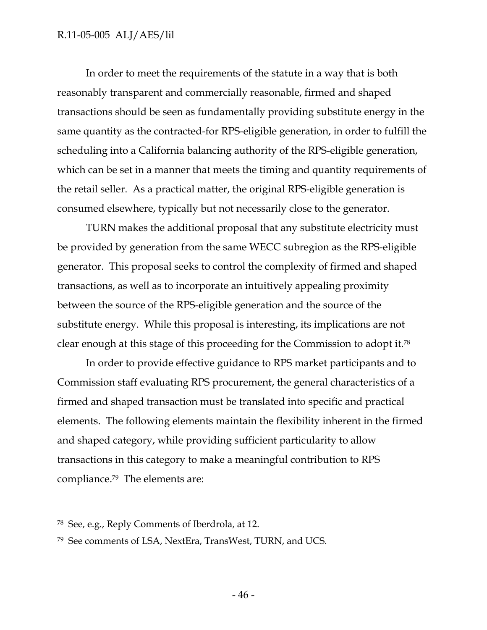In order to meet the requirements of the statute in a way that is both reasonably transparent and commercially reasonable, firmed and shaped transactions should be seen as fundamentally providing substitute energy in the same quantity as the contracted-for RPS-eligible generation, in order to fulfill the scheduling into a California balancing authority of the RPS-eligible generation, which can be set in a manner that meets the timing and quantity requirements of the retail seller. As a practical matter, the original RPS-eligible generation is consumed elsewhere, typically but not necessarily close to the generator.

TURN makes the additional proposal that any substitute electricity must be provided by generation from the same WECC subregion as the RPS-eligible generator. This proposal seeks to control the complexity of firmed and shaped transactions, as well as to incorporate an intuitively appealing proximity between the source of the RPS-eligible generation and the source of the substitute energy. While this proposal is interesting, its implications are not clear enough at this stage of this proceeding for the Commission to adopt it.78

In order to provide effective guidance to RPS market participants and to Commission staff evaluating RPS procurement, the general characteristics of a firmed and shaped transaction must be translated into specific and practical elements. The following elements maintain the flexibility inherent in the firmed and shaped category, while providing sufficient particularity to allow transactions in this category to make a meaningful contribution to RPS compliance.79 The elements are:

<sup>78</sup> See, e.g., Reply Comments of Iberdrola, at 12.

<sup>79</sup> See comments of LSA, NextEra, TransWest, TURN, and UCS.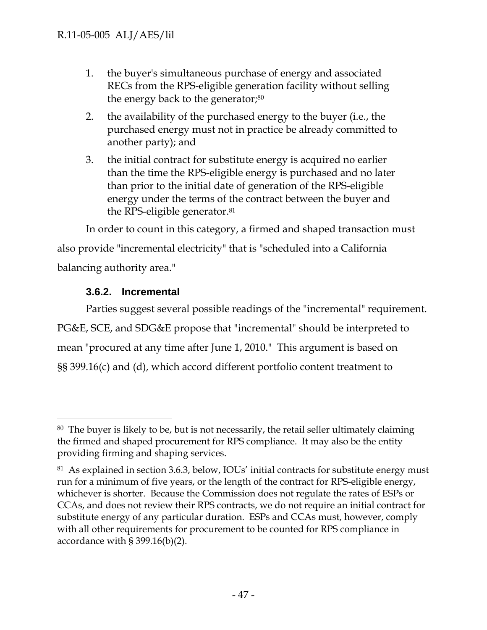- 1. the buyer's simultaneous purchase of energy and associated RECs from the RPS-eligible generation facility without selling the energy back to the generator;<sup>80</sup>
- 2. the availability of the purchased energy to the buyer (i.e., the purchased energy must not in practice be already committed to another party); and
- 3. the initial contract for substitute energy is acquired no earlier than the time the RPS-eligible energy is purchased and no later than prior to the initial date of generation of the RPS-eligible energy under the terms of the contract between the buyer and the RPS-eligible generator.81

In order to count in this category, a firmed and shaped transaction must also provide "incremental electricity" that is "scheduled into a California balancing authority area."

# **3.6.2. Incremental**

-

Parties suggest several possible readings of the "incremental" requirement. PG&E, SCE, and SDG&E propose that "incremental" should be interpreted to mean "procured at any time after June 1, 2010." This argument is based on §§ 399.16(c) and (d), which accord different portfolio content treatment to

<sup>80</sup> The buyer is likely to be, but is not necessarily, the retail seller ultimately claiming the firmed and shaped procurement for RPS compliance. It may also be the entity providing firming and shaping services.

<sup>81</sup> As explained in section 3.6.3, below, IOUs' initial contracts for substitute energy must run for a minimum of five years, or the length of the contract for RPS-eligible energy, whichever is shorter. Because the Commission does not regulate the rates of ESPs or CCAs, and does not review their RPS contracts, we do not require an initial contract for substitute energy of any particular duration. ESPs and CCAs must, however, comply with all other requirements for procurement to be counted for RPS compliance in accordance with § 399.16(b)(2).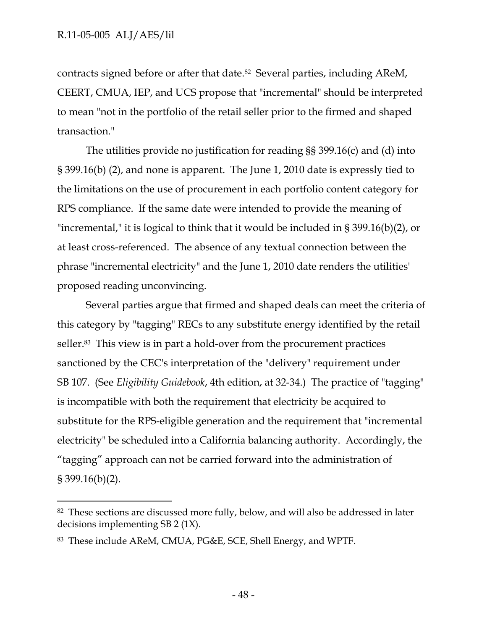$\overline{a}$ 

contracts signed before or after that date.82 Several parties, including AReM, CEERT, CMUA, IEP, and UCS propose that "incremental" should be interpreted to mean "not in the portfolio of the retail seller prior to the firmed and shaped transaction."

The utilities provide no justification for reading §§ 399.16(c) and (d) into § 399.16(b) (2), and none is apparent. The June 1, 2010 date is expressly tied to the limitations on the use of procurement in each portfolio content category for RPS compliance. If the same date were intended to provide the meaning of "incremental," it is logical to think that it would be included in § 399.16(b)(2), or at least cross-referenced. The absence of any textual connection between the phrase "incremental electricity" and the June 1, 2010 date renders the utilities' proposed reading unconvincing.

Several parties argue that firmed and shaped deals can meet the criteria of this category by "tagging" RECs to any substitute energy identified by the retail seller.<sup>83</sup> This view is in part a hold-over from the procurement practices sanctioned by the CEC's interpretation of the "delivery" requirement under SB 107. (See *Eligibility Guidebook*, 4th edition, at 32-34.) The practice of "tagging" is incompatible with both the requirement that electricity be acquired to substitute for the RPS-eligible generation and the requirement that "incremental electricity" be scheduled into a California balancing authority. Accordingly, the "tagging" approach can not be carried forward into the administration of § 399.16(b)(2).

<sup>&</sup>lt;sup>82</sup> These sections are discussed more fully, below, and will also be addressed in later decisions implementing SB 2 (1X).

<sup>83</sup> These include AReM, CMUA, PG&E, SCE, Shell Energy, and WPTF.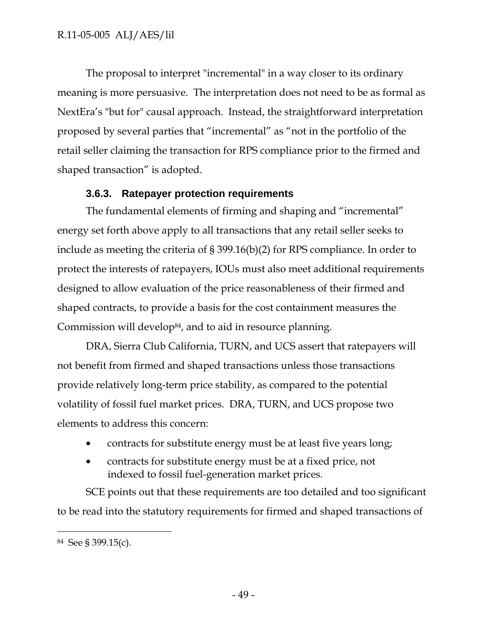The proposal to interpret "incremental" in a way closer to its ordinary meaning is more persuasive. The interpretation does not need to be as formal as NextEra's "but for" causal approach. Instead, the straightforward interpretation proposed by several parties that "incremental" as "not in the portfolio of the retail seller claiming the transaction for RPS compliance prior to the firmed and shaped transaction" is adopted.

## **3.6.3. Ratepayer protection requirements**

The fundamental elements of firming and shaping and "incremental" energy set forth above apply to all transactions that any retail seller seeks to include as meeting the criteria of § 399.16(b)(2) for RPS compliance. In order to protect the interests of ratepayers, IOUs must also meet additional requirements designed to allow evaluation of the price reasonableness of their firmed and shaped contracts, to provide a basis for the cost containment measures the Commission will develop84, and to aid in resource planning.

DRA, Sierra Club California, TURN, and UCS assert that ratepayers will not benefit from firmed and shaped transactions unless those transactions provide relatively long-term price stability, as compared to the potential volatility of fossil fuel market prices. DRA, TURN, and UCS propose two elements to address this concern:

- contracts for substitute energy must be at least five years long;
- contracts for substitute energy must be at a fixed price, not indexed to fossil fuel-generation market prices.

SCE points out that these requirements are too detailed and too significant to be read into the statutory requirements for firmed and shaped transactions of

<sup>84</sup> See § 399.15(c).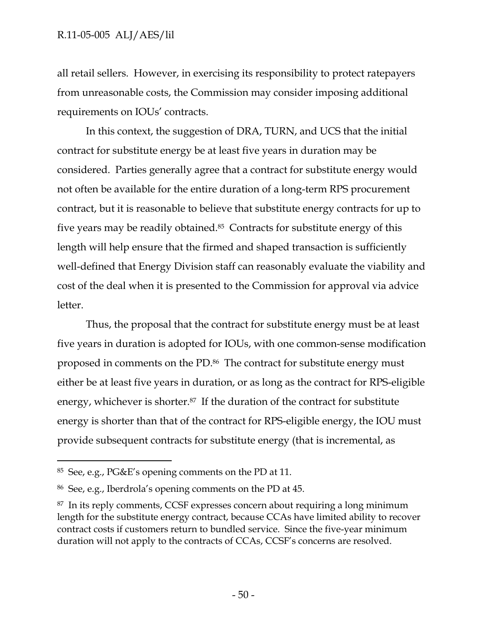all retail sellers. However, in exercising its responsibility to protect ratepayers from unreasonable costs, the Commission may consider imposing additional requirements on IOUs' contracts.

In this context, the suggestion of DRA, TURN, and UCS that the initial contract for substitute energy be at least five years in duration may be considered. Parties generally agree that a contract for substitute energy would not often be available for the entire duration of a long-term RPS procurement contract, but it is reasonable to believe that substitute energy contracts for up to five years may be readily obtained.85 Contracts for substitute energy of this length will help ensure that the firmed and shaped transaction is sufficiently well-defined that Energy Division staff can reasonably evaluate the viability and cost of the deal when it is presented to the Commission for approval via advice letter.

Thus, the proposal that the contract for substitute energy must be at least five years in duration is adopted for IOUs, with one common-sense modification proposed in comments on the PD.86 The contract for substitute energy must either be at least five years in duration, or as long as the contract for RPS-eligible energy, whichever is shorter.<sup>87</sup> If the duration of the contract for substitute energy is shorter than that of the contract for RPS-eligible energy, the IOU must provide subsequent contracts for substitute energy (that is incremental, as

<sup>&</sup>lt;sup>85</sup> See, e.g., PG&E's opening comments on the PD at 11.

<sup>86</sup> See, e.g., Iberdrola's opening comments on the PD at 45.

<sup>87</sup> In its reply comments, CCSF expresses concern about requiring a long minimum length for the substitute energy contract, because CCAs have limited ability to recover contract costs if customers return to bundled service. Since the five-year minimum duration will not apply to the contracts of CCAs, CCSF's concerns are resolved.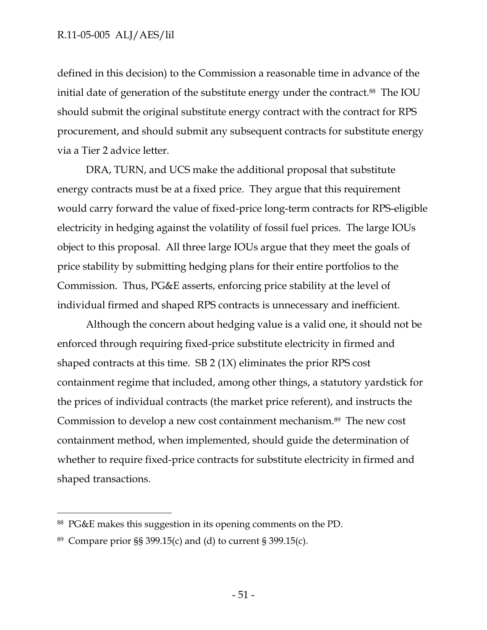defined in this decision) to the Commission a reasonable time in advance of the initial date of generation of the substitute energy under the contract.<sup>88</sup> The IOU should submit the original substitute energy contract with the contract for RPS procurement, and should submit any subsequent contracts for substitute energy via a Tier 2 advice letter.

DRA, TURN, and UCS make the additional proposal that substitute energy contracts must be at a fixed price. They argue that this requirement would carry forward the value of fixed-price long-term contracts for RPS-eligible electricity in hedging against the volatility of fossil fuel prices. The large IOUs object to this proposal. All three large IOUs argue that they meet the goals of price stability by submitting hedging plans for their entire portfolios to the Commission. Thus, PG&E asserts, enforcing price stability at the level of individual firmed and shaped RPS contracts is unnecessary and inefficient.

Although the concern about hedging value is a valid one, it should not be enforced through requiring fixed-price substitute electricity in firmed and shaped contracts at this time. SB 2 (1X) eliminates the prior RPS cost containment regime that included, among other things, a statutory yardstick for the prices of individual contracts (the market price referent), and instructs the Commission to develop a new cost containment mechanism.89 The new cost containment method, when implemented, should guide the determination of whether to require fixed-price contracts for substitute electricity in firmed and shaped transactions.

<sup>88</sup> PG&E makes this suggestion in its opening comments on the PD.

<sup>&</sup>lt;sup>89</sup> Compare prior  $\S$ § 399.15(c) and (d) to current § 399.15(c).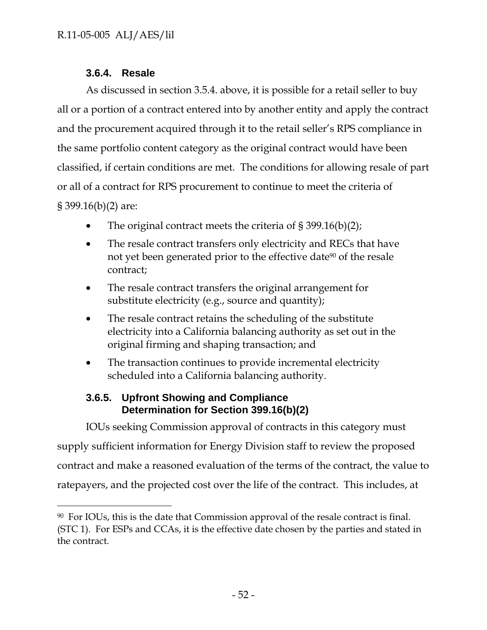# **3.6.4. Resale**

-

As discussed in section 3.5.4. above, it is possible for a retail seller to buy all or a portion of a contract entered into by another entity and apply the contract and the procurement acquired through it to the retail seller's RPS compliance in the same portfolio content category as the original contract would have been classified, if certain conditions are met. The conditions for allowing resale of part or all of a contract for RPS procurement to continue to meet the criteria of § 399.16(b)(2) are:

- The original contract meets the criteria of  $\S 399.16(b)(2)$ ;
- The resale contract transfers only electricity and RECs that have not yet been generated prior to the effective date<sup>90</sup> of the resale contract;
- The resale contract transfers the original arrangement for substitute electricity (e.g., source and quantity);
- The resale contract retains the scheduling of the substitute electricity into a California balancing authority as set out in the original firming and shaping transaction; and
- The transaction continues to provide incremental electricity scheduled into a California balancing authority.

# **3.6.5. Upfront Showing and Compliance Determination for Section 399.16(b)(2)**

IOUs seeking Commission approval of contracts in this category must supply sufficient information for Energy Division staff to review the proposed contract and make a reasoned evaluation of the terms of the contract, the value to ratepayers, and the projected cost over the life of the contract. This includes, at

<sup>90</sup> For IOUs, this is the date that Commission approval of the resale contract is final. (STC 1). For ESPs and CCAs, it is the effective date chosen by the parties and stated in the contract.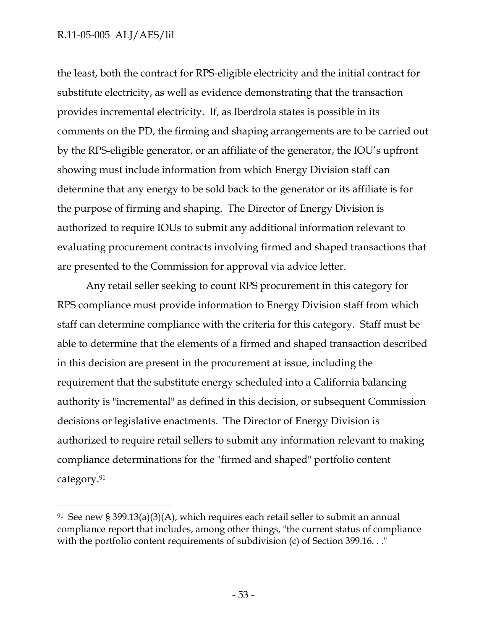$\overline{a}$ 

the least, both the contract for RPS-eligible electricity and the initial contract for substitute electricity, as well as evidence demonstrating that the transaction provides incremental electricity. If, as Iberdrola states is possible in its comments on the PD, the firming and shaping arrangements are to be carried out by the RPS-eligible generator, or an affiliate of the generator, the IOU's upfront showing must include information from which Energy Division staff can determine that any energy to be sold back to the generator or its affiliate is for the purpose of firming and shaping. The Director of Energy Division is authorized to require IOUs to submit any additional information relevant to evaluating procurement contracts involving firmed and shaped transactions that are presented to the Commission for approval via advice letter.

Any retail seller seeking to count RPS procurement in this category for RPS compliance must provide information to Energy Division staff from which staff can determine compliance with the criteria for this category. Staff must be able to determine that the elements of a firmed and shaped transaction described in this decision are present in the procurement at issue, including the requirement that the substitute energy scheduled into a California balancing authority is "incremental" as defined in this decision, or subsequent Commission decisions or legislative enactments. The Director of Energy Division is authorized to require retail sellers to submit any information relevant to making compliance determinations for the "firmed and shaped" portfolio content category.91

<sup>&</sup>lt;sup>91</sup> See new § 399.13(a)(3)(A), which requires each retail seller to submit an annual compliance report that includes, among other things, "the current status of compliance with the portfolio content requirements of subdivision (c) of Section 399.16. . ."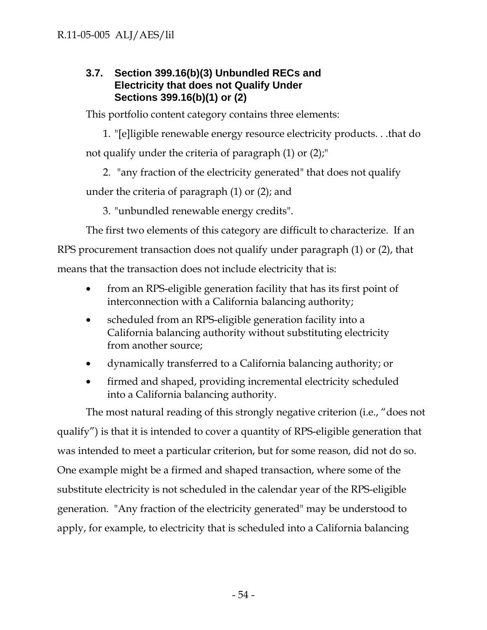# **3.7. Section 399.16(b)(3) Unbundled RECs and Electricity that does not Qualify Under Sections 399.16(b)(1) or (2)**

This portfolio content category contains three elements:

1. "[e]ligible renewable energy resource electricity products. . .that do not qualify under the criteria of paragraph (1) or (2);"

2. "any fraction of the electricity generated" that does not qualify

under the criteria of paragraph (1) or (2); and

3. "unbundled renewable energy credits".

The first two elements of this category are difficult to characterize. If an RPS procurement transaction does not qualify under paragraph (1) or (2), that means that the transaction does not include electricity that is:

- from an RPS-eligible generation facility that has its first point of interconnection with a California balancing authority;
- scheduled from an RPS-eligible generation facility into a California balancing authority without substituting electricity from another source;
- dynamically transferred to a California balancing authority; or
- firmed and shaped, providing incremental electricity scheduled into a California balancing authority.

The most natural reading of this strongly negative criterion (i.e., "does not qualify") is that it is intended to cover a quantity of RPS-eligible generation that was intended to meet a particular criterion, but for some reason, did not do so. One example might be a firmed and shaped transaction, where some of the substitute electricity is not scheduled in the calendar year of the RPS-eligible generation. "Any fraction of the electricity generated" may be understood to apply, for example, to electricity that is scheduled into a California balancing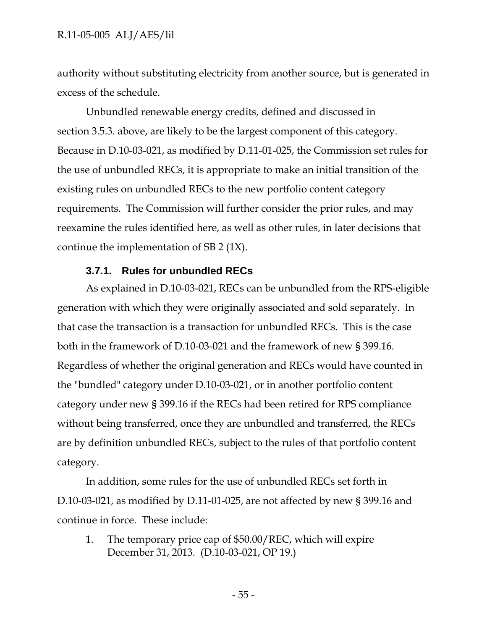authority without substituting electricity from another source, but is generated in excess of the schedule.

Unbundled renewable energy credits, defined and discussed in section 3.5.3. above, are likely to be the largest component of this category. Because in D.10-03-021, as modified by D.11-01-025, the Commission set rules for the use of unbundled RECs, it is appropriate to make an initial transition of the existing rules on unbundled RECs to the new portfolio content category requirements. The Commission will further consider the prior rules, and may reexamine the rules identified here, as well as other rules, in later decisions that continue the implementation of SB 2 (1X).

#### **3.7.1. Rules for unbundled RECs**

As explained in D.10-03-021, RECs can be unbundled from the RPS-eligible generation with which they were originally associated and sold separately. In that case the transaction is a transaction for unbundled RECs. This is the case both in the framework of D.10-03-021 and the framework of new § 399.16. Regardless of whether the original generation and RECs would have counted in the "bundled" category under D.10-03-021, or in another portfolio content category under new § 399.16 if the RECs had been retired for RPS compliance without being transferred, once they are unbundled and transferred, the RECs are by definition unbundled RECs, subject to the rules of that portfolio content category.

In addition, some rules for the use of unbundled RECs set forth in D.10-03-021, as modified by D.11-01-025, are not affected by new § 399.16 and continue in force. These include:

1. The temporary price cap of \$50.00/REC, which will expire December 31, 2013. (D.10-03-021, OP 19.)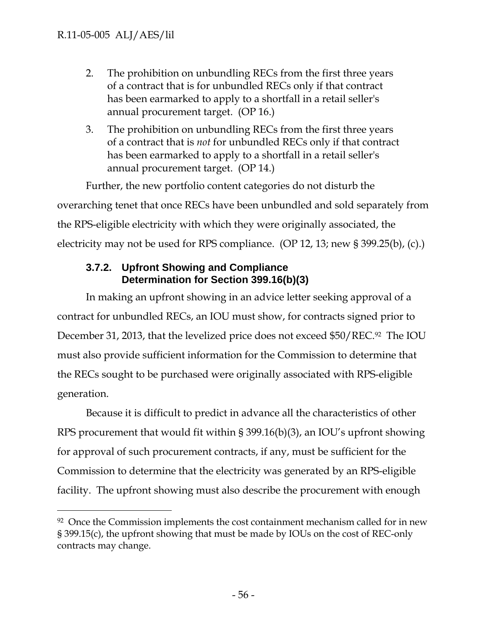$\overline{a}$ 

- 2. The prohibition on unbundling RECs from the first three years of a contract that is for unbundled RECs only if that contract has been earmarked to apply to a shortfall in a retail seller's annual procurement target. (OP 16.)
- 3. The prohibition on unbundling RECs from the first three years of a contract that is *not* for unbundled RECs only if that contract has been earmarked to apply to a shortfall in a retail seller's annual procurement target. (OP 14.)

Further, the new portfolio content categories do not disturb the overarching tenet that once RECs have been unbundled and sold separately from the RPS-eligible electricity with which they were originally associated, the electricity may not be used for RPS compliance. (OP 12, 13; new § 399.25(b), (c).)

# **3.7.2. Upfront Showing and Compliance Determination for Section 399.16(b)(3)**

In making an upfront showing in an advice letter seeking approval of a contract for unbundled RECs, an IOU must show, for contracts signed prior to December 31, 2013, that the levelized price does not exceed \$50/REC.92 The IOU must also provide sufficient information for the Commission to determine that the RECs sought to be purchased were originally associated with RPS-eligible generation.

Because it is difficult to predict in advance all the characteristics of other RPS procurement that would fit within § 399.16(b)(3), an IOU's upfront showing for approval of such procurement contracts, if any, must be sufficient for the Commission to determine that the electricity was generated by an RPS-eligible facility. The upfront showing must also describe the procurement with enough

<sup>&</sup>lt;sup>92</sup> Once the Commission implements the cost containment mechanism called for in new § 399.15(c), the upfront showing that must be made by IOUs on the cost of REC-only contracts may change.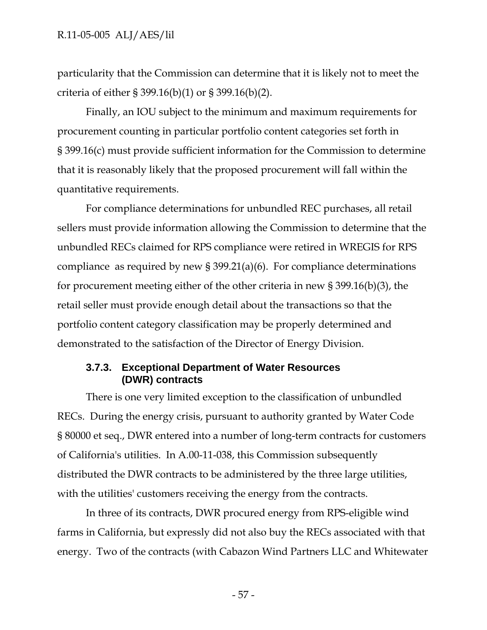particularity that the Commission can determine that it is likely not to meet the criteria of either § 399.16(b)(1) or § 399.16(b)(2).

Finally, an IOU subject to the minimum and maximum requirements for procurement counting in particular portfolio content categories set forth in § 399.16(c) must provide sufficient information for the Commission to determine that it is reasonably likely that the proposed procurement will fall within the quantitative requirements.

For compliance determinations for unbundled REC purchases, all retail sellers must provide information allowing the Commission to determine that the unbundled RECs claimed for RPS compliance were retired in WREGIS for RPS compliance as required by new § 399.21(a)(6). For compliance determinations for procurement meeting either of the other criteria in new § 399.16(b)(3), the retail seller must provide enough detail about the transactions so that the portfolio content category classification may be properly determined and demonstrated to the satisfaction of the Director of Energy Division.

## **3.7.3. Exceptional Department of Water Resources (DWR) contracts**

There is one very limited exception to the classification of unbundled RECs. During the energy crisis, pursuant to authority granted by Water Code § 80000 et seq., DWR entered into a number of long-term contracts for customers of California's utilities. In A.00-11-038, this Commission subsequently distributed the DWR contracts to be administered by the three large utilities, with the utilities' customers receiving the energy from the contracts.

In three of its contracts, DWR procured energy from RPS-eligible wind farms in California, but expressly did not also buy the RECs associated with that energy. Two of the contracts (with Cabazon Wind Partners LLC and Whitewater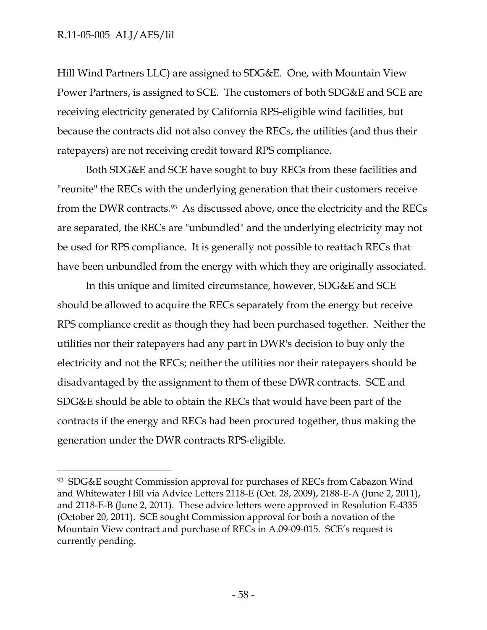-

Hill Wind Partners LLC) are assigned to SDG&E. One, with Mountain View Power Partners, is assigned to SCE. The customers of both SDG&E and SCE are receiving electricity generated by California RPS-eligible wind facilities, but because the contracts did not also convey the RECs, the utilities (and thus their ratepayers) are not receiving credit toward RPS compliance.

Both SDG&E and SCE have sought to buy RECs from these facilities and "reunite" the RECs with the underlying generation that their customers receive from the DWR contracts.93 As discussed above, once the electricity and the RECs are separated, the RECs are "unbundled" and the underlying electricity may not be used for RPS compliance. It is generally not possible to reattach RECs that have been unbundled from the energy with which they are originally associated.

In this unique and limited circumstance, however, SDG&E and SCE should be allowed to acquire the RECs separately from the energy but receive RPS compliance credit as though they had been purchased together. Neither the utilities nor their ratepayers had any part in DWR's decision to buy only the electricity and not the RECs; neither the utilities nor their ratepayers should be disadvantaged by the assignment to them of these DWR contracts. SCE and SDG&E should be able to obtain the RECs that would have been part of the contracts if the energy and RECs had been procured together, thus making the generation under the DWR contracts RPS-eligible.

<sup>93</sup> SDG&E sought Commission approval for purchases of RECs from Cabazon Wind and Whitewater Hill via Advice Letters 2118-E (Oct. 28, 2009), 2188-E-A (June 2, 2011), and 2118-E-B (June 2, 2011). These advice letters were approved in Resolution E-4335 (October 20, 2011). SCE sought Commission approval for both a novation of the Mountain View contract and purchase of RECs in A.09-09-015. SCE's request is currently pending.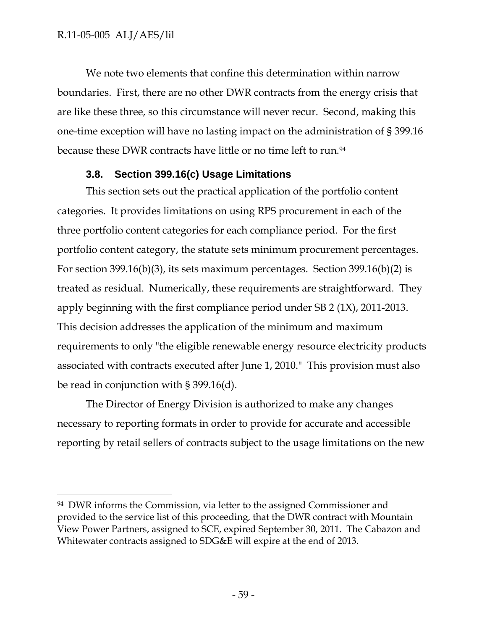-

We note two elements that confine this determination within narrow boundaries. First, there are no other DWR contracts from the energy crisis that are like these three, so this circumstance will never recur. Second, making this one-time exception will have no lasting impact on the administration of § 399.16 because these DWR contracts have little or no time left to run.<sup>94</sup>

## **3.8. Section 399.16(c) Usage Limitations**

This section sets out the practical application of the portfolio content categories. It provides limitations on using RPS procurement in each of the three portfolio content categories for each compliance period. For the first portfolio content category, the statute sets minimum procurement percentages. For section 399.16(b)(3), its sets maximum percentages. Section 399.16(b)(2) is treated as residual. Numerically, these requirements are straightforward. They apply beginning with the first compliance period under SB 2 (1X), 2011-2013. This decision addresses the application of the minimum and maximum requirements to only "the eligible renewable energy resource electricity products associated with contracts executed after June 1, 2010." This provision must also be read in conjunction with § 399.16(d).

The Director of Energy Division is authorized to make any changes necessary to reporting formats in order to provide for accurate and accessible reporting by retail sellers of contracts subject to the usage limitations on the new

<sup>&</sup>lt;sup>94</sup> DWR informs the Commission, via letter to the assigned Commissioner and provided to the service list of this proceeding, that the DWR contract with Mountain View Power Partners, assigned to SCE, expired September 30, 2011. The Cabazon and Whitewater contracts assigned to SDG&E will expire at the end of 2013.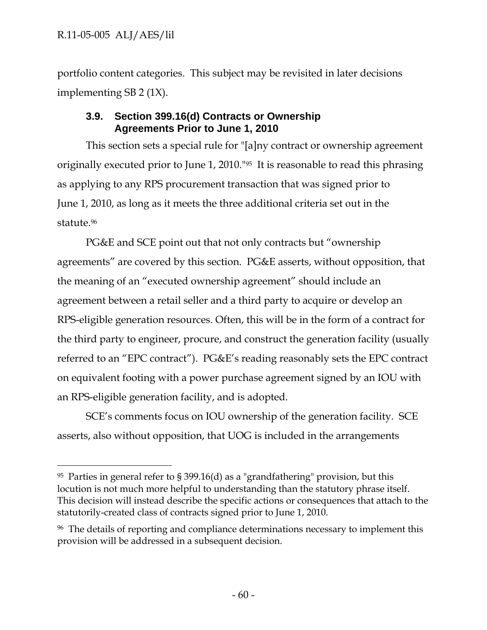-

portfolio content categories. This subject may be revisited in later decisions implementing SB 2 (1X).

# **3.9. Section 399.16(d) Contracts or Ownership Agreements Prior to June 1, 2010**

This section sets a special rule for "[a]ny contract or ownership agreement originally executed prior to June 1, 2010."95 It is reasonable to read this phrasing as applying to any RPS procurement transaction that was signed prior to June 1, 2010, as long as it meets the three additional criteria set out in the statute.96

PG&E and SCE point out that not only contracts but "ownership agreements" are covered by this section. PG&E asserts, without opposition, that the meaning of an "executed ownership agreement" should include an agreement between a retail seller and a third party to acquire or develop an RPS-eligible generation resources. Often, this will be in the form of a contract for the third party to engineer, procure, and construct the generation facility (usually referred to an "EPC contract"). PG&E's reading reasonably sets the EPC contract on equivalent footing with a power purchase agreement signed by an IOU with an RPS-eligible generation facility, and is adopted.

SCE's comments focus on IOU ownership of the generation facility. SCE asserts, also without opposition, that UOG is included in the arrangements

<sup>&</sup>lt;sup>95</sup> Parties in general refer to § 399.16(d) as a "grandfathering" provision, but this locution is not much more helpful to understanding than the statutory phrase itself. This decision will instead describe the specific actions or consequences that attach to the statutorily-created class of contracts signed prior to June 1, 2010.

<sup>96</sup> The details of reporting and compliance determinations necessary to implement this provision will be addressed in a subsequent decision.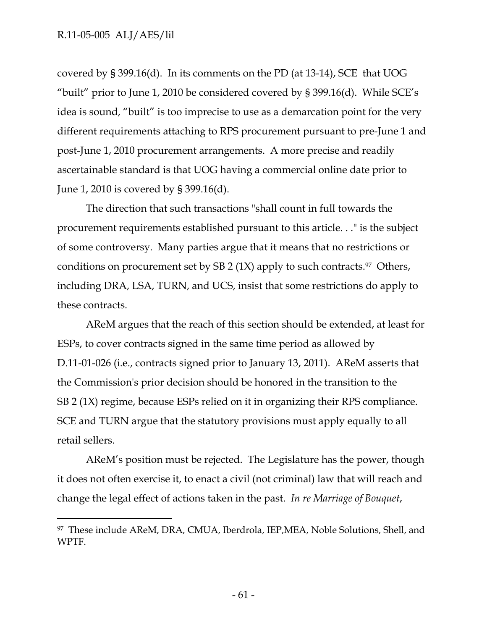-

covered by § 399.16(d). In its comments on the PD (at 13-14), SCE that UOG "built" prior to June 1, 2010 be considered covered by § 399.16(d). While SCE's idea is sound, "built" is too imprecise to use as a demarcation point for the very different requirements attaching to RPS procurement pursuant to pre-June 1 and post-June 1, 2010 procurement arrangements. A more precise and readily ascertainable standard is that UOG having a commercial online date prior to June 1, 2010 is covered by § 399.16(d).

The direction that such transactions "shall count in full towards the procurement requirements established pursuant to this article. . ." is the subject of some controversy. Many parties argue that it means that no restrictions or conditions on procurement set by SB 2 (1X) apply to such contracts.<sup>97</sup> Others, including DRA, LSA, TURN, and UCS, insist that some restrictions do apply to these contracts.

AReM argues that the reach of this section should be extended, at least for ESPs, to cover contracts signed in the same time period as allowed by D.11-01-026 (i.e., contracts signed prior to January 13, 2011). AReM asserts that the Commission's prior decision should be honored in the transition to the SB 2 (1X) regime, because ESPs relied on it in organizing their RPS compliance. SCE and TURN argue that the statutory provisions must apply equally to all retail sellers.

AReM's position must be rejected. The Legislature has the power, though it does not often exercise it, to enact a civil (not criminal) law that will reach and change the legal effect of actions taken in the past. *In re Marriage of Bouquet*,

<sup>97</sup> These include AReM, DRA, CMUA, Iberdrola, IEP,MEA, Noble Solutions, Shell, and WPTF.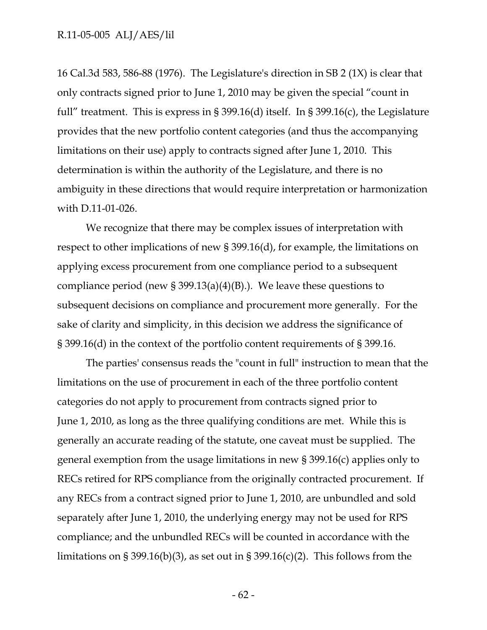16 Cal.3d 583, 586-88 (1976). The Legislature's direction in SB 2 (1X) is clear that only contracts signed prior to June 1, 2010 may be given the special "count in full" treatment. This is express in § 399.16(d) itself. In § 399.16(c), the Legislature provides that the new portfolio content categories (and thus the accompanying limitations on their use) apply to contracts signed after June 1, 2010. This determination is within the authority of the Legislature, and there is no ambiguity in these directions that would require interpretation or harmonization with D.11-01-026.

We recognize that there may be complex issues of interpretation with respect to other implications of new § 399.16(d), for example, the limitations on applying excess procurement from one compliance period to a subsequent compliance period (new  $\S 399.13(a)(4)(B)$ ). We leave these questions to subsequent decisions on compliance and procurement more generally. For the sake of clarity and simplicity, in this decision we address the significance of § 399.16(d) in the context of the portfolio content requirements of § 399.16.

The parties' consensus reads the "count in full" instruction to mean that the limitations on the use of procurement in each of the three portfolio content categories do not apply to procurement from contracts signed prior to June 1, 2010, as long as the three qualifying conditions are met. While this is generally an accurate reading of the statute, one caveat must be supplied. The general exemption from the usage limitations in new § 399.16(c) applies only to RECs retired for RPS compliance from the originally contracted procurement. If any RECs from a contract signed prior to June 1, 2010, are unbundled and sold separately after June 1, 2010, the underlying energy may not be used for RPS compliance; and the unbundled RECs will be counted in accordance with the limitations on § 399.16(b)(3), as set out in § 399.16(c)(2). This follows from the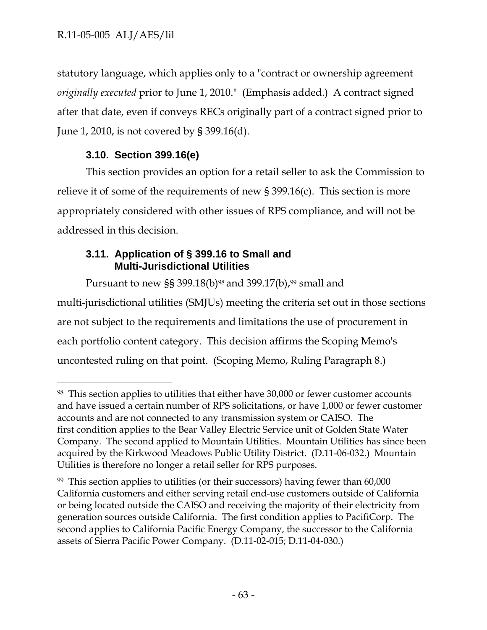$\overline{a}$ 

statutory language, which applies only to a "contract or ownership agreement *originally executed* prior to June 1, 2010." (Emphasis added.) A contract signed after that date, even if conveys RECs originally part of a contract signed prior to June 1, 2010, is not covered by § 399.16(d).

# **3.10. Section 399.16(e)**

This section provides an option for a retail seller to ask the Commission to relieve it of some of the requirements of new § 399.16(c). This section is more appropriately considered with other issues of RPS compliance, and will not be addressed in this decision.

## **3.11. Application of § 399.16 to Small and Multi-Jurisdictional Utilities**

Pursuant to new §§ 399.18(b)<sup>98</sup> and 399.17(b),<sup>99</sup> small and multi-jurisdictional utilities (SMJUs) meeting the criteria set out in those sections are not subject to the requirements and limitations the use of procurement in each portfolio content category. This decision affirms the Scoping Memo's uncontested ruling on that point. (Scoping Memo, Ruling Paragraph 8.)

<sup>98</sup> This section applies to utilities that either have 30,000 or fewer customer accounts and have issued a certain number of RPS solicitations, or have 1,000 or fewer customer accounts and are not connected to any transmission system or CAISO. The first condition applies to the Bear Valley Electric Service unit of Golden State Water Company. The second applied to Mountain Utilities. Mountain Utilities has since been acquired by the Kirkwood Meadows Public Utility District. (D.11-06-032.) Mountain Utilities is therefore no longer a retail seller for RPS purposes.

<sup>99</sup> This section applies to utilities (or their successors) having fewer than 60,000 California customers and either serving retail end-use customers outside of California or being located outside the CAISO and receiving the majority of their electricity from generation sources outside California. The first condition applies to PacifiCorp. The second applies to California Pacific Energy Company, the successor to the California assets of Sierra Pacific Power Company. (D.11-02-015; D.11-04-030.)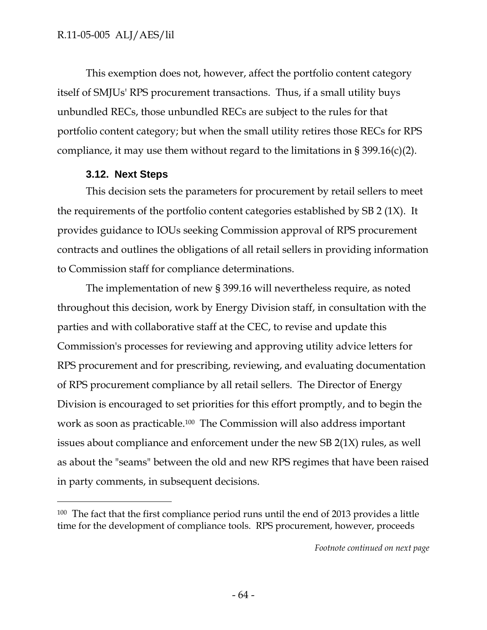This exemption does not, however, affect the portfolio content category itself of SMJUs' RPS procurement transactions. Thus, if a small utility buys unbundled RECs, those unbundled RECs are subject to the rules for that portfolio content category; but when the small utility retires those RECs for RPS compliance, it may use them without regard to the limitations in § 399.16(c)(2).

### **3.12. Next Steps**

-

This decision sets the parameters for procurement by retail sellers to meet the requirements of the portfolio content categories established by SB 2 (1X). It provides guidance to IOUs seeking Commission approval of RPS procurement contracts and outlines the obligations of all retail sellers in providing information to Commission staff for compliance determinations.

The implementation of new § 399.16 will nevertheless require, as noted throughout this decision, work by Energy Division staff, in consultation with the parties and with collaborative staff at the CEC, to revise and update this Commission's processes for reviewing and approving utility advice letters for RPS procurement and for prescribing, reviewing, and evaluating documentation of RPS procurement compliance by all retail sellers. The Director of Energy Division is encouraged to set priorities for this effort promptly, and to begin the work as soon as practicable.100 The Commission will also address important issues about compliance and enforcement under the new SB 2(1X) rules, as well as about the "seams" between the old and new RPS regimes that have been raised in party comments, in subsequent decisions.

*Footnote continued on next page*

<sup>&</sup>lt;sup>100</sup> The fact that the first compliance period runs until the end of 2013 provides a little time for the development of compliance tools. RPS procurement, however, proceeds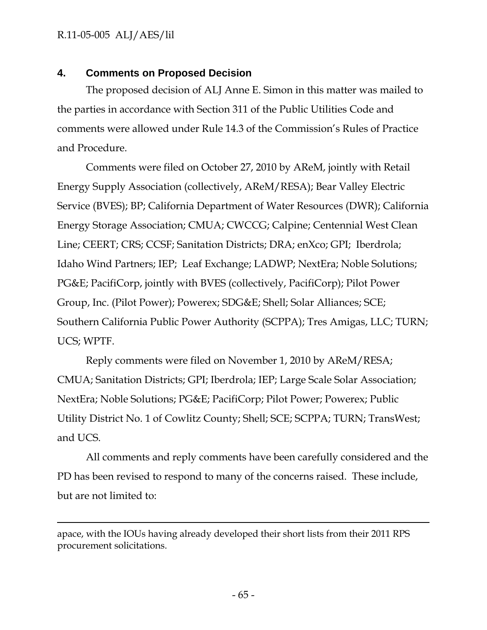$\overline{a}$ 

## **4. Comments on Proposed Decision**

The proposed decision of ALJ Anne E. Simon in this matter was mailed to the parties in accordance with Section 311 of the Public Utilities Code and comments were allowed under Rule 14.3 of the Commission's Rules of Practice and Procedure.

Comments were filed on October 27, 2010 by AReM, jointly with Retail Energy Supply Association (collectively, AReM/RESA); Bear Valley Electric Service (BVES); BP; California Department of Water Resources (DWR); California Energy Storage Association; CMUA; CWCCG; Calpine; Centennial West Clean Line; CEERT; CRS; CCSF; Sanitation Districts; DRA; enXco; GPI; Iberdrola; Idaho Wind Partners; IEP; Leaf Exchange; LADWP; NextEra; Noble Solutions; PG&E; PacifiCorp, jointly with BVES (collectively, PacifiCorp); Pilot Power Group, Inc. (Pilot Power); Powerex; SDG&E; Shell; Solar Alliances; SCE; Southern California Public Power Authority (SCPPA); Tres Amigas, LLC; TURN; UCS; WPTF.

Reply comments were filed on November 1, 2010 by AReM/RESA; CMUA; Sanitation Districts; GPI; Iberdrola; IEP; Large Scale Solar Association; NextEra; Noble Solutions; PG&E; PacifiCorp; Pilot Power; Powerex; Public Utility District No. 1 of Cowlitz County; Shell; SCE; SCPPA; TURN; TransWest; and UCS.

All comments and reply comments have been carefully considered and the PD has been revised to respond to many of the concerns raised. These include, but are not limited to:

apace, with the IOUs having already developed their short lists from their 2011 RPS procurement solicitations.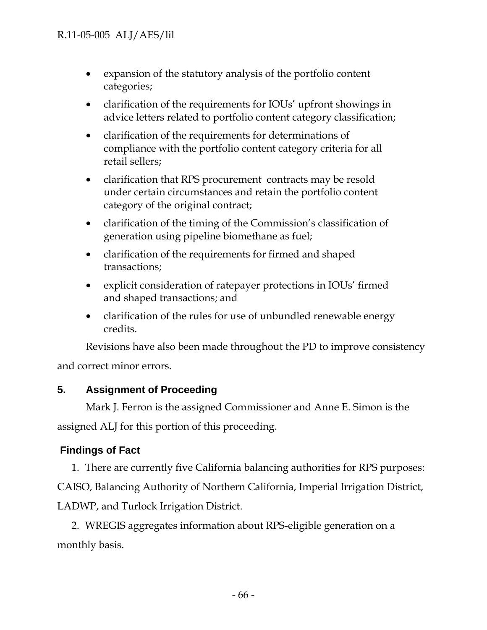- expansion of the statutory analysis of the portfolio content categories;
- clarification of the requirements for IOUs' upfront showings in advice letters related to portfolio content category classification;
- clarification of the requirements for determinations of compliance with the portfolio content category criteria for all retail sellers;
- clarification that RPS procurement contracts may be resold under certain circumstances and retain the portfolio content category of the original contract;
- clarification of the timing of the Commission's classification of generation using pipeline biomethane as fuel;
- clarification of the requirements for firmed and shaped transactions;
- explicit consideration of ratepayer protections in IOUs' firmed and shaped transactions; and
- clarification of the rules for use of unbundled renewable energy credits.

Revisions have also been made throughout the PD to improve consistency

and correct minor errors.

# **5. Assignment of Proceeding**

Mark J. Ferron is the assigned Commissioner and Anne E. Simon is the assigned ALJ for this portion of this proceeding.

# **Findings of Fact**

1. There are currently five California balancing authorities for RPS purposes:

CAISO, Balancing Authority of Northern California, Imperial Irrigation District,

LADWP, and Turlock Irrigation District.

2. WREGIS aggregates information about RPS-eligible generation on a monthly basis.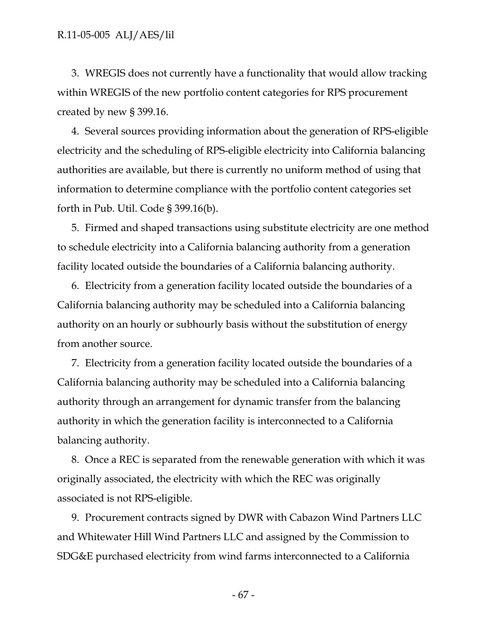3. WREGIS does not currently have a functionality that would allow tracking within WREGIS of the new portfolio content categories for RPS procurement created by new § 399.16.

4. Several sources providing information about the generation of RPS-eligible electricity and the scheduling of RPS-eligible electricity into California balancing authorities are available, but there is currently no uniform method of using that information to determine compliance with the portfolio content categories set forth in Pub. Util. Code § 399.16(b).

5. Firmed and shaped transactions using substitute electricity are one method to schedule electricity into a California balancing authority from a generation facility located outside the boundaries of a California balancing authority.

6. Electricity from a generation facility located outside the boundaries of a California balancing authority may be scheduled into a California balancing authority on an hourly or subhourly basis without the substitution of energy from another source.

7. Electricity from a generation facility located outside the boundaries of a California balancing authority may be scheduled into a California balancing authority through an arrangement for dynamic transfer from the balancing authority in which the generation facility is interconnected to a California balancing authority.

8. Once a REC is separated from the renewable generation with which it was originally associated, the electricity with which the REC was originally associated is not RPS-eligible.

9. Procurement contracts signed by DWR with Cabazon Wind Partners LLC and Whitewater Hill Wind Partners LLC and assigned by the Commission to SDG&E purchased electricity from wind farms interconnected to a California

- 67 -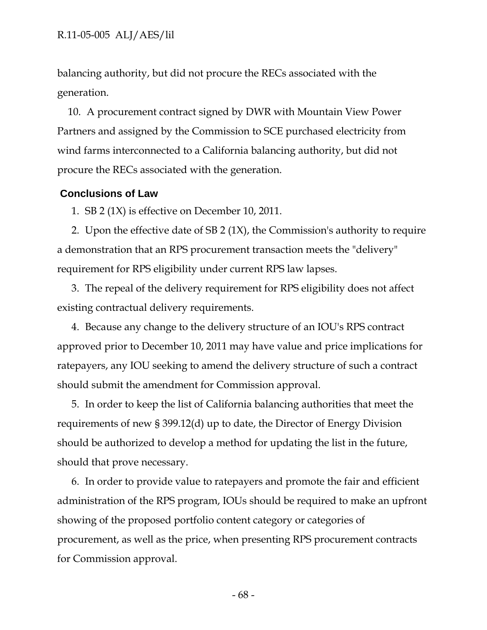balancing authority, but did not procure the RECs associated with the generation.

10. A procurement contract signed by DWR with Mountain View Power Partners and assigned by the Commission to SCE purchased electricity from wind farms interconnected to a California balancing authority, but did not procure the RECs associated with the generation.

#### **Conclusions of Law**

1. SB 2 (1X) is effective on December 10, 2011.

2. Upon the effective date of SB 2 (1X), the Commission's authority to require a demonstration that an RPS procurement transaction meets the "delivery" requirement for RPS eligibility under current RPS law lapses.

3. The repeal of the delivery requirement for RPS eligibility does not affect existing contractual delivery requirements.

4. Because any change to the delivery structure of an IOU's RPS contract approved prior to December 10, 2011 may have value and price implications for ratepayers, any IOU seeking to amend the delivery structure of such a contract should submit the amendment for Commission approval.

5. In order to keep the list of California balancing authorities that meet the requirements of new § 399.12(d) up to date, the Director of Energy Division should be authorized to develop a method for updating the list in the future, should that prove necessary.

6. In order to provide value to ratepayers and promote the fair and efficient administration of the RPS program, IOUs should be required to make an upfront showing of the proposed portfolio content category or categories of procurement, as well as the price, when presenting RPS procurement contracts for Commission approval.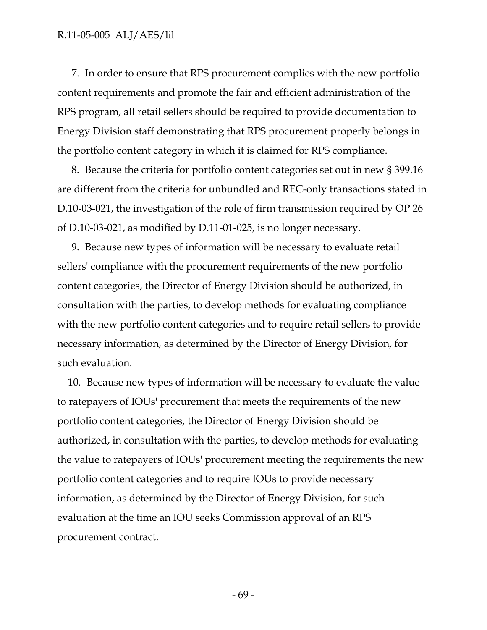7. In order to ensure that RPS procurement complies with the new portfolio content requirements and promote the fair and efficient administration of the RPS program, all retail sellers should be required to provide documentation to Energy Division staff demonstrating that RPS procurement properly belongs in the portfolio content category in which it is claimed for RPS compliance.

8. Because the criteria for portfolio content categories set out in new § 399.16 are different from the criteria for unbundled and REC-only transactions stated in D.10-03-021, the investigation of the role of firm transmission required by OP 26 of D.10-03-021, as modified by D.11-01-025, is no longer necessary.

9. Because new types of information will be necessary to evaluate retail sellers' compliance with the procurement requirements of the new portfolio content categories, the Director of Energy Division should be authorized, in consultation with the parties, to develop methods for evaluating compliance with the new portfolio content categories and to require retail sellers to provide necessary information, as determined by the Director of Energy Division, for such evaluation.

10. Because new types of information will be necessary to evaluate the value to ratepayers of IOUs' procurement that meets the requirements of the new portfolio content categories, the Director of Energy Division should be authorized, in consultation with the parties, to develop methods for evaluating the value to ratepayers of IOUs' procurement meeting the requirements the new portfolio content categories and to require IOUs to provide necessary information, as determined by the Director of Energy Division, for such evaluation at the time an IOU seeks Commission approval of an RPS procurement contract.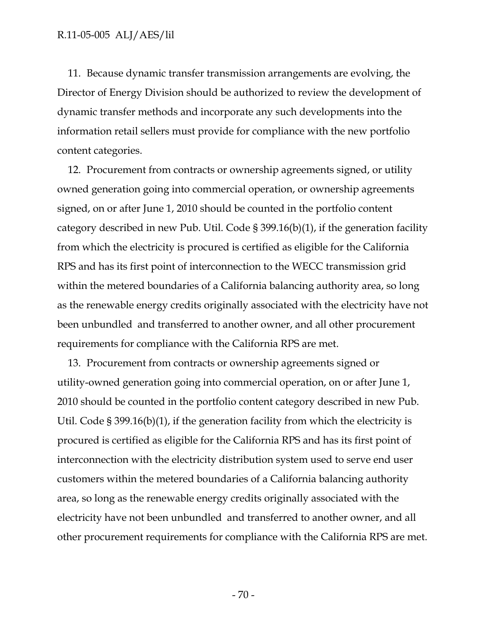11. Because dynamic transfer transmission arrangements are evolving, the Director of Energy Division should be authorized to review the development of dynamic transfer methods and incorporate any such developments into the information retail sellers must provide for compliance with the new portfolio content categories.

12. Procurement from contracts or ownership agreements signed, or utility owned generation going into commercial operation, or ownership agreements signed, on or after June 1, 2010 should be counted in the portfolio content category described in new Pub. Util. Code § 399.16(b)(1), if the generation facility from which the electricity is procured is certified as eligible for the California RPS and has its first point of interconnection to the WECC transmission grid within the metered boundaries of a California balancing authority area, so long as the renewable energy credits originally associated with the electricity have not been unbundled and transferred to another owner, and all other procurement requirements for compliance with the California RPS are met.

13. Procurement from contracts or ownership agreements signed or utility-owned generation going into commercial operation, on or after June 1, 2010 should be counted in the portfolio content category described in new Pub. Util. Code § 399.16(b)(1), if the generation facility from which the electricity is procured is certified as eligible for the California RPS and has its first point of interconnection with the electricity distribution system used to serve end user customers within the metered boundaries of a California balancing authority area, so long as the renewable energy credits originally associated with the electricity have not been unbundled and transferred to another owner, and all other procurement requirements for compliance with the California RPS are met.

- 70 -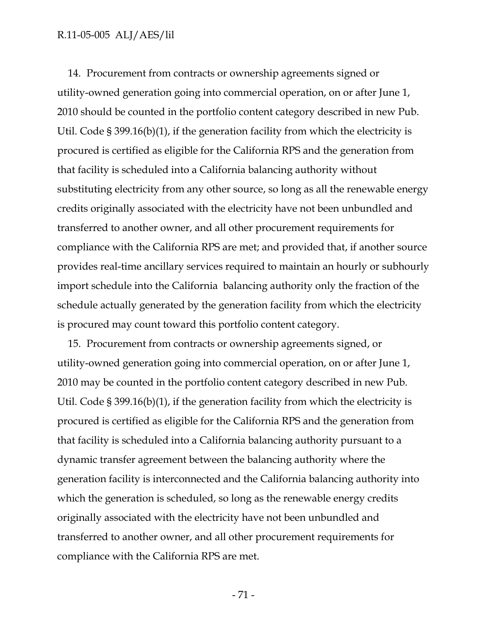14. Procurement from contracts or ownership agreements signed or utility-owned generation going into commercial operation, on or after June 1, 2010 should be counted in the portfolio content category described in new Pub. Util. Code § 399.16(b)(1), if the generation facility from which the electricity is procured is certified as eligible for the California RPS and the generation from that facility is scheduled into a California balancing authority without substituting electricity from any other source, so long as all the renewable energy credits originally associated with the electricity have not been unbundled and transferred to another owner, and all other procurement requirements for compliance with the California RPS are met; and provided that, if another source provides real-time ancillary services required to maintain an hourly or subhourly import schedule into the California balancing authority only the fraction of the schedule actually generated by the generation facility from which the electricity is procured may count toward this portfolio content category.

15. Procurement from contracts or ownership agreements signed, or utility-owned generation going into commercial operation, on or after June 1, 2010 may be counted in the portfolio content category described in new Pub. Util. Code § 399.16(b)(1), if the generation facility from which the electricity is procured is certified as eligible for the California RPS and the generation from that facility is scheduled into a California balancing authority pursuant to a dynamic transfer agreement between the balancing authority where the generation facility is interconnected and the California balancing authority into which the generation is scheduled, so long as the renewable energy credits originally associated with the electricity have not been unbundled and transferred to another owner, and all other procurement requirements for compliance with the California RPS are met.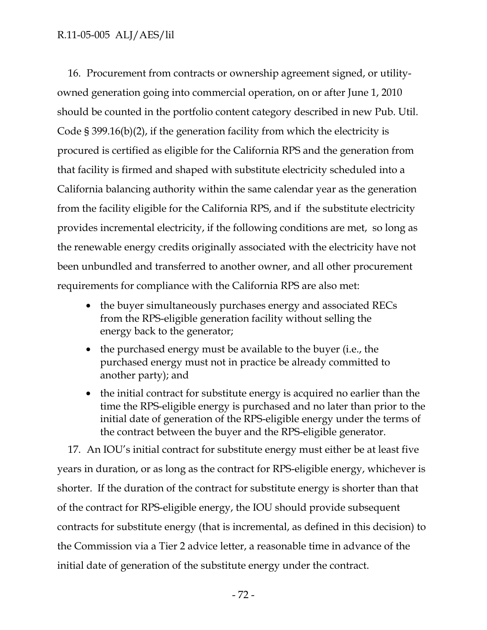16. Procurement from contracts or ownership agreement signed, or utilityowned generation going into commercial operation, on or after June 1, 2010 should be counted in the portfolio content category described in new Pub. Util. Code § 399.16(b)(2), if the generation facility from which the electricity is procured is certified as eligible for the California RPS and the generation from that facility is firmed and shaped with substitute electricity scheduled into a California balancing authority within the same calendar year as the generation from the facility eligible for the California RPS, and if the substitute electricity provides incremental electricity, if the following conditions are met, so long as the renewable energy credits originally associated with the electricity have not been unbundled and transferred to another owner, and all other procurement requirements for compliance with the California RPS are also met:

- the buyer simultaneously purchases energy and associated RECs from the RPS-eligible generation facility without selling the energy back to the generator;
- the purchased energy must be available to the buyer (i.e., the purchased energy must not in practice be already committed to another party); and
- the initial contract for substitute energy is acquired no earlier than the time the RPS-eligible energy is purchased and no later than prior to the initial date of generation of the RPS-eligible energy under the terms of the contract between the buyer and the RPS-eligible generator.

17. An IOU's initial contract for substitute energy must either be at least five years in duration, or as long as the contract for RPS-eligible energy, whichever is shorter. If the duration of the contract for substitute energy is shorter than that of the contract for RPS-eligible energy, the IOU should provide subsequent contracts for substitute energy (that is incremental, as defined in this decision) to the Commission via a Tier 2 advice letter, a reasonable time in advance of the initial date of generation of the substitute energy under the contract.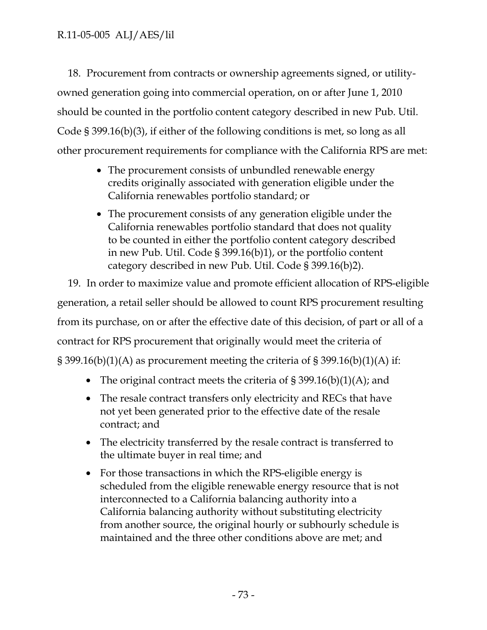18. Procurement from contracts or ownership agreements signed, or utilityowned generation going into commercial operation, on or after June 1, 2010 should be counted in the portfolio content category described in new Pub. Util. Code § 399.16(b)(3), if either of the following conditions is met, so long as all other procurement requirements for compliance with the California RPS are met:

- The procurement consists of unbundled renewable energy credits originally associated with generation eligible under the California renewables portfolio standard; or
- The procurement consists of any generation eligible under the California renewables portfolio standard that does not quality to be counted in either the portfolio content category described in new Pub. Util. Code § 399.16(b)1), or the portfolio content category described in new Pub. Util. Code § 399.16(b)2).

19. In order to maximize value and promote efficient allocation of RPS-eligible generation, a retail seller should be allowed to count RPS procurement resulting from its purchase, on or after the effective date of this decision, of part or all of a contract for RPS procurement that originally would meet the criteria of § 399.16(b)(1)(A) as procurement meeting the criteria of § 399.16(b)(1)(A) if:

- The original contract meets the criteria of  $\S 399.16(b)(1)(A)$ ; and
- The resale contract transfers only electricity and RECs that have not yet been generated prior to the effective date of the resale contract; and
- The electricity transferred by the resale contract is transferred to the ultimate buyer in real time; and
- For those transactions in which the RPS-eligible energy is scheduled from the eligible renewable energy resource that is not interconnected to a California balancing authority into a California balancing authority without substituting electricity from another source, the original hourly or subhourly schedule is maintained and the three other conditions above are met; and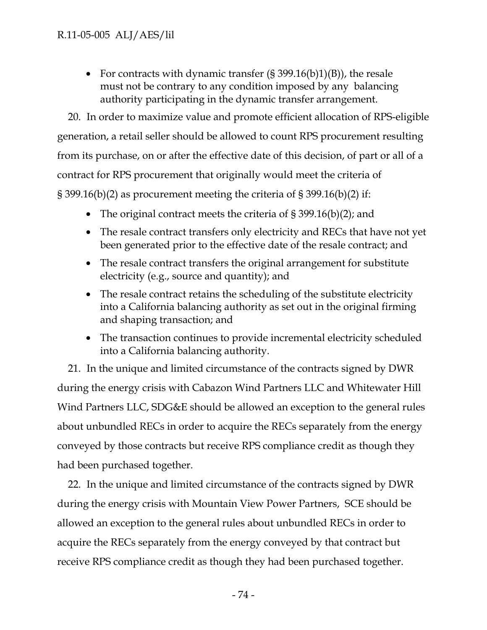• For contracts with dynamic transfer  $(\S 399.16(b)1)(B)$ , the resale must not be contrary to any condition imposed by any balancing authority participating in the dynamic transfer arrangement.

20. In order to maximize value and promote efficient allocation of RPS-eligible generation, a retail seller should be allowed to count RPS procurement resulting from its purchase, on or after the effective date of this decision, of part or all of a contract for RPS procurement that originally would meet the criteria of  $\S 399.16(b)(2)$  as procurement meeting the criteria of  $\S 399.16(b)(2)$  if:

- The original contract meets the criteria of § 399.16(b)(2); and
- The resale contract transfers only electricity and RECs that have not yet been generated prior to the effective date of the resale contract; and
- The resale contract transfers the original arrangement for substitute electricity (e.g., source and quantity); and
- The resale contract retains the scheduling of the substitute electricity into a California balancing authority as set out in the original firming and shaping transaction; and
- The transaction continues to provide incremental electricity scheduled into a California balancing authority.

21. In the unique and limited circumstance of the contracts signed by DWR during the energy crisis with Cabazon Wind Partners LLC and Whitewater Hill Wind Partners LLC, SDG&E should be allowed an exception to the general rules about unbundled RECs in order to acquire the RECs separately from the energy conveyed by those contracts but receive RPS compliance credit as though they had been purchased together.

22. In the unique and limited circumstance of the contracts signed by DWR during the energy crisis with Mountain View Power Partners, SCE should be allowed an exception to the general rules about unbundled RECs in order to acquire the RECs separately from the energy conveyed by that contract but receive RPS compliance credit as though they had been purchased together.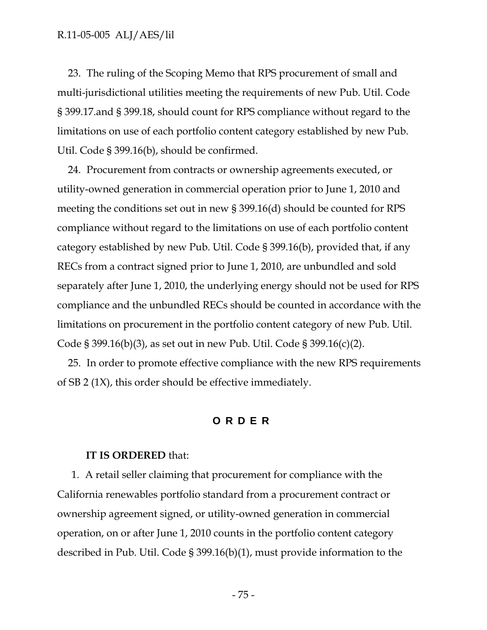23. The ruling of the Scoping Memo that RPS procurement of small and multi-jurisdictional utilities meeting the requirements of new Pub. Util. Code § 399.17.and § 399.18, should count for RPS compliance without regard to the limitations on use of each portfolio content category established by new Pub. Util. Code § 399.16(b), should be confirmed.

24. Procurement from contracts or ownership agreements executed, or utility-owned generation in commercial operation prior to June 1, 2010 and meeting the conditions set out in new § 399.16(d) should be counted for RPS compliance without regard to the limitations on use of each portfolio content category established by new Pub. Util. Code § 399.16(b), provided that, if any RECs from a contract signed prior to June 1, 2010, are unbundled and sold separately after June 1, 2010, the underlying energy should not be used for RPS compliance and the unbundled RECs should be counted in accordance with the limitations on procurement in the portfolio content category of new Pub. Util. Code § 399.16(b)(3), as set out in new Pub. Util. Code § 399.16(c)(2).

25. In order to promote effective compliance with the new RPS requirements of SB 2 (1X), this order should be effective immediately.

### **ORDER**

#### **IT IS ORDERED** that:

1. A retail seller claiming that procurement for compliance with the California renewables portfolio standard from a procurement contract or ownership agreement signed, or utility-owned generation in commercial operation, on or after June 1, 2010 counts in the portfolio content category described in Pub. Util. Code § 399.16(b)(1), must provide information to the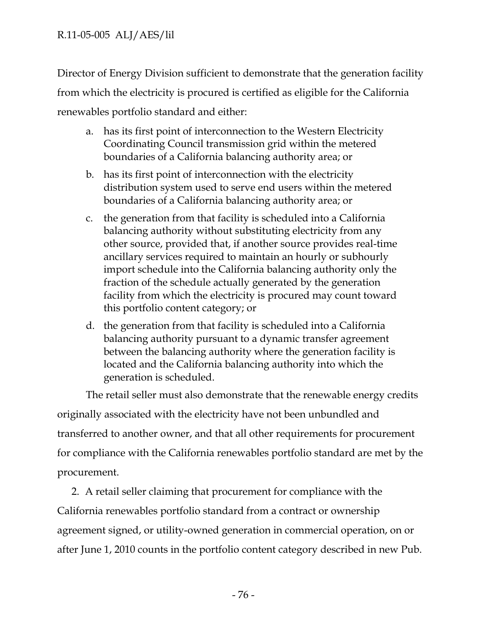Director of Energy Division sufficient to demonstrate that the generation facility from which the electricity is procured is certified as eligible for the California renewables portfolio standard and either:

- a. has its first point of interconnection to the Western Electricity Coordinating Council transmission grid within the metered boundaries of a California balancing authority area; or
- b. has its first point of interconnection with the electricity distribution system used to serve end users within the metered boundaries of a California balancing authority area; or
- c. the generation from that facility is scheduled into a California balancing authority without substituting electricity from any other source, provided that, if another source provides real-time ancillary services required to maintain an hourly or subhourly import schedule into the California balancing authority only the fraction of the schedule actually generated by the generation facility from which the electricity is procured may count toward this portfolio content category; or
- d. the generation from that facility is scheduled into a California balancing authority pursuant to a dynamic transfer agreement between the balancing authority where the generation facility is located and the California balancing authority into which the generation is scheduled.

The retail seller must also demonstrate that the renewable energy credits originally associated with the electricity have not been unbundled and transferred to another owner, and that all other requirements for procurement for compliance with the California renewables portfolio standard are met by the procurement.

2. A retail seller claiming that procurement for compliance with the California renewables portfolio standard from a contract or ownership agreement signed, or utility-owned generation in commercial operation, on or after June 1, 2010 counts in the portfolio content category described in new Pub.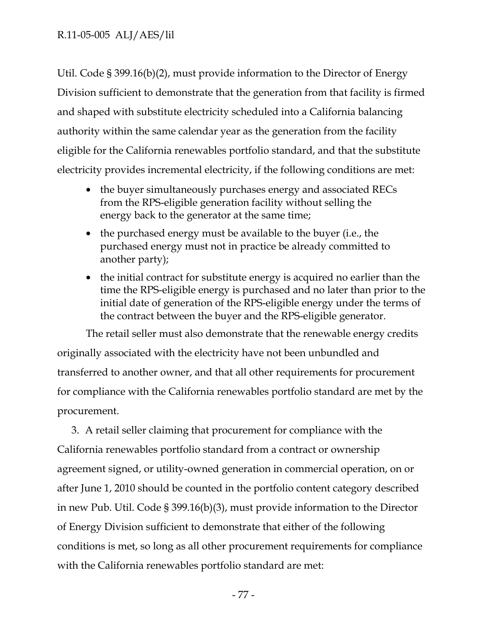Util. Code § 399.16(b)(2), must provide information to the Director of Energy Division sufficient to demonstrate that the generation from that facility is firmed and shaped with substitute electricity scheduled into a California balancing authority within the same calendar year as the generation from the facility eligible for the California renewables portfolio standard, and that the substitute electricity provides incremental electricity, if the following conditions are met:

- the buyer simultaneously purchases energy and associated RECs from the RPS-eligible generation facility without selling the energy back to the generator at the same time;
- the purchased energy must be available to the buyer (i.e., the purchased energy must not in practice be already committed to another party);
- the initial contract for substitute energy is acquired no earlier than the time the RPS-eligible energy is purchased and no later than prior to the initial date of generation of the RPS-eligible energy under the terms of the contract between the buyer and the RPS-eligible generator.

The retail seller must also demonstrate that the renewable energy credits originally associated with the electricity have not been unbundled and transferred to another owner, and that all other requirements for procurement for compliance with the California renewables portfolio standard are met by the procurement.

3. A retail seller claiming that procurement for compliance with the California renewables portfolio standard from a contract or ownership agreement signed, or utility-owned generation in commercial operation, on or after June 1, 2010 should be counted in the portfolio content category described in new Pub. Util. Code § 399.16(b)(3), must provide information to the Director of Energy Division sufficient to demonstrate that either of the following conditions is met, so long as all other procurement requirements for compliance with the California renewables portfolio standard are met: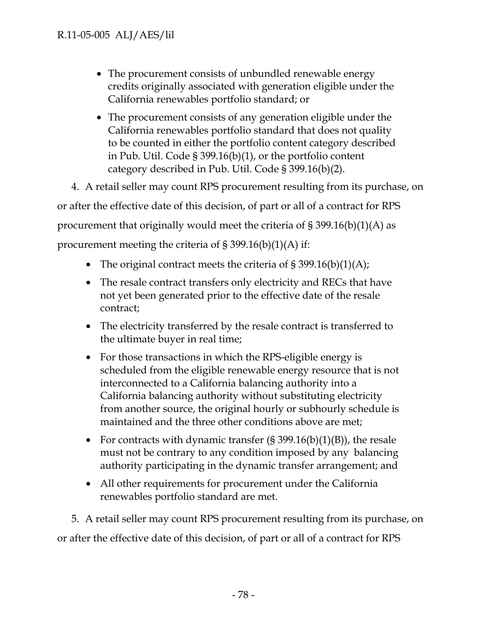- The procurement consists of unbundled renewable energy credits originally associated with generation eligible under the California renewables portfolio standard; or
- The procurement consists of any generation eligible under the California renewables portfolio standard that does not quality to be counted in either the portfolio content category described in Pub. Util. Code § 399.16(b)(1), or the portfolio content category described in Pub. Util. Code § 399.16(b)(2).

4. A retail seller may count RPS procurement resulting from its purchase, on or after the effective date of this decision, of part or all of a contract for RPS procurement that originally would meet the criteria of  $\S 399.16(b)(1)(A)$  as procurement meeting the criteria of  $\S 399.16(b)(1)(A)$  if:

- The original contract meets the criteria of  $\S 399.16(b)(1)(A);$
- The resale contract transfers only electricity and RECs that have not yet been generated prior to the effective date of the resale contract;
- The electricity transferred by the resale contract is transferred to the ultimate buyer in real time;
- For those transactions in which the RPS-eligible energy is scheduled from the eligible renewable energy resource that is not interconnected to a California balancing authority into a California balancing authority without substituting electricity from another source, the original hourly or subhourly schedule is maintained and the three other conditions above are met;
- For contracts with dynamic transfer  $(S\ 399.16(b)(1)(B))$ , the resale must not be contrary to any condition imposed by any balancing authority participating in the dynamic transfer arrangement; and
- All other requirements for procurement under the California renewables portfolio standard are met.

5. A retail seller may count RPS procurement resulting from its purchase, on or after the effective date of this decision, of part or all of a contract for RPS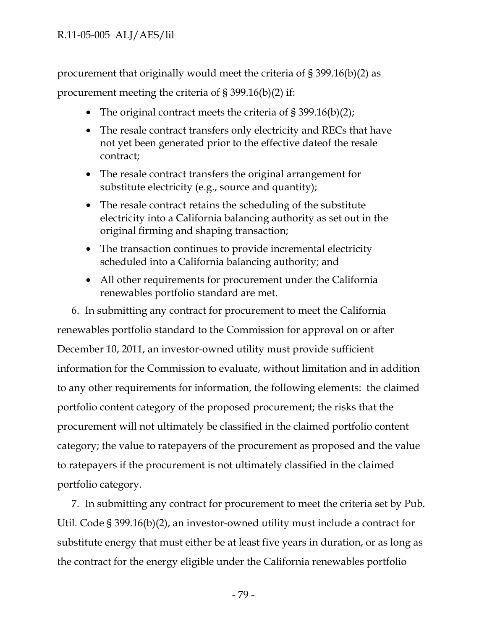procurement that originally would meet the criteria of § 399.16(b)(2) as procurement meeting the criteria of § 399.16(b)(2) if:

- The original contract meets the criteria of  $\S 399.16(b)(2)$ ;
- The resale contract transfers only electricity and RECs that have not yet been generated prior to the effective dateof the resale contract;
- The resale contract transfers the original arrangement for substitute electricity (e.g., source and quantity);
- The resale contract retains the scheduling of the substitute electricity into a California balancing authority as set out in the original firming and shaping transaction;
- The transaction continues to provide incremental electricity scheduled into a California balancing authority; and
- All other requirements for procurement under the California renewables portfolio standard are met.

6. In submitting any contract for procurement to meet the California renewables portfolio standard to the Commission for approval on or after December 10, 2011, an investor-owned utility must provide sufficient information for the Commission to evaluate, without limitation and in addition to any other requirements for information, the following elements: the claimed portfolio content category of the proposed procurement; the risks that the procurement will not ultimately be classified in the claimed portfolio content category; the value to ratepayers of the procurement as proposed and the value to ratepayers if the procurement is not ultimately classified in the claimed portfolio category.

7. In submitting any contract for procurement to meet the criteria set by Pub. Util. Code § 399.16(b)(2), an investor-owned utility must include a contract for substitute energy that must either be at least five years in duration, or as long as the contract for the energy eligible under the California renewables portfolio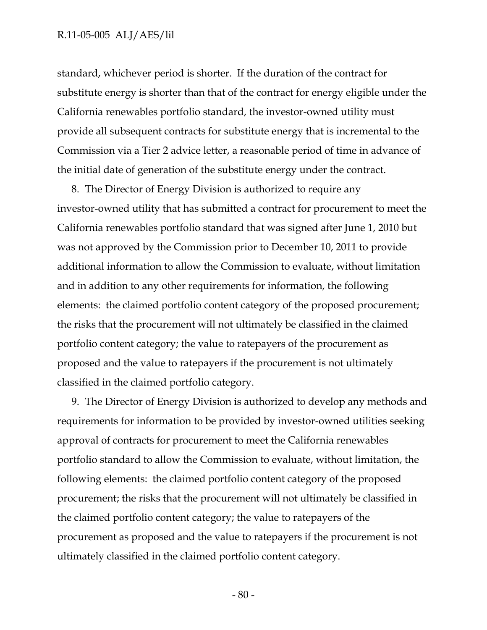standard, whichever period is shorter. If the duration of the contract for substitute energy is shorter than that of the contract for energy eligible under the California renewables portfolio standard, the investor-owned utility must provide all subsequent contracts for substitute energy that is incremental to the Commission via a Tier 2 advice letter, a reasonable period of time in advance of the initial date of generation of the substitute energy under the contract.

8. The Director of Energy Division is authorized to require any investor-owned utility that has submitted a contract for procurement to meet the California renewables portfolio standard that was signed after June 1, 2010 but was not approved by the Commission prior to December 10, 2011 to provide additional information to allow the Commission to evaluate, without limitation and in addition to any other requirements for information, the following elements: the claimed portfolio content category of the proposed procurement; the risks that the procurement will not ultimately be classified in the claimed portfolio content category; the value to ratepayers of the procurement as proposed and the value to ratepayers if the procurement is not ultimately classified in the claimed portfolio category.

9. The Director of Energy Division is authorized to develop any methods and requirements for information to be provided by investor-owned utilities seeking approval of contracts for procurement to meet the California renewables portfolio standard to allow the Commission to evaluate, without limitation, the following elements: the claimed portfolio content category of the proposed procurement; the risks that the procurement will not ultimately be classified in the claimed portfolio content category; the value to ratepayers of the procurement as proposed and the value to ratepayers if the procurement is not ultimately classified in the claimed portfolio content category.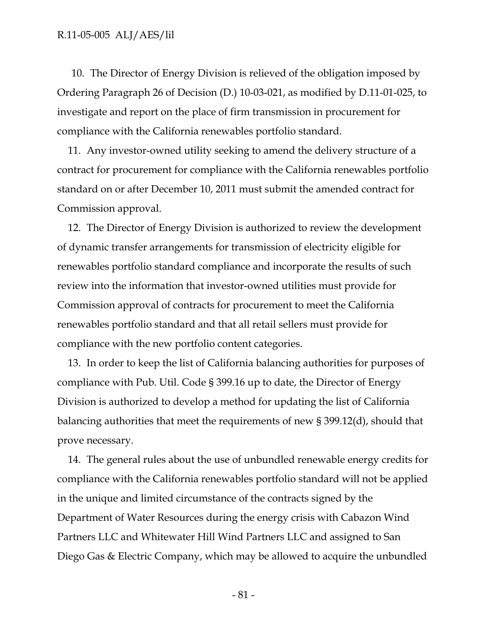10. The Director of Energy Division is relieved of the obligation imposed by Ordering Paragraph 26 of Decision (D.) 10-03-021, as modified by D.11-01-025, to investigate and report on the place of firm transmission in procurement for compliance with the California renewables portfolio standard.

11. Any investor-owned utility seeking to amend the delivery structure of a contract for procurement for compliance with the California renewables portfolio standard on or after December 10, 2011 must submit the amended contract for Commission approval.

12. The Director of Energy Division is authorized to review the development of dynamic transfer arrangements for transmission of electricity eligible for renewables portfolio standard compliance and incorporate the results of such review into the information that investor-owned utilities must provide for Commission approval of contracts for procurement to meet the California renewables portfolio standard and that all retail sellers must provide for compliance with the new portfolio content categories.

13. In order to keep the list of California balancing authorities for purposes of compliance with Pub. Util. Code § 399.16 up to date, the Director of Energy Division is authorized to develop a method for updating the list of California balancing authorities that meet the requirements of new § 399.12(d), should that prove necessary.

14. The general rules about the use of unbundled renewable energy credits for compliance with the California renewables portfolio standard will not be applied in the unique and limited circumstance of the contracts signed by the Department of Water Resources during the energy crisis with Cabazon Wind Partners LLC and Whitewater Hill Wind Partners LLC and assigned to San Diego Gas & Electric Company, which may be allowed to acquire the unbundled

- 81 -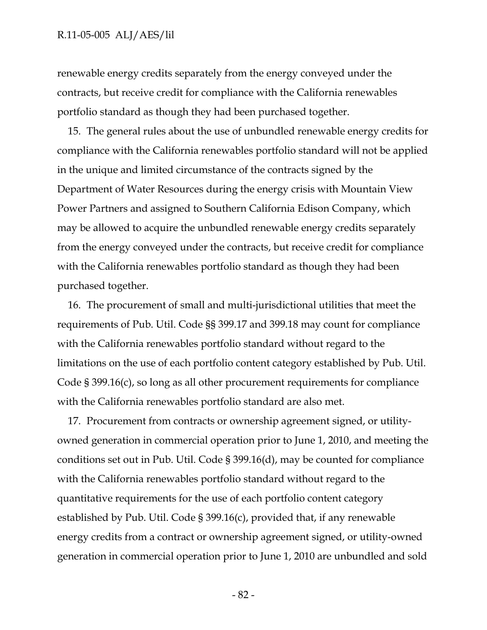renewable energy credits separately from the energy conveyed under the contracts, but receive credit for compliance with the California renewables portfolio standard as though they had been purchased together.

15. The general rules about the use of unbundled renewable energy credits for compliance with the California renewables portfolio standard will not be applied in the unique and limited circumstance of the contracts signed by the Department of Water Resources during the energy crisis with Mountain View Power Partners and assigned to Southern California Edison Company, which may be allowed to acquire the unbundled renewable energy credits separately from the energy conveyed under the contracts, but receive credit for compliance with the California renewables portfolio standard as though they had been purchased together.

16. The procurement of small and multi-jurisdictional utilities that meet the requirements of Pub. Util. Code §§ 399.17 and 399.18 may count for compliance with the California renewables portfolio standard without regard to the limitations on the use of each portfolio content category established by Pub. Util. Code § 399.16(c), so long as all other procurement requirements for compliance with the California renewables portfolio standard are also met.

17. Procurement from contracts or ownership agreement signed, or utilityowned generation in commercial operation prior to June 1, 2010, and meeting the conditions set out in Pub. Util. Code § 399.16(d), may be counted for compliance with the California renewables portfolio standard without regard to the quantitative requirements for the use of each portfolio content category established by Pub. Util. Code § 399.16(c), provided that, if any renewable energy credits from a contract or ownership agreement signed, or utility-owned generation in commercial operation prior to June 1, 2010 are unbundled and sold

- 82 -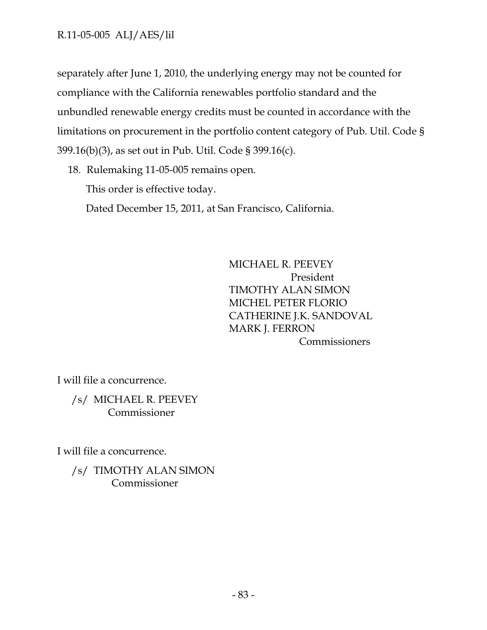separately after June 1, 2010, the underlying energy may not be counted for compliance with the California renewables portfolio standard and the unbundled renewable energy credits must be counted in accordance with the limitations on procurement in the portfolio content category of Pub. Util. Code § 399.16(b)(3), as set out in Pub. Util. Code § 399.16(c).

18. Rulemaking 11-05-005 remains open.

This order is effective today.

Dated December 15, 2011, at San Francisco, California.

MICHAEL R. PEEVEY President TIMOTHY ALAN SIMON MICHEL PETER FLORIO CATHERINE J.K. SANDOVAL MARK J. FERRON **Commissioners** 

I will file a concurrence.

/s/ MICHAEL R. PEEVEY Commissioner

I will file a concurrence.

/s/ TIMOTHY ALAN SIMON Commissioner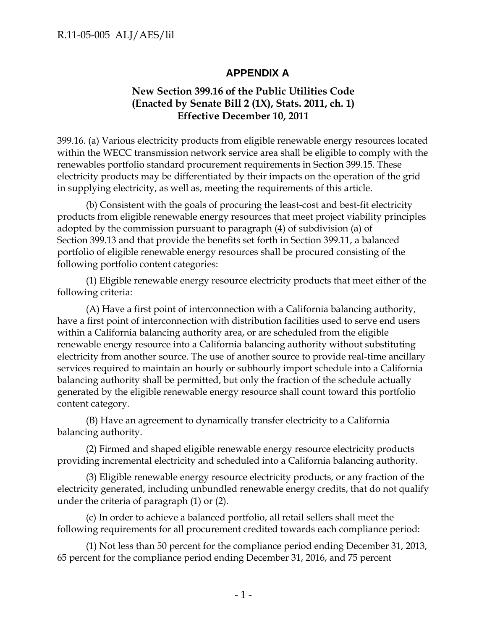## **APPENDIX A**

## **New Section 399.16 of the Public Utilities Code (Enacted by Senate Bill 2 (1X), Stats. 2011, ch. 1) Effective December 10, 2011**

399.16. (a) Various electricity products from eligible renewable energy resources located within the WECC transmission network service area shall be eligible to comply with the renewables portfolio standard procurement requirements in Section 399.15. These electricity products may be differentiated by their impacts on the operation of the grid in supplying electricity, as well as, meeting the requirements of this article.

(b) Consistent with the goals of procuring the least-cost and best-fit electricity products from eligible renewable energy resources that meet project viability principles adopted by the commission pursuant to paragraph (4) of subdivision (a) of Section 399.13 and that provide the benefits set forth in Section 399.11, a balanced portfolio of eligible renewable energy resources shall be procured consisting of the following portfolio content categories:

(1) Eligible renewable energy resource electricity products that meet either of the following criteria:

 (A) Have a first point of interconnection with a California balancing authority, have a first point of interconnection with distribution facilities used to serve end users within a California balancing authority area, or are scheduled from the eligible renewable energy resource into a California balancing authority without substituting electricity from another source. The use of another source to provide real-time ancillary services required to maintain an hourly or subhourly import schedule into a California balancing authority shall be permitted, but only the fraction of the schedule actually generated by the eligible renewable energy resource shall count toward this portfolio content category.

(B) Have an agreement to dynamically transfer electricity to a California balancing authority.

(2) Firmed and shaped eligible renewable energy resource electricity products providing incremental electricity and scheduled into a California balancing authority.

(3) Eligible renewable energy resource electricity products, or any fraction of the electricity generated, including unbundled renewable energy credits, that do not qualify under the criteria of paragraph (1) or (2).

(c) In order to achieve a balanced portfolio, all retail sellers shall meet the following requirements for all procurement credited towards each compliance period:

(1) Not less than 50 percent for the compliance period ending December 31, 2013, 65 percent for the compliance period ending December 31, 2016, and 75 percent